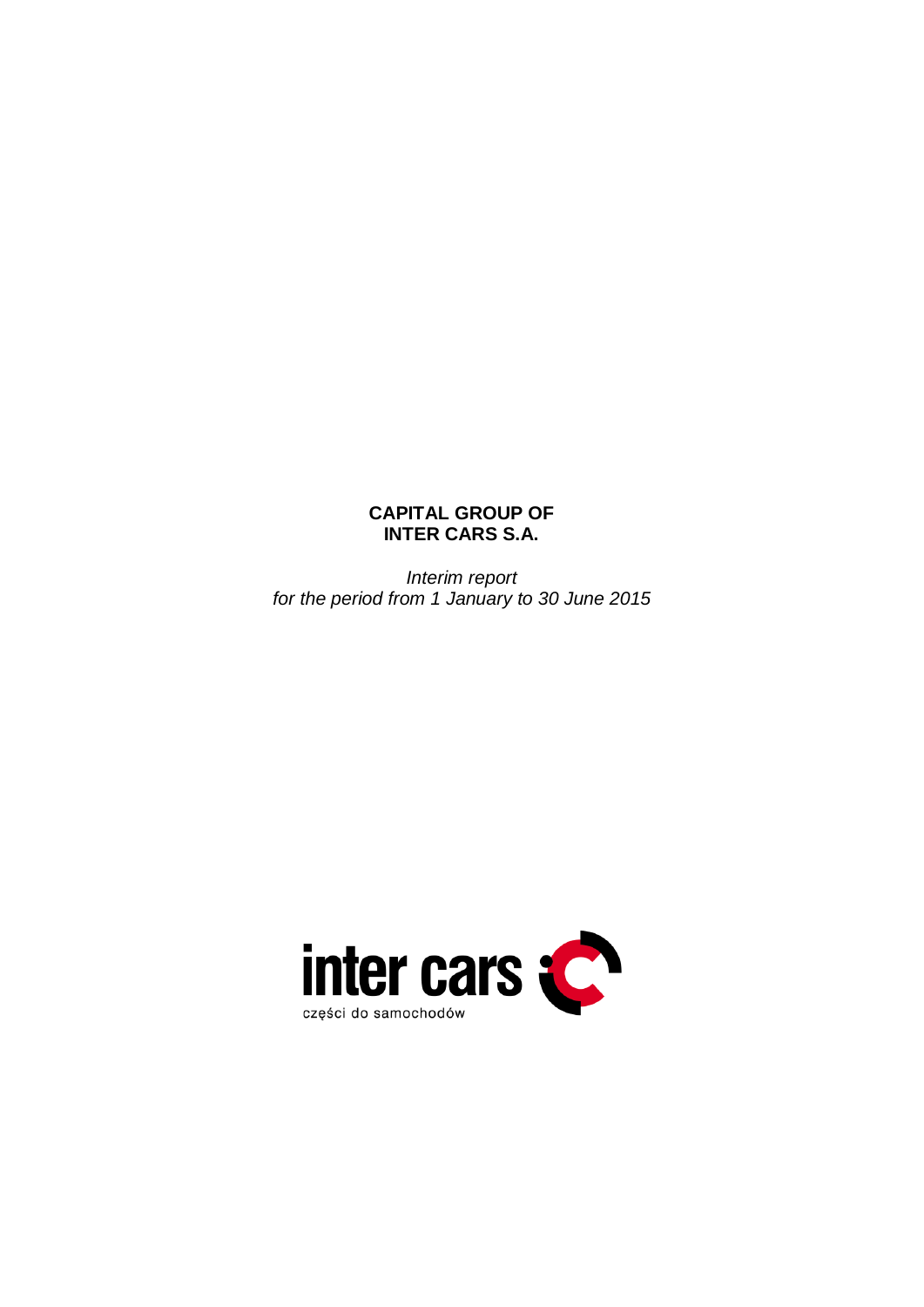# **CAPITAL GROUP OF INTER CARS S.A.**

*Interim report for the period from 1 January to 30 June 2015*

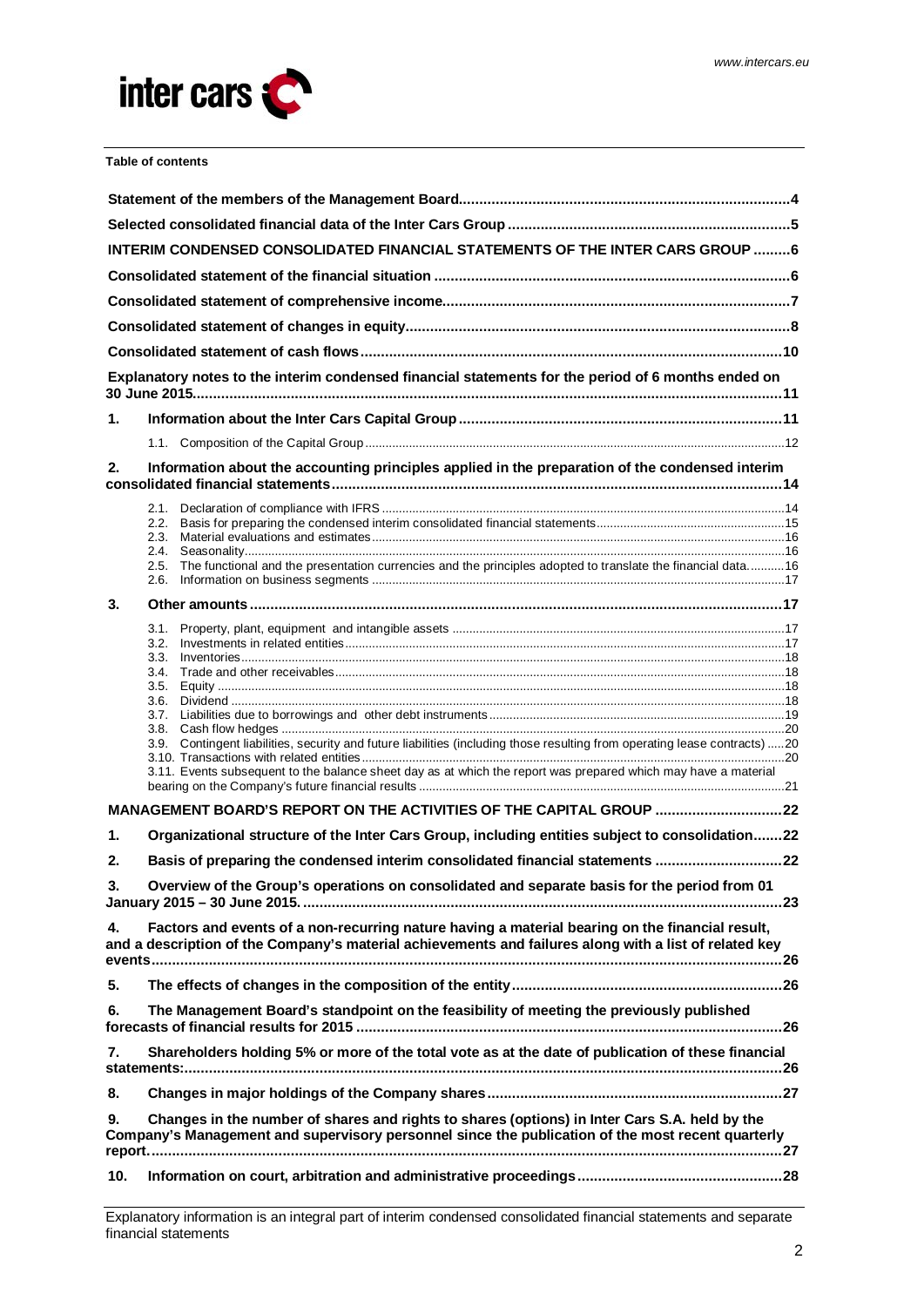

**Table of contents**

| <b>INTERIM CONDENSED CONSOLIDATED FINANCIAL STATEMENTS OF THE INTER CARS GROUP 6</b> |                                                                                                                                                                                                           |  |  |  |  |  |  |  |  |
|--------------------------------------------------------------------------------------|-----------------------------------------------------------------------------------------------------------------------------------------------------------------------------------------------------------|--|--|--|--|--|--|--|--|
|                                                                                      |                                                                                                                                                                                                           |  |  |  |  |  |  |  |  |
|                                                                                      |                                                                                                                                                                                                           |  |  |  |  |  |  |  |  |
|                                                                                      |                                                                                                                                                                                                           |  |  |  |  |  |  |  |  |
|                                                                                      |                                                                                                                                                                                                           |  |  |  |  |  |  |  |  |
|                                                                                      | Explanatory notes to the interim condensed financial statements for the period of 6 months ended on                                                                                                       |  |  |  |  |  |  |  |  |
| 1.                                                                                   |                                                                                                                                                                                                           |  |  |  |  |  |  |  |  |
|                                                                                      |                                                                                                                                                                                                           |  |  |  |  |  |  |  |  |
| 2.                                                                                   | Information about the accounting principles applied in the preparation of the condensed interim                                                                                                           |  |  |  |  |  |  |  |  |
|                                                                                      |                                                                                                                                                                                                           |  |  |  |  |  |  |  |  |
|                                                                                      | 2.2.<br>2.3.                                                                                                                                                                                              |  |  |  |  |  |  |  |  |
|                                                                                      | 2.4.<br>The functional and the presentation currencies and the principles adopted to translate the financial data16<br>2.5.                                                                               |  |  |  |  |  |  |  |  |
|                                                                                      | 2.6.                                                                                                                                                                                                      |  |  |  |  |  |  |  |  |
| 3.                                                                                   |                                                                                                                                                                                                           |  |  |  |  |  |  |  |  |
|                                                                                      | 3.1.                                                                                                                                                                                                      |  |  |  |  |  |  |  |  |
|                                                                                      | 3.2.<br>3.3.                                                                                                                                                                                              |  |  |  |  |  |  |  |  |
|                                                                                      | 3.4.                                                                                                                                                                                                      |  |  |  |  |  |  |  |  |
|                                                                                      | 3.5.<br>3.6.                                                                                                                                                                                              |  |  |  |  |  |  |  |  |
|                                                                                      | 3.7.                                                                                                                                                                                                      |  |  |  |  |  |  |  |  |
|                                                                                      | 3.8.<br>Contingent liabilities, security and future liabilities (including those resulting from operating lease contracts)20<br>3.9.                                                                      |  |  |  |  |  |  |  |  |
|                                                                                      | 3.11. Events subsequent to the balance sheet day as at which the report was prepared which may have a material                                                                                            |  |  |  |  |  |  |  |  |
|                                                                                      | MANAGEMENT BOARD'S REPORT ON THE ACTIVITIES OF THE CAPITAL GROUP 22                                                                                                                                       |  |  |  |  |  |  |  |  |
|                                                                                      |                                                                                                                                                                                                           |  |  |  |  |  |  |  |  |
| 1.                                                                                   | Organizational structure of the Inter Cars Group, including entities subject to consolidation22                                                                                                           |  |  |  |  |  |  |  |  |
| 2.                                                                                   | Basis of preparing the condensed interim consolidated financial statements 22                                                                                                                             |  |  |  |  |  |  |  |  |
| 3.                                                                                   | Overview of the Group's operations on consolidated and separate basis for the period from 01                                                                                                              |  |  |  |  |  |  |  |  |
| 4.                                                                                   | Factors and events of a non-recurring nature having a material bearing on the financial result,<br>and a description of the Company's material achievements and failures along with a list of related key |  |  |  |  |  |  |  |  |
| 5.                                                                                   |                                                                                                                                                                                                           |  |  |  |  |  |  |  |  |
| 6.                                                                                   | The Management Board's standpoint on the feasibility of meeting the previously published                                                                                                                  |  |  |  |  |  |  |  |  |
| 7.                                                                                   | Shareholders holding 5% or more of the total vote as at the date of publication of these financial                                                                                                        |  |  |  |  |  |  |  |  |
| 8.                                                                                   |                                                                                                                                                                                                           |  |  |  |  |  |  |  |  |
| 9.                                                                                   | Changes in the number of shares and rights to shares (options) in Inter Cars S.A. held by the<br>Company's Management and supervisory personnel since the publication of the most recent quarterly        |  |  |  |  |  |  |  |  |
| 10.                                                                                  |                                                                                                                                                                                                           |  |  |  |  |  |  |  |  |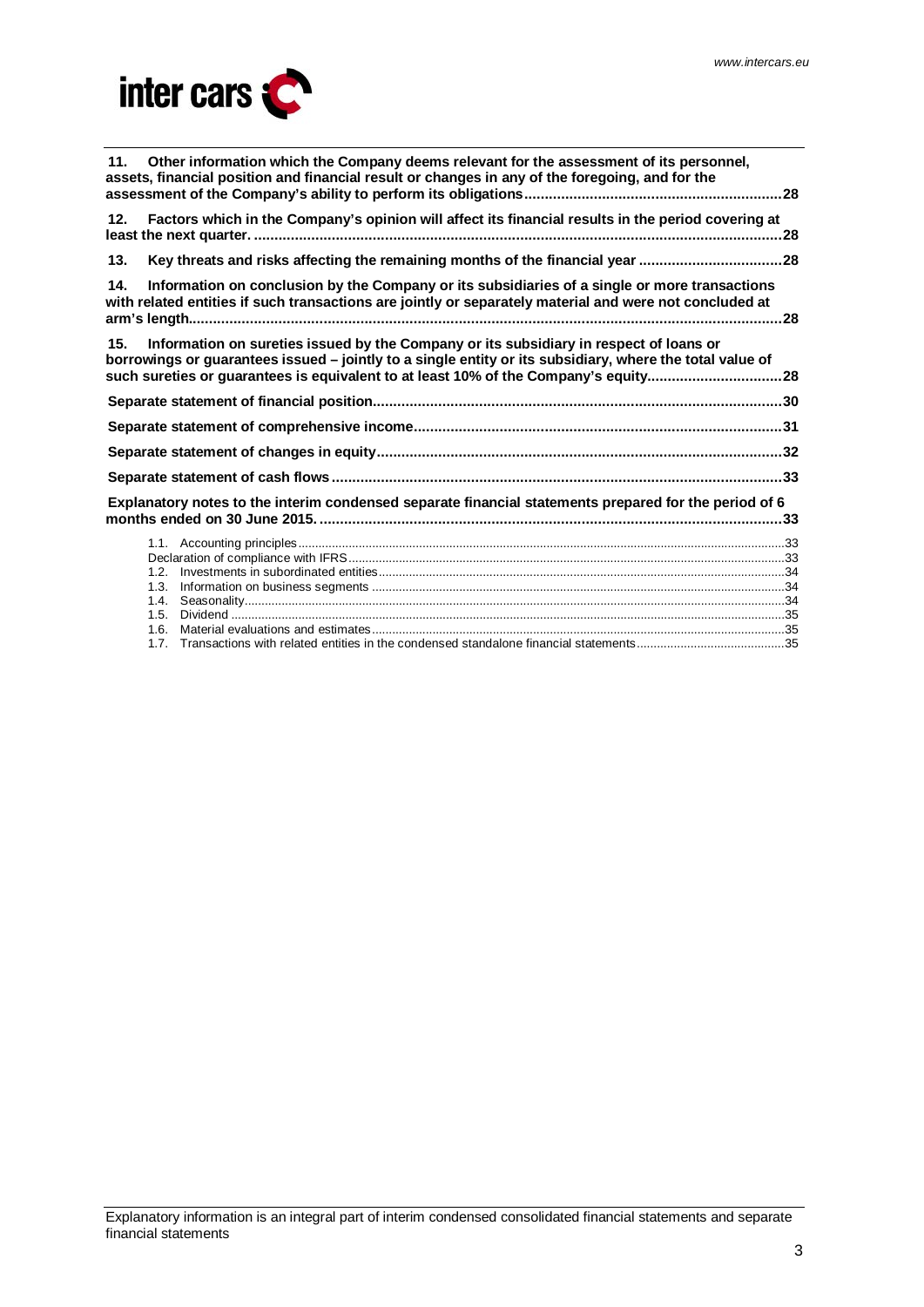

| Other information which the Company deems relevant for the assessment of its personnel,<br>11.<br>assets, financial position and financial result or changes in any of the foregoing, and for the                                                                                                |  |
|--------------------------------------------------------------------------------------------------------------------------------------------------------------------------------------------------------------------------------------------------------------------------------------------------|--|
| Factors which in the Company's opinion will affect its financial results in the period covering at<br>12.                                                                                                                                                                                        |  |
| Key threats and risks affecting the remaining months of the financial year 28<br>13.                                                                                                                                                                                                             |  |
| Information on conclusion by the Company or its subsidiaries of a single or more transactions<br>14.<br>with related entities if such transactions are jointly or separately material and were not concluded at                                                                                  |  |
| Information on sureties issued by the Company or its subsidiary in respect of loans or<br>15.<br>borrowings or guarantees issued - jointly to a single entity or its subsidiary, where the total value of<br>such sureties or guarantees is equivalent to at least 10% of the Company's equity28 |  |
|                                                                                                                                                                                                                                                                                                  |  |
|                                                                                                                                                                                                                                                                                                  |  |
|                                                                                                                                                                                                                                                                                                  |  |
|                                                                                                                                                                                                                                                                                                  |  |
| Explanatory notes to the interim condensed separate financial statements prepared for the period of 6                                                                                                                                                                                            |  |
| 1.3.<br>1.5.                                                                                                                                                                                                                                                                                     |  |
|                                                                                                                                                                                                                                                                                                  |  |

1.7. [Transactions with related entities in the condensed standalone financial statements............................................35](#page-34-2)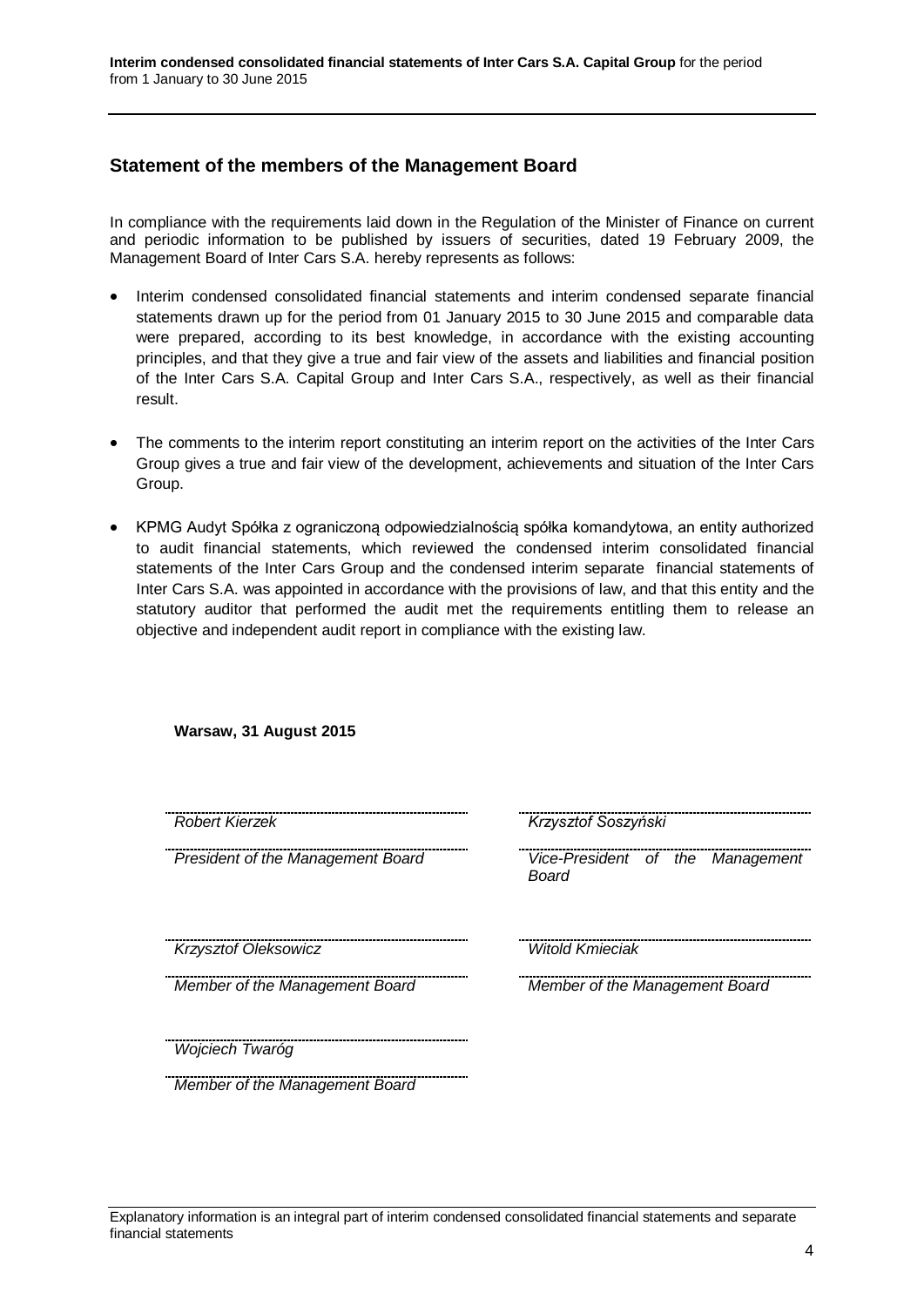# <span id="page-3-0"></span>**Statement of the members of the Management Board**

**Warsaw, 31 August 2015**

In compliance with the requirements laid down in the Regulation of the Minister of Finance on current and periodic information to be published by issuers of securities, dated 19 February 2009, the Management Board of Inter Cars S.A. hereby represents as follows:

- Interim condensed consolidated financial statements and interim condensed separate financial statements drawn up for the period from 01 January 2015 to 30 June 2015 and comparable data were prepared, according to its best knowledge, in accordance with the existing accounting principles, and that they give a true and fair view of the assets and liabilities and financial position of the Inter Cars S.A. Capital Group and Inter Cars S.A., respectively, as well as their financial result.
- The comments to the interim report constituting an interim report on the activities of the Inter Cars Group gives a true and fair view of the development, achievements and situation of the Inter Cars Group.
- KPMG Audyt Spółka z ograniczoną odpowiedzialnością spółka komandytowa, an entity authorized to audit financial statements, which reviewed the condensed interim consolidated financial statements of the Inter Cars Group and the condensed interim separate financial statements of Inter Cars S.A. was appointed in accordance with the provisions of law, and that this entity and the statutory auditor that performed the audit met the requirements entitling them to release an objective and independent audit report in compliance with the existing law.

| <b>Robert Kierzek</b>             | Krzysztof Soszyński                       |
|-----------------------------------|-------------------------------------------|
| President of the Management Board | Vice-President of the Management<br>Board |
| Krzysztof Oleksowicz              | <b>Witold Kmieciak</b>                    |
| Member of the Management Board    | Member of the Management Board            |
| Wojciech Twaróg                   |                                           |
| Member of the Management Board    |                                           |

### Explanatory information is an integral part of interim condensed consolidated financial statements and separate financial statements

4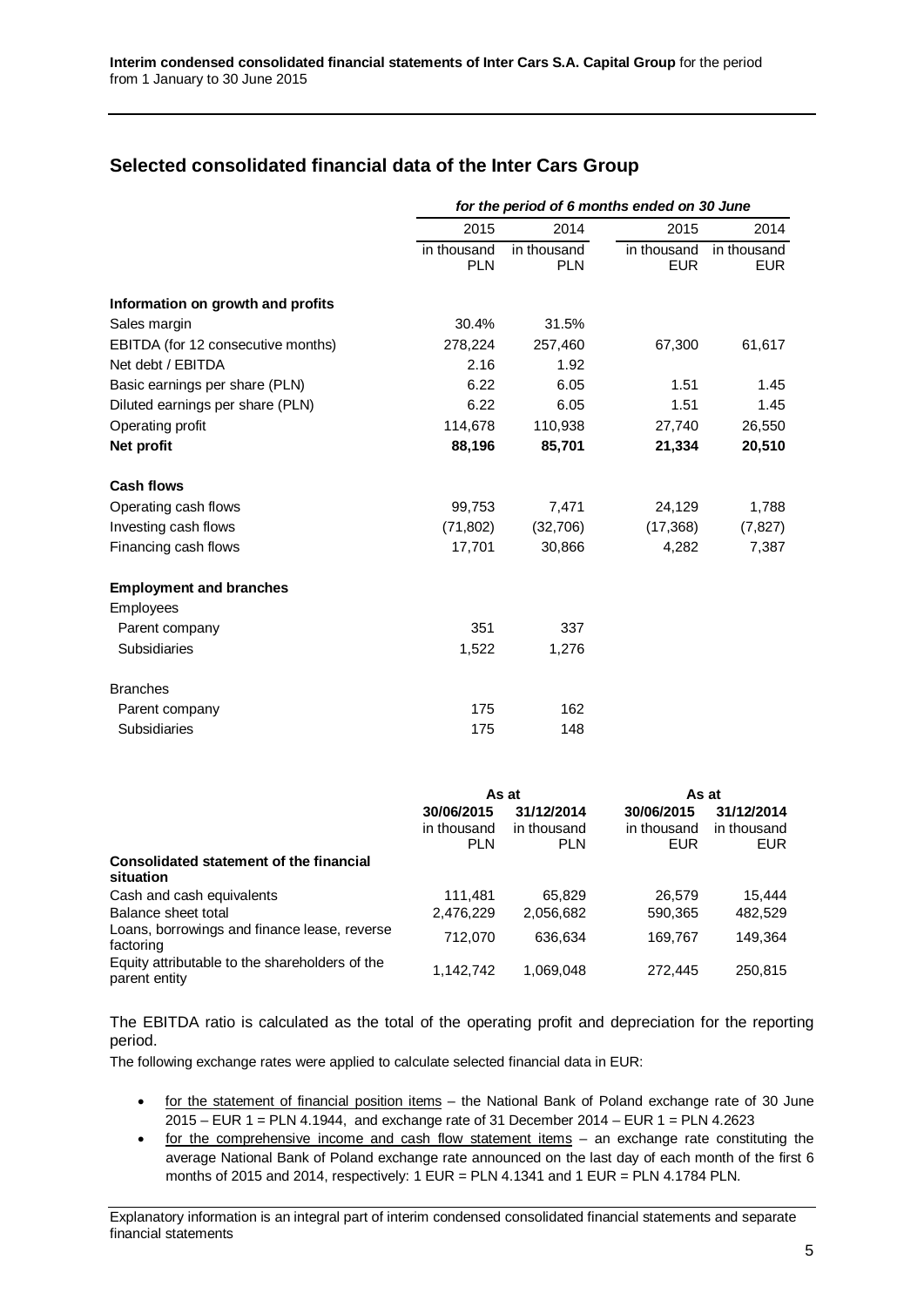# <span id="page-4-0"></span>**Selected consolidated financial data of the Inter Cars Group**

|                                    | for the period of 6 months ended on 30 June |                           |                           |                           |  |
|------------------------------------|---------------------------------------------|---------------------------|---------------------------|---------------------------|--|
|                                    | 2015                                        | 2014                      | 2015                      | 2014                      |  |
|                                    | in thousand<br><b>PLN</b>                   | in thousand<br><b>PLN</b> | in thousand<br><b>EUR</b> | in thousand<br><b>EUR</b> |  |
| Information on growth and profits  |                                             |                           |                           |                           |  |
| Sales margin                       | 30.4%                                       | 31.5%                     |                           |                           |  |
| EBITDA (for 12 consecutive months) | 278,224                                     | 257,460                   | 67,300                    | 61,617                    |  |
| Net debt / EBITDA                  | 2.16                                        | 1.92                      |                           |                           |  |
| Basic earnings per share (PLN)     | 6.22                                        | 6.05                      | 1.51                      | 1.45                      |  |
| Diluted earnings per share (PLN)   | 6.22                                        | 6.05                      | 1.51                      | 1.45                      |  |
| Operating profit                   | 114,678                                     | 110,938                   | 27,740                    | 26,550                    |  |
| Net profit                         | 88,196                                      | 85,701                    | 21,334                    | 20,510                    |  |
| <b>Cash flows</b>                  |                                             |                           |                           |                           |  |
| Operating cash flows               | 99,753                                      | 7,471                     | 24,129                    | 1,788                     |  |
| Investing cash flows               | (71, 802)                                   | (32,706)                  | (17, 368)                 | (7, 827)                  |  |
| Financing cash flows               | 17,701                                      | 30,866                    | 4,282                     | 7,387                     |  |
| <b>Employment and branches</b>     |                                             |                           |                           |                           |  |
| Employees                          |                                             |                           |                           |                           |  |
| Parent company                     | 351                                         | 337                       |                           |                           |  |
| Subsidiaries                       | 1,522                                       | 1,276                     |                           |                           |  |
| <b>Branches</b>                    |                                             |                           |                           |                           |  |
| Parent company                     | 175                                         | 162                       |                           |                           |  |
| Subsidiaries                       | 175                                         | 148                       |                           |                           |  |
|                                    |                                             | As at                     | As at                     |                           |  |
|                                    | 30/06/2015                                  | 31/12/2014                | 30/06/2015                | 31/12/2014                |  |
|                                    | in thousand.                                | in thousand               | in thousand.              | in thousand               |  |

|                                                                 | in thousand<br><b>PLN</b> | in thousand<br><b>PLN</b> | in thousand<br><b>EUR</b> | in thousand<br>EUR. |
|-----------------------------------------------------------------|---------------------------|---------------------------|---------------------------|---------------------|
| Consolidated statement of the financial<br>situation            |                           |                           |                           |                     |
| Cash and cash equivalents                                       | 111.481                   | 65.829                    | 26.579                    | 15.444              |
| Balance sheet total                                             | 2,476,229                 | 2.056.682                 | 590,365                   | 482.529             |
| Loans, borrowings and finance lease, reverse<br>factoring       | 712.070                   | 636.634                   | 169.767                   | 149.364             |
| Equity attributable to the shareholders of the<br>parent entity | 1.142.742                 | 1.069.048                 | 272,445                   | 250.815             |

The EBITDA ratio is calculated as the total of the operating profit and depreciation for the reporting period.

The following exchange rates were applied to calculate selected financial data in EUR:

- for the statement of financial position items the National Bank of Poland exchange rate of 30 June 2015 – EUR 1 = PLN 4.1944, and exchange rate of 31 December 2014 – EUR 1 = PLN 4.2623
- for the comprehensive income and cash flow statement items – an exchange rate constituting the average National Bank of Poland exchange rate announced on the last day of each month of the first 6 months of 2015 and 2014, respectively:  $1$  EUR = PLN 4.1341 and  $1$  EUR = PLN 4.1784 PLN.

Explanatory information is an integral part of interim condensed consolidated financial statements and separate financial statements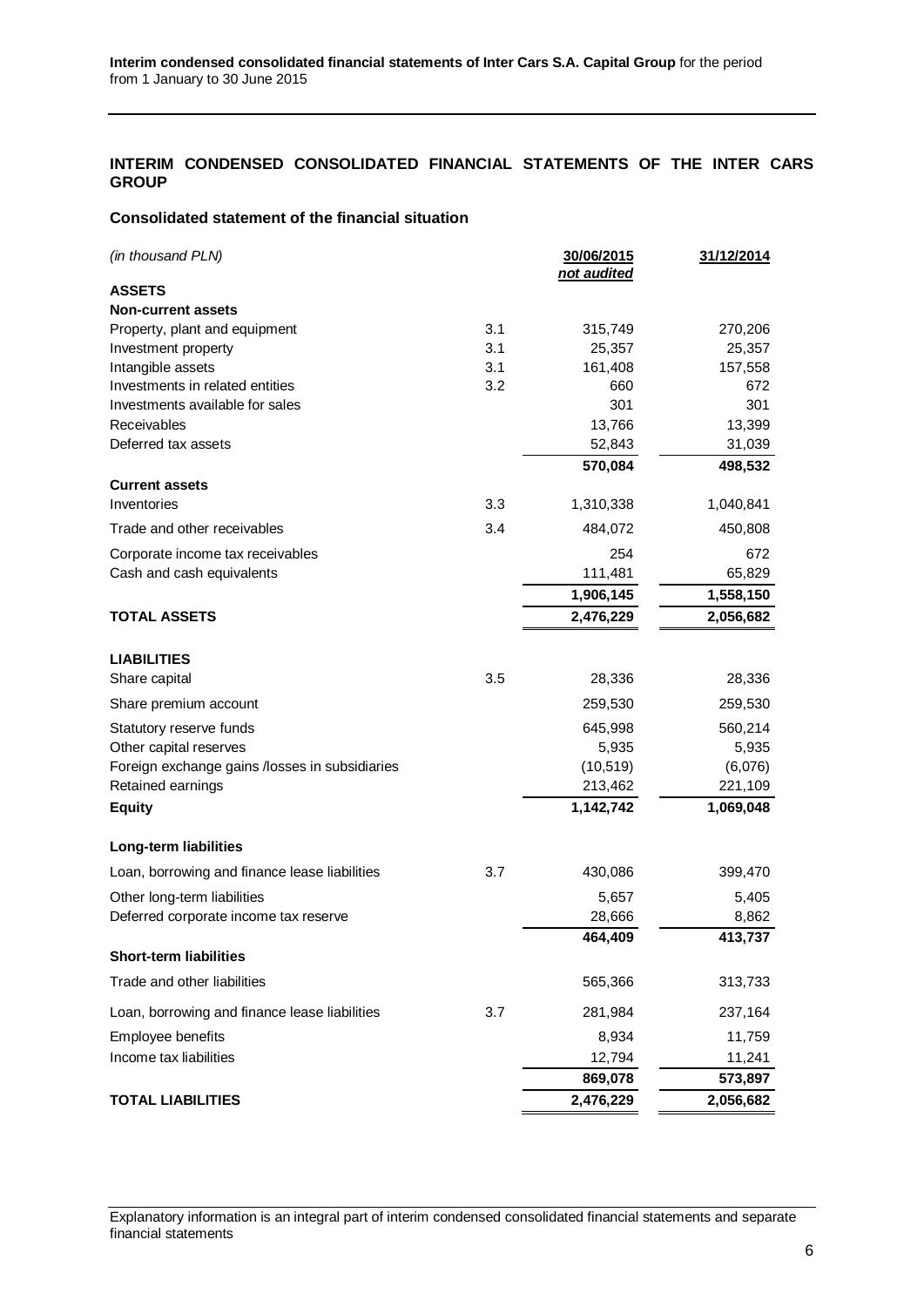## <span id="page-5-0"></span>**INTERIM CONDENSED CONSOLIDATED FINANCIAL STATEMENTS OF THE INTER CARS GROUP**

### <span id="page-5-1"></span>**Consolidated statement of the financial situation**

| (in thousand PLN)                              |            | 30/06/2015<br>not audited | <u>31/12/2014</u> |
|------------------------------------------------|------------|---------------------------|-------------------|
| <b>ASSETS</b>                                  |            |                           |                   |
| <b>Non-current assets</b>                      |            |                           |                   |
| Property, plant and equipment                  | 3.1<br>3.1 | 315,749                   | 270,206           |
| Investment property<br>Intangible assets       | 3.1        | 25,357<br>161,408         | 25,357<br>157,558 |
| Investments in related entities                | 3.2        | 660                       | 672               |
| Investments available for sales                |            | 301                       | 301               |
| Receivables                                    |            | 13,766                    | 13,399            |
| Deferred tax assets                            |            | 52,843                    | 31,039            |
|                                                |            | 570,084                   | 498,532           |
| <b>Current assets</b>                          |            |                           |                   |
| Inventories                                    | 3.3        | 1,310,338                 | 1,040,841         |
| Trade and other receivables                    | 3.4        | 484,072                   | 450,808           |
| Corporate income tax receivables               |            | 254                       | 672               |
| Cash and cash equivalents                      |            | 111,481                   | 65,829            |
|                                                |            | 1,906,145                 | 1,558,150         |
| <b>TOTAL ASSETS</b>                            |            | 2,476,229                 | 2,056,682         |
| <b>LIABILITIES</b>                             |            |                           |                   |
| Share capital                                  | 3.5        | 28,336                    | 28,336            |
| Share premium account                          |            | 259,530                   | 259,530           |
| Statutory reserve funds                        |            | 645,998                   | 560,214           |
| Other capital reserves                         |            | 5,935                     | 5,935             |
| Foreign exchange gains /losses in subsidiaries |            | (10, 519)                 | (6,076)           |
| Retained earnings                              |            | 213,462                   | 221,109           |
| <b>Equity</b>                                  |            | 1,142,742                 | 1,069,048         |
| Long-term liabilities                          |            |                           |                   |
| Loan, borrowing and finance lease liabilities  | 3.7        | 430,086                   | 399,470           |
| Other long-term liabilities                    |            | 5,657                     | 5,405             |
| Deferred corporate income tax reserve          |            | 28,666                    | 8,862             |
|                                                |            | 464,409                   | 413,737           |
| <b>Short-term liabilities</b>                  |            |                           |                   |
| Trade and other liabilities                    |            | 565,366                   | 313,733           |
| Loan, borrowing and finance lease liabilities  | 3.7        | 281,984                   | 237,164           |
| Employee benefits                              |            | 8,934                     | 11,759            |
| Income tax liabilities                         |            | 12,794                    | 11,241            |
|                                                |            | 869,078                   | 573,897           |
| <b>TOTAL LIABILITIES</b>                       |            | 2,476,229                 | 2,056,682         |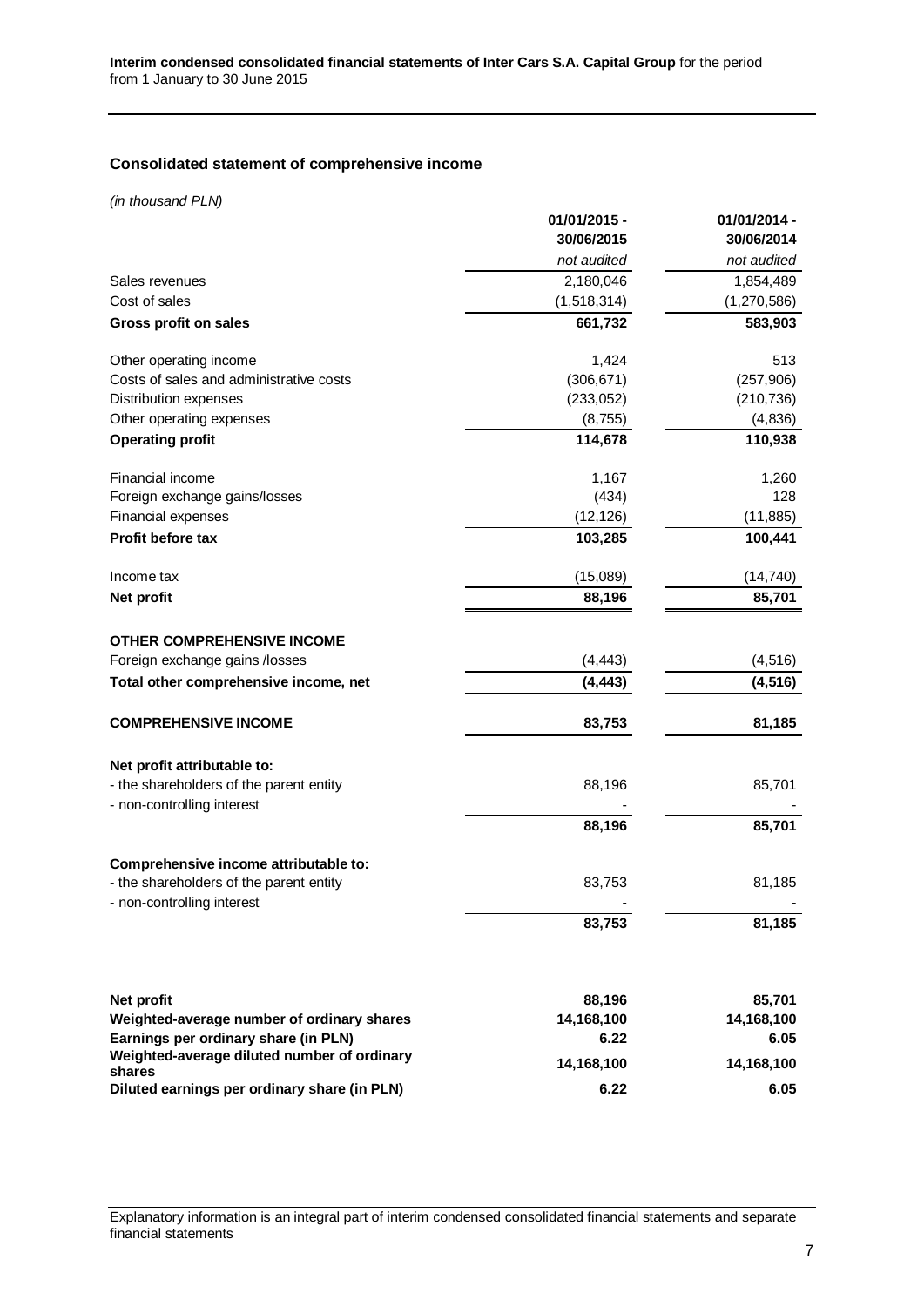# <span id="page-6-0"></span>**Consolidated statement of comprehensive income**

*(in thousand PLN)*

|                                                                       | 01/01/2015 - | 01/01/2014 - |
|-----------------------------------------------------------------------|--------------|--------------|
|                                                                       | 30/06/2015   | 30/06/2014   |
|                                                                       | not audited  | not audited  |
| Sales revenues                                                        | 2,180,046    | 1,854,489    |
| Cost of sales                                                         | (1,518,314)  | (1,270,586)  |
| Gross profit on sales                                                 | 661,732      | 583,903      |
| Other operating income                                                | 1,424        | 513          |
| Costs of sales and administrative costs                               | (306, 671)   | (257, 906)   |
| Distribution expenses                                                 | (233,052)    | (210, 736)   |
| Other operating expenses                                              | (8, 755)     | (4,836)      |
| <b>Operating profit</b>                                               | 114,678      | 110,938      |
| Financial income                                                      | 1,167        | 1,260        |
| Foreign exchange gains/losses                                         | (434)        | 128          |
| Financial expenses                                                    | (12, 126)    | (11, 885)    |
| Profit before tax                                                     | 103,285      | 100,441      |
| Income tax                                                            | (15,089)     | (14, 740)    |
| Net profit                                                            | 88,196       | 85,701       |
| <b>OTHER COMPREHENSIVE INCOME</b>                                     |              |              |
| Foreign exchange gains /losses                                        | (4, 443)     | (4, 516)     |
| Total other comprehensive income, net                                 | (4, 443)     | (4, 516)     |
| <b>COMPREHENSIVE INCOME</b>                                           | 83,753       | 81,185       |
| Net profit attributable to:                                           |              |              |
| - the shareholders of the parent entity                               | 88,196       | 85,701       |
| - non-controlling interest                                            |              |              |
|                                                                       | 88,196       | 85,701       |
| Comprehensive income attributable to:                                 |              |              |
| - the shareholders of the parent entity<br>- non-controlling interest | 83,753       | 81,185       |
|                                                                       | 83,753       | 81,185       |
|                                                                       |              |              |
| Net profit                                                            | 88,196       | 85,701       |
| Weighted-average number of ordinary shares                            | 14,168,100   | 14,168,100   |
| Earnings per ordinary share (in PLN)                                  | 6.22         | 6.05         |
| Weighted-average diluted number of ordinary<br>shares                 | 14,168,100   | 14,168,100   |
| Diluted earnings per ordinary share (in PLN)                          | 6.22         | 6.05         |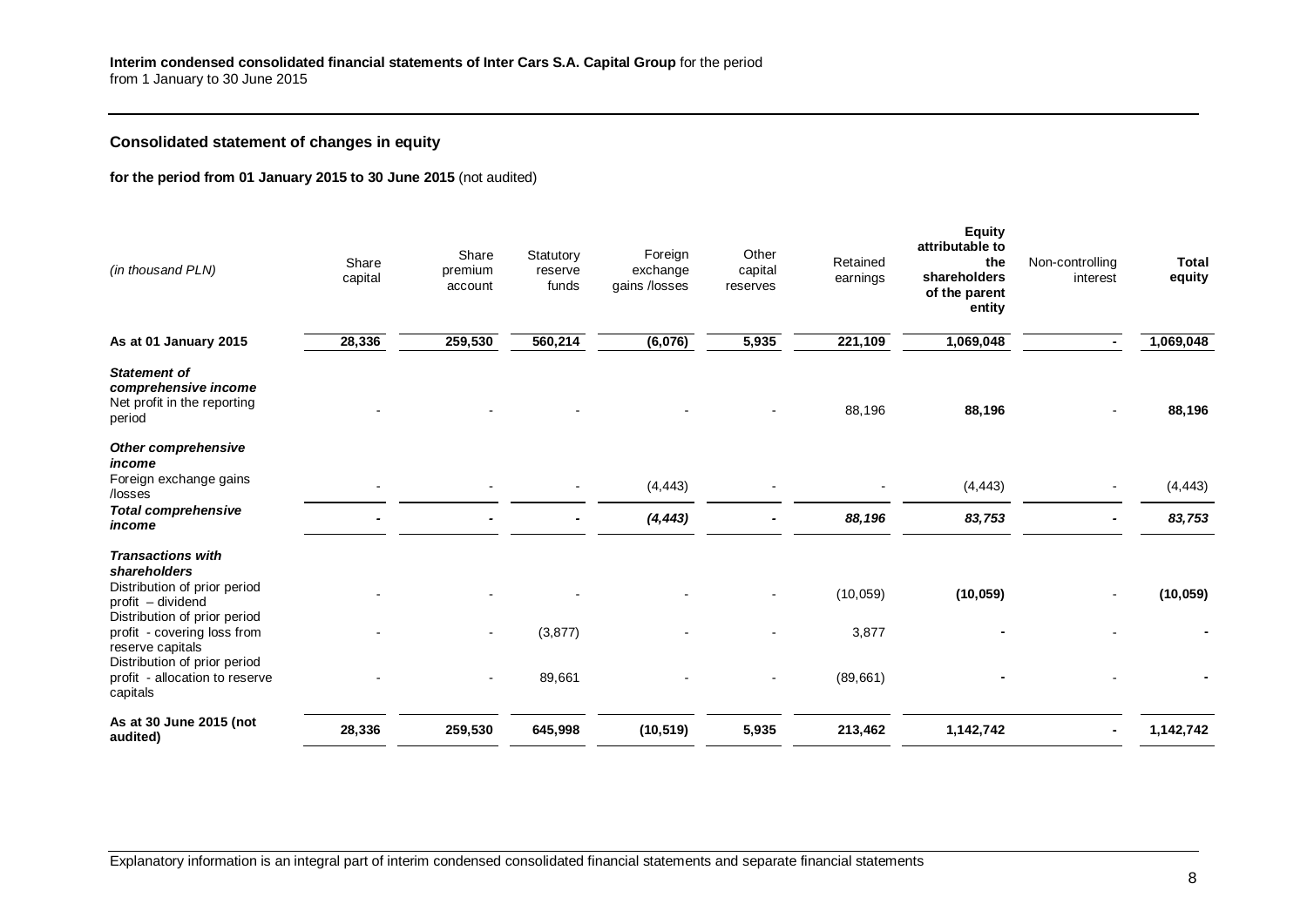# **Consolidated statement of changes in equity**

### **for the period from 01 January 2015 to 30 June 2015** (not audited)

<span id="page-7-0"></span>

| (in thousand PLN)                                                                                                             | Share<br>capital | Share<br>premium<br>account      | Statutory<br>reserve<br>funds | Foreign<br>exchange<br>gains /losses | Other<br>capital<br>reserves | Retained<br>earnings | Equity<br>attributable to<br>the<br>shareholders<br>of the parent<br>entity | Non-controlling<br>interest | <b>Total</b><br>equity |
|-------------------------------------------------------------------------------------------------------------------------------|------------------|----------------------------------|-------------------------------|--------------------------------------|------------------------------|----------------------|-----------------------------------------------------------------------------|-----------------------------|------------------------|
| As at 01 January 2015                                                                                                         | 28,336           | 259,530                          | 560,214                       | (6,076)                              | 5,935                        | 221,109              | 1,069,048                                                                   |                             | 1,069,048              |
| <b>Statement of</b><br>comprehensive income<br>Net profit in the reporting<br>period                                          |                  |                                  |                               |                                      |                              | 88,196               | 88,196                                                                      |                             | 88,196                 |
| <b>Other comprehensive</b><br>income<br>Foreign exchange gains<br>/losses                                                     |                  |                                  |                               | (4, 443)                             |                              |                      | (4, 443)                                                                    |                             | (4, 443)               |
| <b>Total comprehensive</b><br>income                                                                                          |                  |                                  |                               | (4, 443)                             |                              | 88,196               | 83,753                                                                      |                             | 83,753                 |
| <b>Transactions with</b><br>shareholders<br>Distribution of prior period<br>profit - dividend<br>Distribution of prior period |                  |                                  |                               |                                      |                              | (10, 059)            | (10, 059)                                                                   |                             | (10, 059)              |
| profit - covering loss from<br>reserve capitals<br>Distribution of prior period<br>profit - allocation to reserve<br>capitals |                  | $\blacksquare$<br>$\blacksquare$ | (3, 877)<br>89,661            |                                      |                              | 3,877<br>(89, 661)   |                                                                             |                             |                        |
| As at 30 June 2015 (not<br>audited)                                                                                           | 28,336           | 259,530                          | 645,998                       | (10, 519)                            | 5,935                        | 213,462              | 1,142,742                                                                   |                             | 1,142,742              |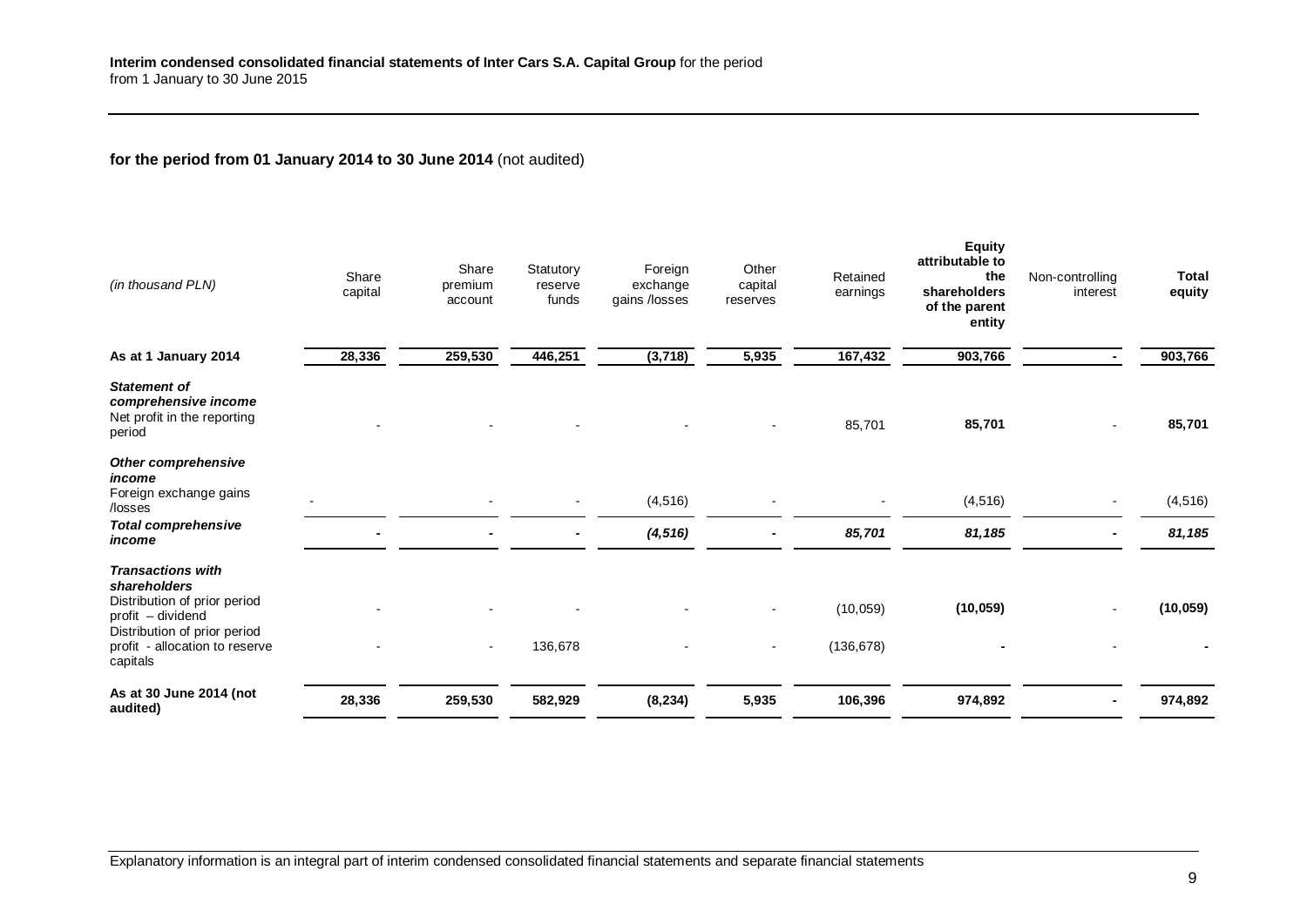# **for the period from 01 January 2014 to 30 June 2014** (not audited)

| (in thousand PLN)                                                                                                                                                           | Share<br>capital | Share<br>premium<br>account | Statutory<br>reserve<br>funds | Foreign<br>exchange<br>gains /losses | Other<br>capital<br>reserves | Retained<br>earnings    | <b>Equity</b><br>attributable to<br>the<br>shareholders<br>of the parent<br>entity | Non-controlling<br>interest | <b>Total</b><br>equity |
|-----------------------------------------------------------------------------------------------------------------------------------------------------------------------------|------------------|-----------------------------|-------------------------------|--------------------------------------|------------------------------|-------------------------|------------------------------------------------------------------------------------|-----------------------------|------------------------|
| As at 1 January 2014                                                                                                                                                        | 28,336           | 259,530                     | 446,251                       | (3,718)                              | 5,935                        | 167,432                 | 903,766                                                                            |                             | 903,766                |
| <b>Statement of</b><br>comprehensive income<br>Net profit in the reporting<br>period                                                                                        |                  |                             |                               |                                      |                              | 85,701                  | 85,701                                                                             |                             | 85,701                 |
| <b>Other comprehensive</b><br>income<br>Foreign exchange gains<br>/losses                                                                                                   |                  |                             |                               | (4, 516)                             |                              |                         | (4, 516)                                                                           |                             | (4, 516)               |
| <b>Total comprehensive</b><br>income                                                                                                                                        |                  |                             |                               | (4, 516)                             |                              | 85,701                  | 81,185                                                                             |                             | 81,185                 |
| <b>Transactions with</b><br>shareholders<br>Distribution of prior period<br>profit - dividend<br>Distribution of prior period<br>profit - allocation to reserve<br>capitals |                  | $\sim$                      | 136,678                       |                                      |                              | (10, 059)<br>(136, 678) | (10, 059)                                                                          |                             | (10, 059)              |
| As at 30 June 2014 (not<br>audited)                                                                                                                                         | 28,336           | 259,530                     | 582,929                       | (8, 234)                             | 5,935                        | 106,396                 | 974,892                                                                            |                             | 974,892                |
|                                                                                                                                                                             |                  |                             |                               |                                      |                              |                         |                                                                                    |                             |                        |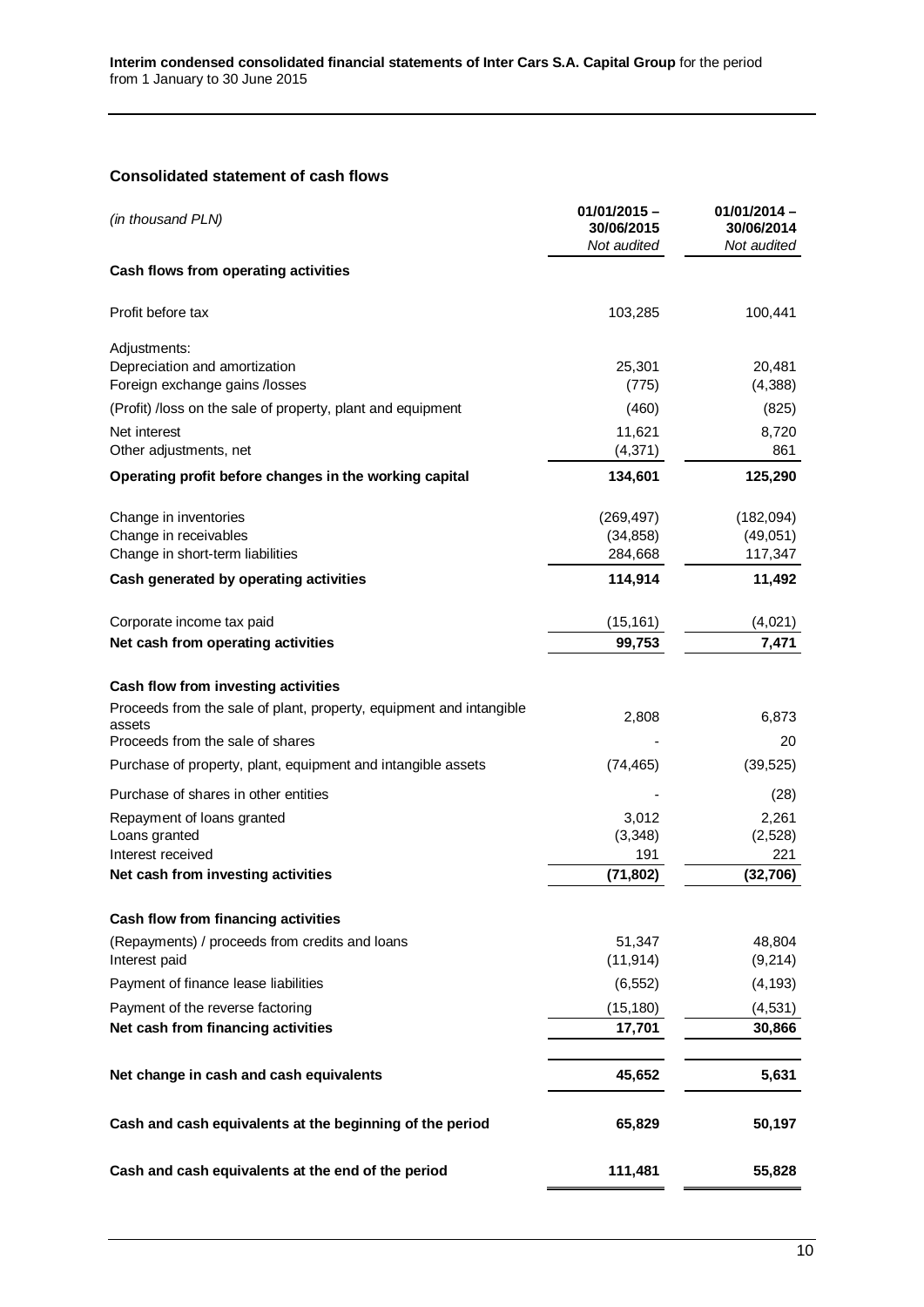# <span id="page-9-0"></span>**Consolidated statement of cash flows**

| (in thousand PLN)                                                   | $01/01/2015 -$<br>30/06/2015<br>Not audited | 01/01/2014 -<br>30/06/2014<br>Not audited |  |
|---------------------------------------------------------------------|---------------------------------------------|-------------------------------------------|--|
| Cash flows from operating activities                                |                                             |                                           |  |
| Profit before tax                                                   | 103,285                                     | 100,441                                   |  |
| Adjustments:                                                        |                                             |                                           |  |
| Depreciation and amortization                                       | 25,301                                      | 20,481                                    |  |
| Foreign exchange gains /losses                                      | (775)                                       | (4,388)                                   |  |
| (Profit) /loss on the sale of property, plant and equipment         | (460)                                       | (825)                                     |  |
| Net interest<br>Other adjustments, net                              | 11,621<br>(4,371)                           | 8,720<br>861                              |  |
| Operating profit before changes in the working capital              | 134,601                                     | 125,290                                   |  |
| Change in inventories                                               | (269, 497)                                  | (182,094)                                 |  |
| Change in receivables                                               | (34, 858)                                   | (49,051)                                  |  |
| Change in short-term liabilities                                    | 284,668                                     | 117,347                                   |  |
| Cash generated by operating activities                              | 114,914                                     | 11,492                                    |  |
| Corporate income tax paid                                           | (15, 161)                                   | (4,021)                                   |  |
| Net cash from operating activities                                  | 99,753                                      | 7,471                                     |  |
| Cash flow from investing activities                                 |                                             |                                           |  |
| Proceeds from the sale of plant, property, equipment and intangible | 2,808                                       | 6,873                                     |  |
| assets<br>Proceeds from the sale of shares                          |                                             | 20                                        |  |
| Purchase of property, plant, equipment and intangible assets        | (74, 465)                                   | (39, 525)                                 |  |
|                                                                     |                                             |                                           |  |
| Purchase of shares in other entities                                |                                             | (28)                                      |  |
| Repayment of loans granted<br>Loans granted                         | 3,012<br>(3,348)                            | 2,261<br>(2,528)                          |  |
| Interest received                                                   | 191                                         | 221                                       |  |
| Net cash from investing activities                                  | (71, 802)                                   | (32,706)                                  |  |
| Cash flow from financing activities                                 |                                             |                                           |  |
| (Repayments) / proceeds from credits and loans                      | 51,347                                      | 48,804                                    |  |
| Interest paid                                                       | (11, 914)                                   | (9,214)                                   |  |
| Payment of finance lease liabilities                                | (6, 552)                                    | (4, 193)                                  |  |
| Payment of the reverse factoring                                    | (15, 180)                                   | (4,531)                                   |  |
| Net cash from financing activities                                  | 17,701                                      | 30,866                                    |  |
| Net change in cash and cash equivalents                             | 45,652                                      | 5,631                                     |  |
| Cash and cash equivalents at the beginning of the period            | 65,829                                      | 50,197                                    |  |
| Cash and cash equivalents at the end of the period                  | 111,481                                     | 55,828                                    |  |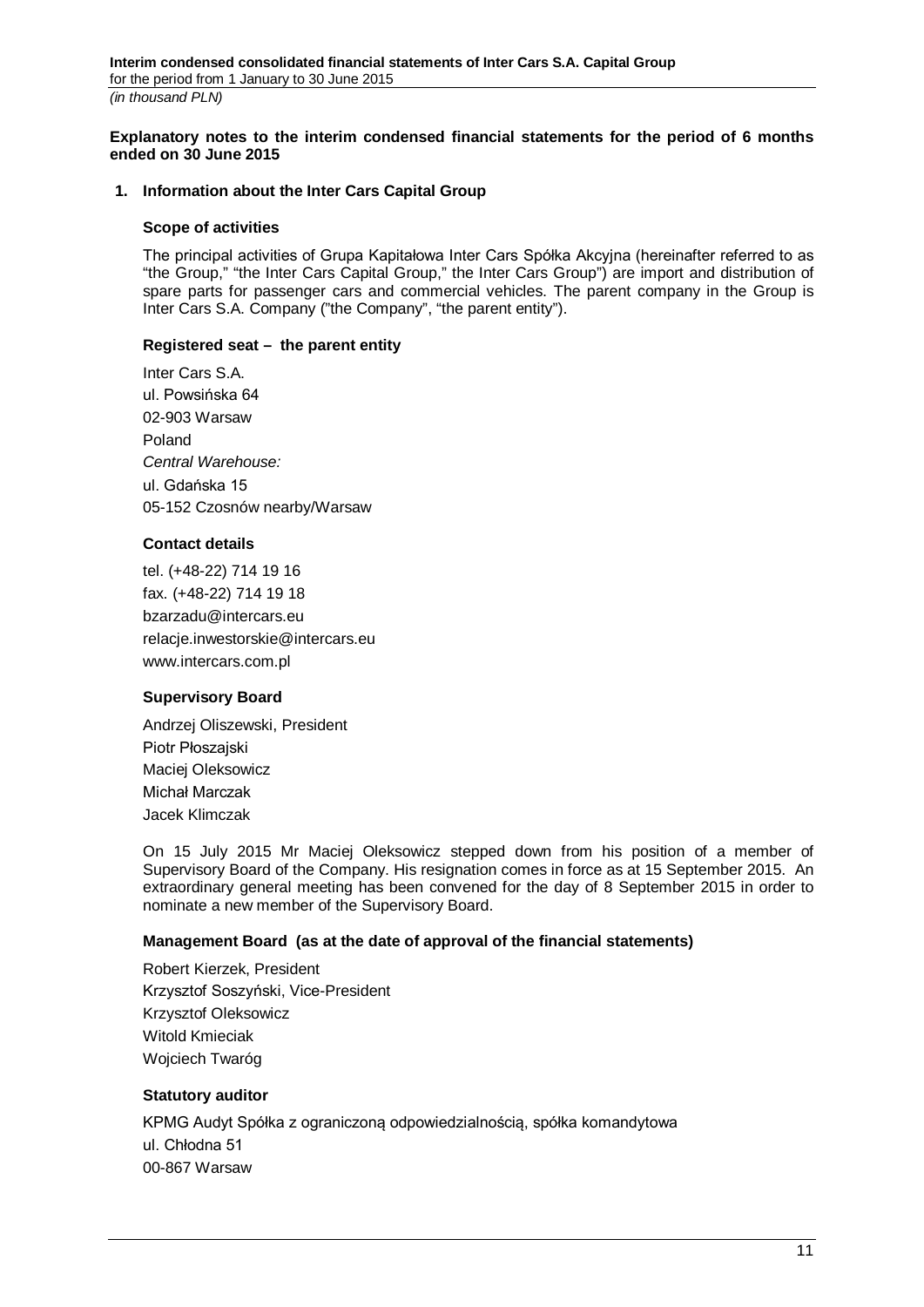<span id="page-10-0"></span>**Explanatory notes to the interim condensed financial statements for the period of 6 months ended on 30 June 2015**

### <span id="page-10-1"></span>**1. Information about the Inter Cars Capital Group**

#### **Scope of activities**

The principal activities of Grupa Kapitałowa Inter Cars Spółka Akcyjna (hereinafter referred to as "the Group," "the Inter Cars Capital Group," the Inter Cars Group") are import and distribution of spare parts for passenger cars and commercial vehicles. The parent company in the Group is Inter Cars S.A. Company ("the Company", "the parent entity").

### **Registered seat – the parent entity**

Inter Cars S.A. ul. Powsińska 64 02-903 Warsaw Poland *Central Warehouse:* ul. Gdańska 15 05-152 Czosnów nearby/Warsaw

### **Contact details**

tel. (+48-22) 714 19 16 fax. (+48-22) 714 19 18 bzarzadu@intercars.eu relacje.inwestorskie@intercars.eu www.intercars.com.pl

## **Supervisory Board**

Andrzej Oliszewski, President Piotr Płoszajski Maciej Oleksowicz Michał Marczak Jacek Klimczak

On 15 July 2015 Mr Maciej Oleksowicz stepped down from his position of a member of Supervisory Board of the Company. His resignation comes in force as at 15 September 2015. An extraordinary general meeting has been convened for the day of 8 September 2015 in order to nominate a new member of the Supervisory Board.

#### **Management Board (as at the date of approval of the financial statements)**

Robert Kierzek, President Krzysztof Soszyński, Vice-President Krzysztof Oleksowicz Witold Kmieciak Wojciech Twaróg

### **Statutory auditor**

KPMG Audyt Spółka z ograniczoną odpowiedzialnością, spółka komandytowa ul. Chłodna 51 00-867 Warsaw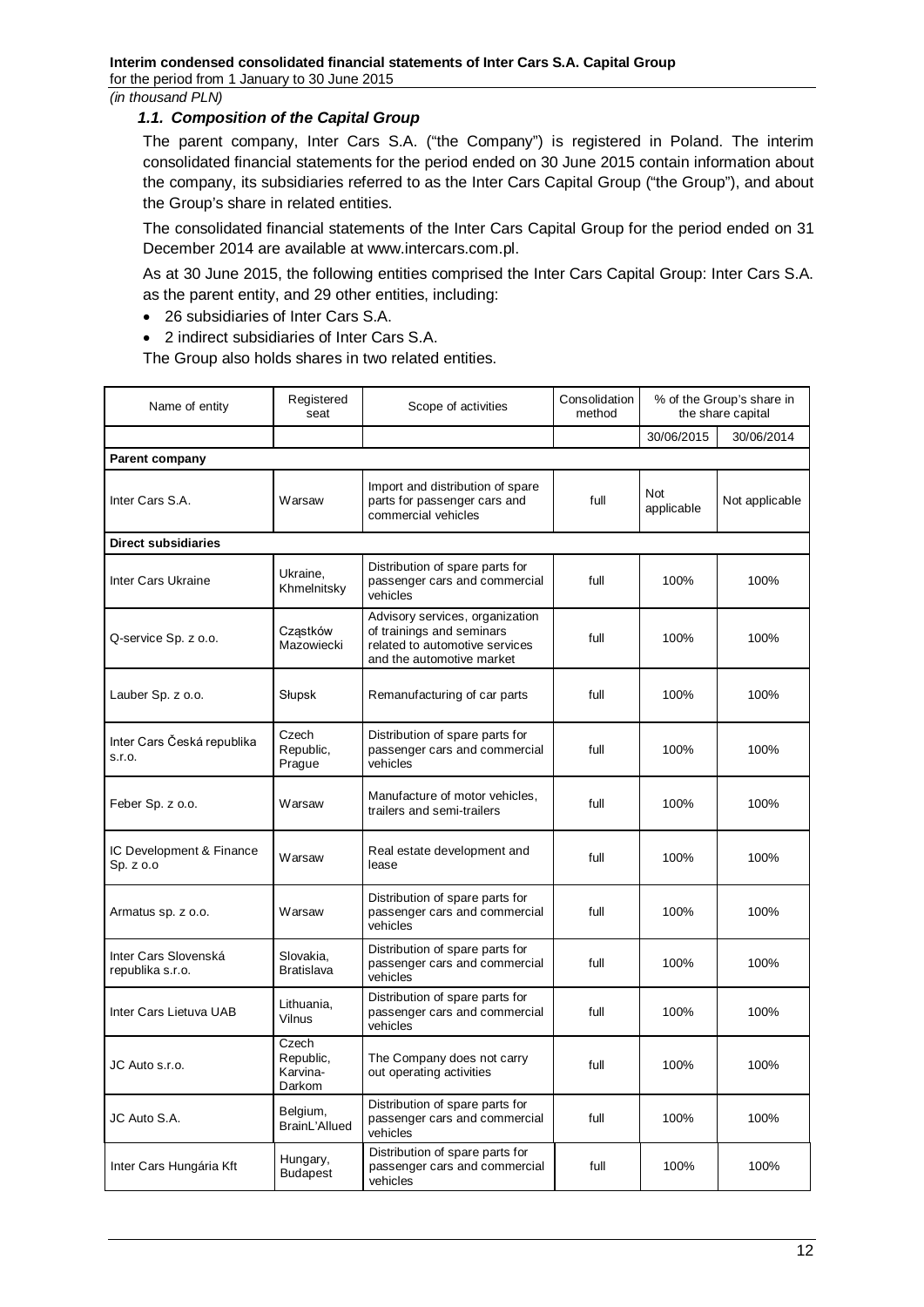## <span id="page-11-0"></span>*1.1. Composition of the Capital Group*

The parent company, Inter Cars S.A. ("the Company") is registered in Poland. The interim consolidated financial statements for the period ended on 30 June 2015 contain information about the company, its subsidiaries referred to as the Inter Cars Capital Group ("the Group"), and about the Group's share in related entities.

The consolidated financial statements of the Inter Cars Capital Group for the period ended on 31 December 2014 are available at www.intercars.com.pl.

As at 30 June 2015, the following entities comprised the Inter Cars Capital Group: Inter Cars S.A. as the parent entity, and 29 other entities, including:

- 26 subsidiaries of Inter Cars S.A.
- 2 indirect subsidiaries of Inter Cars S.A.

The Group also holds shares in two related entities.

| Name of entity                           | Registered<br>seat                       | Scope of activities                                                                                                         | Consolidation<br>method |                          | % of the Group's share in<br>the share capital |
|------------------------------------------|------------------------------------------|-----------------------------------------------------------------------------------------------------------------------------|-------------------------|--------------------------|------------------------------------------------|
|                                          |                                          |                                                                                                                             |                         | 30/06/2015               | 30/06/2014                                     |
| <b>Parent company</b>                    |                                          |                                                                                                                             |                         |                          |                                                |
| Inter Cars S.A.                          | Warsaw                                   | Import and distribution of spare<br>parts for passenger cars and<br>commercial vehicles                                     | full                    | <b>Not</b><br>applicable | Not applicable                                 |
| <b>Direct subsidiaries</b>               |                                          |                                                                                                                             |                         |                          |                                                |
| Inter Cars Ukraine                       | Ukraine,<br>Khmelnitsky                  | Distribution of spare parts for<br>passenger cars and commercial<br>vehicles                                                | full                    | 100%                     | 100%                                           |
| Q-service Sp. z o.o.                     | Cząstków<br>Mazowiecki                   | Advisory services, organization<br>of trainings and seminars<br>related to automotive services<br>and the automotive market | full                    | 100%                     | 100%                                           |
| Lauber Sp. z o.o.                        | Słupsk                                   | Remanufacturing of car parts                                                                                                | full                    | 100%                     | 100%                                           |
| Inter Cars Česká republika<br>S.I.O.     | Czech<br>Republic,<br>Prague             | Distribution of spare parts for<br>passenger cars and commercial<br>vehicles                                                | full                    | 100%                     | 100%                                           |
| Feber Sp. z o.o.                         | Warsaw                                   | Manufacture of motor vehicles,<br>trailers and semi-trailers                                                                | full                    | 100%                     | 100%                                           |
| IC Development & Finance<br>Sp. z o.o    | Warsaw                                   | Real estate development and<br>lease                                                                                        | full                    | 100%                     | 100%                                           |
| Armatus sp. z o.o.                       | Warsaw                                   | Distribution of spare parts for<br>passenger cars and commercial<br>vehicles                                                | full                    | 100%                     | 100%                                           |
| Inter Cars Slovenská<br>republika s.r.o. | Slovakia,<br><b>Bratislava</b>           | Distribution of spare parts for<br>passenger cars and commercial<br>vehicles                                                | full                    | 100%                     | 100%                                           |
| Inter Cars Lietuva UAB                   | Lithuania,<br>Vilnus                     | Distribution of spare parts for<br>passenger cars and commercial<br>vehicles                                                | full                    | 100%                     | 100%                                           |
| JC Auto s.r.o.                           | Czech<br>Republic,<br>Karvina-<br>Darkom | The Company does not carry<br>out operating activities                                                                      | full                    | 100%                     | 100%                                           |
| JC Auto S.A.                             | Belgium,<br>BrainL'Allued                | Distribution of spare parts for<br>passenger cars and commercial<br>vehicles                                                | full                    | 100%                     | 100%                                           |
| Inter Cars Hungária Kft                  | Hungary,<br><b>Budapest</b>              | Distribution of spare parts for<br>passenger cars and commercial<br>vehicles                                                | full                    | 100%                     | 100%                                           |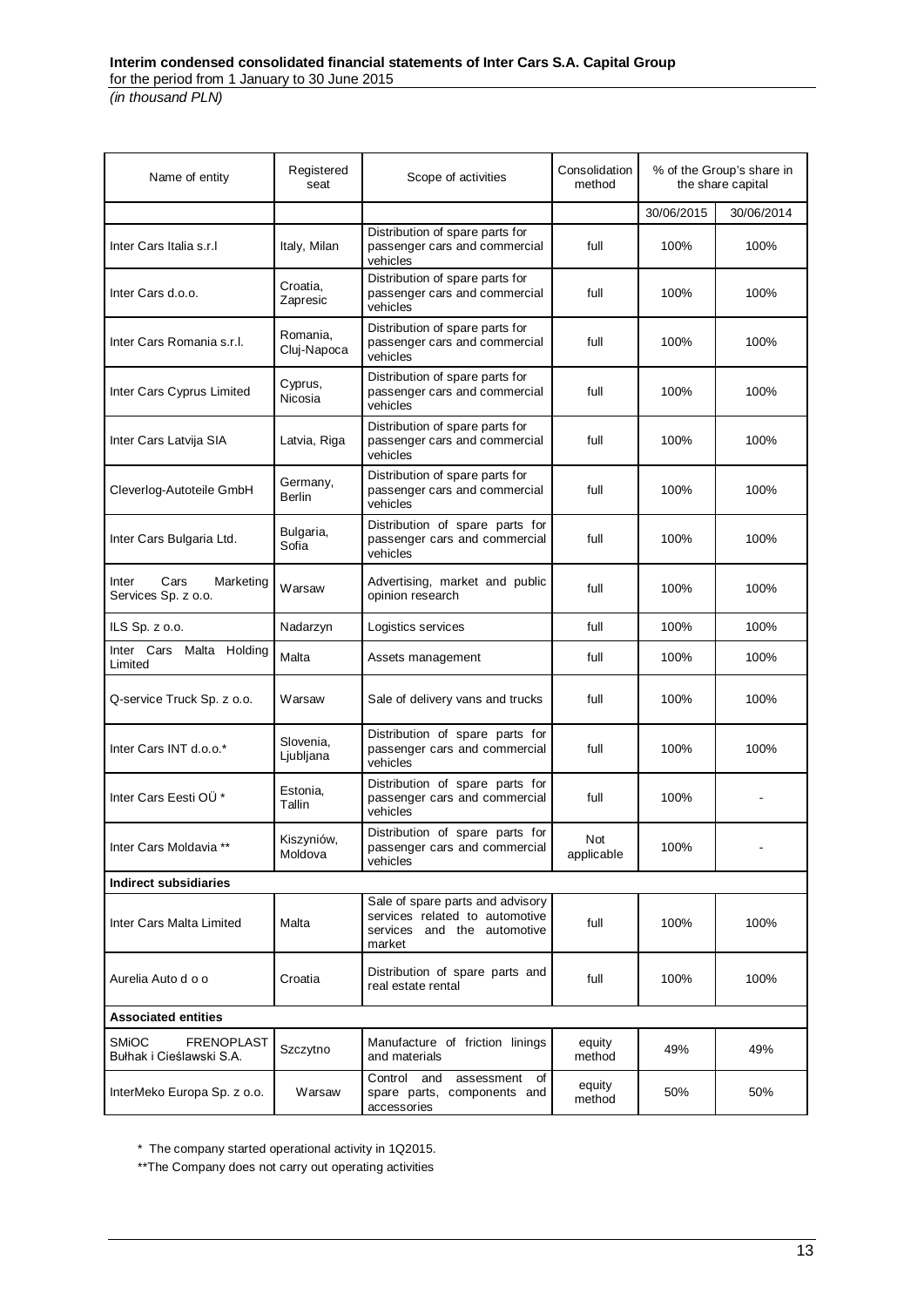| Name of entity                                                | Registered<br>seat                                               | Scope of activities                                                                                         | Consolidation<br>method | % of the Group's share in<br>the share capital |            |
|---------------------------------------------------------------|------------------------------------------------------------------|-------------------------------------------------------------------------------------------------------------|-------------------------|------------------------------------------------|------------|
|                                                               |                                                                  |                                                                                                             |                         | 30/06/2015                                     | 30/06/2014 |
| Inter Cars Italia s.r.I                                       | Italy, Milan                                                     | Distribution of spare parts for<br>passenger cars and commercial<br>vehicles                                | full                    | 100%                                           | 100%       |
| Inter Cars d.o.o.                                             | Croatia,<br>Zapresic                                             | Distribution of spare parts for<br>passenger cars and commercial<br>vehicles                                | full                    | 100%                                           | 100%       |
| Inter Cars Romania s.r.l.                                     | Romania.<br>Cluj-Napoca                                          | Distribution of spare parts for<br>passenger cars and commercial<br>vehicles                                | full                    | 100%                                           | 100%       |
| Inter Cars Cyprus Limited                                     | Cyprus,<br>Nicosia                                               | Distribution of spare parts for<br>passenger cars and commercial<br>vehicles                                | full                    | 100%                                           | 100%       |
| Inter Cars Latvija SIA                                        | Latvia, Riga                                                     | Distribution of spare parts for<br>passenger cars and commercial<br>vehicles                                | full                    | 100%                                           | 100%       |
| Cleverlog-Autoteile GmbH                                      | Germany,<br><b>Berlin</b>                                        | Distribution of spare parts for<br>passenger cars and commercial<br>vehicles                                | full                    | 100%                                           | 100%       |
| Inter Cars Bulgaria Ltd.                                      | Bulgaria,<br>Sofia                                               | Distribution of spare parts for<br>passenger cars and commercial<br>vehicles                                | full                    | 100%                                           | 100%       |
| Cars<br>Inter<br>Marketing<br>Services Sp. z o.o.             | Warsaw                                                           | Advertising, market and public<br>opinion research                                                          | full                    | 100%                                           | 100%       |
| ILS Sp. z o.o.                                                | Nadarzyn                                                         | Logistics services                                                                                          | full                    | 100%                                           | 100%       |
| Inter Cars Malta Holding<br>Limited                           | Malta                                                            | Assets management                                                                                           | full                    | 100%                                           | 100%       |
| Q-service Truck Sp. z o.o.                                    | Warsaw                                                           | Sale of delivery vans and trucks                                                                            | full                    | 100%                                           | 100%       |
| Inter Cars INT d.o.o.*                                        | Slovenia,<br>Ljubljana                                           | Distribution of spare parts for<br>passenger cars and commercial<br>vehicles                                | full                    | 100%                                           | 100%       |
| Inter Cars Eesti OÜ <sup>*</sup>                              | Estonia,<br>Tallin                                               | Distribution of spare parts for<br>passenger cars and commercial<br>vehicles                                | full                    | 100%                                           |            |
| Inter Cars Moldavia **                                        | Kiszyniów,<br>Moldova                                            | Distribution of spare parts for<br>passenger cars and commercial<br>vehicles                                | Not<br>applicable       | 100%                                           |            |
| <b>Indirect subsidiaries</b>                                  |                                                                  |                                                                                                             |                         |                                                |            |
| Inter Cars Malta Limited                                      | Malta                                                            | Sale of spare parts and advisory<br>services related to automotive<br>services and the automotive<br>market | full                    | 100%                                           | 100%       |
| Aurelia Auto d o o                                            | Distribution of spare parts and<br>Croatia<br>real estate rental |                                                                                                             | full                    | 100%                                           | 100%       |
| <b>Associated entities</b>                                    |                                                                  |                                                                                                             |                         |                                                |            |
| <b>SMIOC</b><br><b>FRENOPLAST</b><br>Bułhak i Cieślawski S.A. | Szczytno                                                         | Manufacture of friction linings<br>and materials                                                            | equity<br>method        | 49%                                            | 49%        |
| InterMeko Europa Sp. z o.o.                                   | Warsaw                                                           | Control<br>and<br>assessment<br>of<br>spare parts, components and<br>accessories                            | equity<br>method        | 50%                                            | 50%        |

\* The company started operational activity in 1Q2015.

\*\*The Company does not carry out operating activities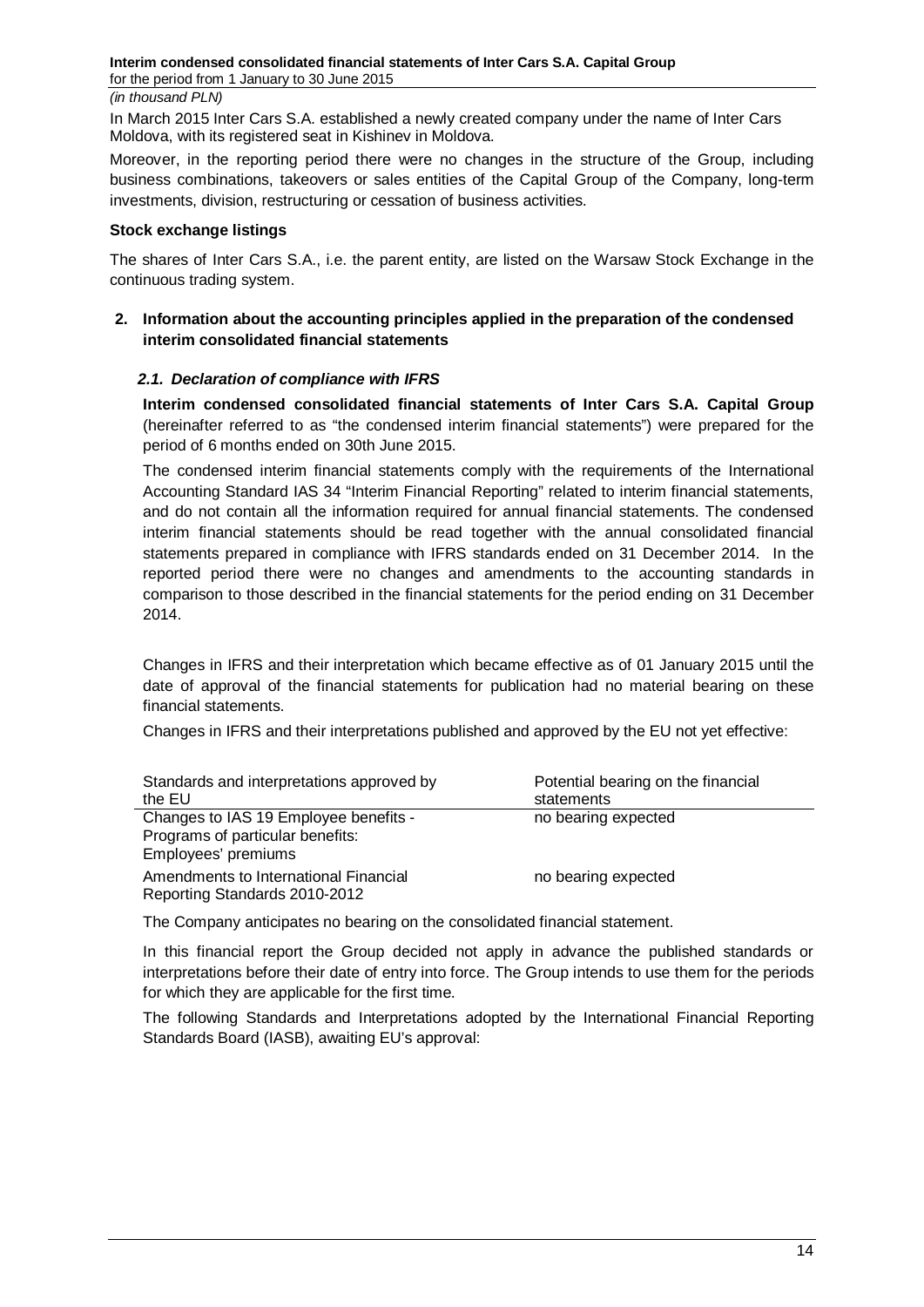In March 2015 Inter Cars S.A. established a newly created company under the name of Inter Cars Moldova, with its registered seat in Kishinev in Moldova.

Moreover, in the reporting period there were no changes in the structure of the Group, including business combinations, takeovers or sales entities of the Capital Group of the Company, long-term investments, division, restructuring or cessation of business activities.

### **Stock exchange listings**

The shares of Inter Cars S.A., i.e. the parent entity, are listed on the Warsaw Stock Exchange in the continuous trading system.

# <span id="page-13-0"></span>**2. Information about the accounting principles applied in the preparation of the condensed interim consolidated financial statements**

## <span id="page-13-1"></span>*2.1. Declaration of compliance with IFRS*

**Interim condensed consolidated financial statements of Inter Cars S.A. Capital Group** (hereinafter referred to as "the condensed interim financial statements") were prepared for the period of 6 months ended on 30th June 2015.

The condensed interim financial statements comply with the requirements of the International Accounting Standard IAS 34 "Interim Financial Reporting" related to interim financial statements, and do not contain all the information required for annual financial statements. The condensed interim financial statements should be read together with the annual consolidated financial statements prepared in compliance with IFRS standards ended on 31 December 2014. In the reported period there were no changes and amendments to the accounting standards in comparison to those described in the financial statements for the period ending on 31 December 2014.

Changes in IFRS and their interpretation which became effective as of 01 January 2015 until the date of approval of the financial statements for publication had no material bearing on these financial statements.

Changes in IFRS and their interpretations published and approved by the EU not yet effective:

| Standards and interpretations approved by<br>the EU                                              | Potential bearing on the financial<br>statements |
|--------------------------------------------------------------------------------------------------|--------------------------------------------------|
| Changes to IAS 19 Employee benefits -<br>Programs of particular benefits:<br>Employees' premiums | no bearing expected                              |
| Amendments to International Financial<br>Reporting Standards 2010-2012                           | no bearing expected                              |

The Company anticipates no bearing on the consolidated financial statement.

In this financial report the Group decided not apply in advance the published standards or interpretations before their date of entry into force. The Group intends to use them for the periods for which they are applicable for the first time.

The following Standards and Interpretations adopted by the International Financial Reporting Standards Board (IASB), awaiting EU's approval: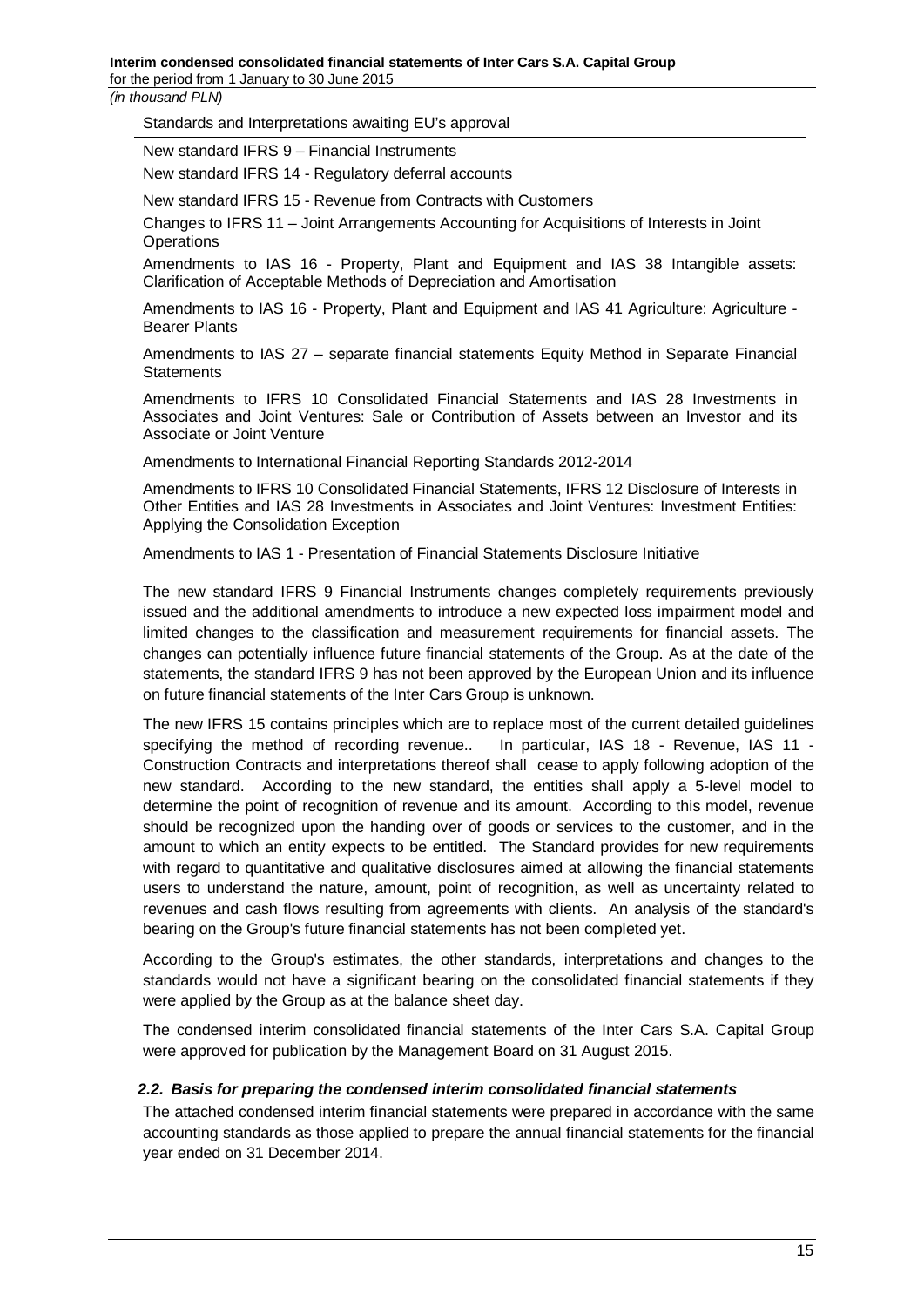for the period from 1 January to 30 June 2015

*(in thousand PLN)*

Standards and Interpretations awaiting EU's approval

New standard IFRS 9 – Financial Instruments

New standard IFRS 14 - Regulatory deferral accounts

New standard IFRS 15 - Revenue from Contracts with Customers

Changes to IFRS 11 – Joint Arrangements Accounting for Acquisitions of Interests in Joint **Operations** 

Amendments to IAS 16 - Property, Plant and Equipment and IAS 38 Intangible assets: Clarification of Acceptable Methods of Depreciation and Amortisation

Amendments to IAS 16 - Property, Plant and Equipment and IAS 41 Agriculture: Agriculture - Bearer Plants

Amendments to IAS 27 – separate financial statements Equity Method in Separate Financial **Statements** 

Amendments to IFRS 10 Consolidated Financial Statements and IAS 28 Investments in Associates and Joint Ventures: Sale or Contribution of Assets between an Investor and its Associate or Joint Venture

Amendments to International Financial Reporting Standards 2012-2014

Amendments to IFRS 10 Consolidated Financial Statements, IFRS 12 Disclosure of Interests in Other Entities and IAS 28 Investments in Associates and Joint Ventures: Investment Entities: Applying the Consolidation Exception

Amendments to IAS 1 - Presentation of Financial Statements Disclosure Initiative

The new standard IFRS 9 Financial Instruments changes completely requirements previously issued and the additional amendments to introduce a new expected loss impairment model and limited changes to the classification and measurement requirements for financial assets. The changes can potentially influence future financial statements of the Group. As at the date of the statements, the standard IFRS 9 has not been approved by the European Union and its influence on future financial statements of the Inter Cars Group is unknown.

The new IFRS 15 contains principles which are to replace most of the current detailed guidelines specifying the method of recording revenue.. In particular, IAS 18 - Revenue, IAS 11 - Construction Contracts and interpretations thereof shall cease to apply following adoption of the new standard. According to the new standard, the entities shall apply a 5-level model to determine the point of recognition of revenue and its amount. According to this model, revenue should be recognized upon the handing over of goods or services to the customer, and in the amount to which an entity expects to be entitled. The Standard provides for new requirements with regard to quantitative and qualitative disclosures aimed at allowing the financial statements users to understand the nature, amount, point of recognition, as well as uncertainty related to revenues and cash flows resulting from agreements with clients. An analysis of the standard's bearing on the Group's future financial statements has not been completed yet.

According to the Group's estimates, the other standards, interpretations and changes to the standards would not have a significant bearing on the consolidated financial statements if they were applied by the Group as at the balance sheet day.

The condensed interim consolidated financial statements of the Inter Cars S.A. Capital Group were approved for publication by the Management Board on 31 August 2015.

## <span id="page-14-0"></span>*2.2. Basis for preparing the condensed interim consolidated financial statements*

The attached condensed interim financial statements were prepared in accordance with the same accounting standards as those applied to prepare the annual financial statements for the financial year ended on 31 December 2014.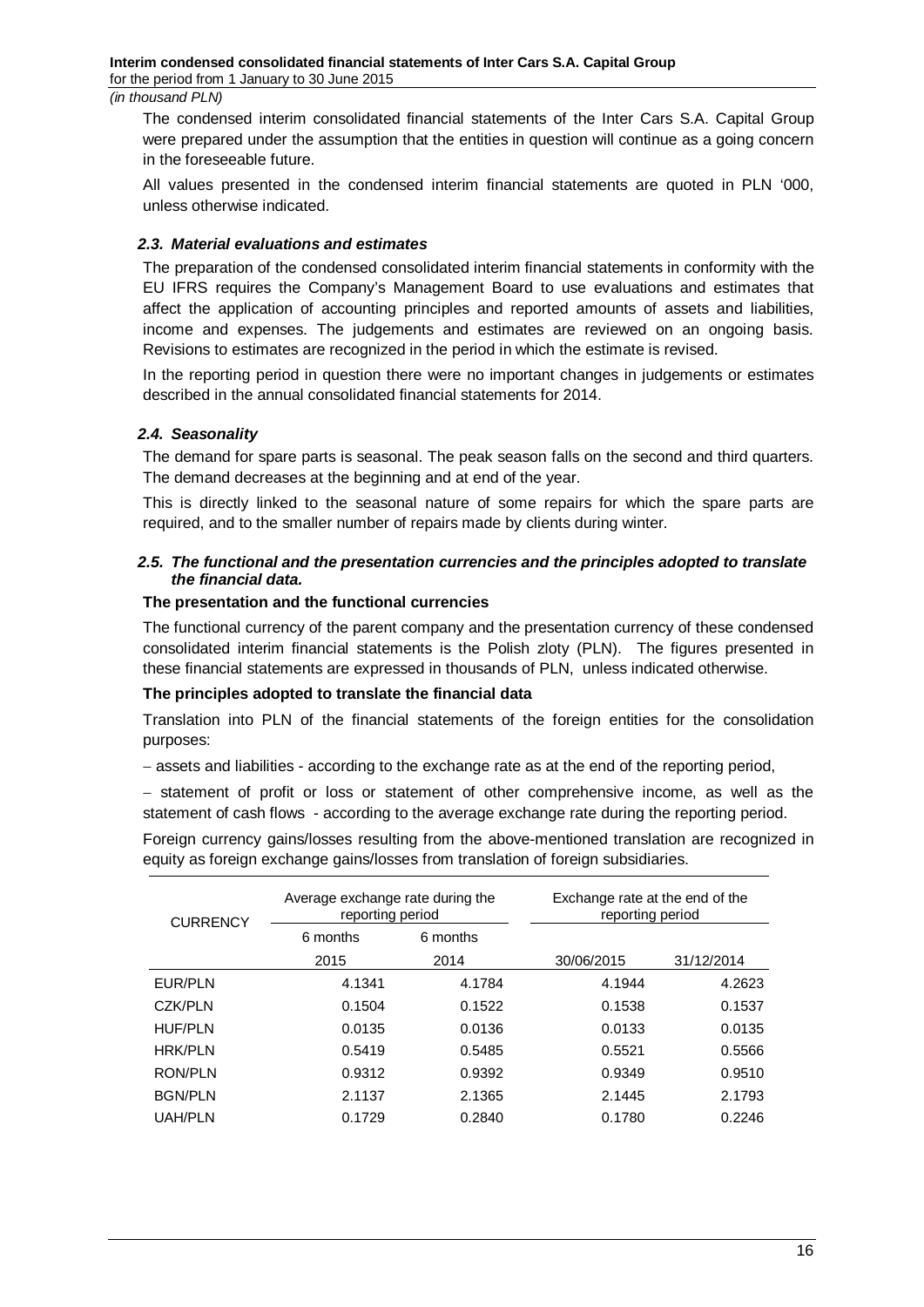The condensed interim consolidated financial statements of the Inter Cars S.A. Capital Group were prepared under the assumption that the entities in question will continue as a going concern in the foreseeable future.

All values presented in the condensed interim financial statements are quoted in PLN '000, unless otherwise indicated.

### <span id="page-15-0"></span>*2.3. Material evaluations and estimates*

The preparation of the condensed consolidated interim financial statements in conformity with the EU IFRS requires the Company's Management Board to use evaluations and estimates that affect the application of accounting principles and reported amounts of assets and liabilities, income and expenses. The judgements and estimates are reviewed on an ongoing basis. Revisions to estimates are recognized in the period in which the estimate is revised.

In the reporting period in question there were no important changes in judgements or estimates described in the annual consolidated financial statements for 2014.

### <span id="page-15-1"></span>*2.4. Seasonality*

The demand for spare parts is seasonal. The peak season falls on the second and third quarters. The demand decreases at the beginning and at end of the year.

This is directly linked to the seasonal nature of some repairs for which the spare parts are required, and to the smaller number of repairs made by clients during winter.

### <span id="page-15-2"></span>*2.5. The functional and the presentation currencies and the principles adopted to translate the financial data.*

## **The presentation and the functional currencies**

The functional currency of the parent company and the presentation currency of these condensed consolidated interim financial statements is the Polish zloty (PLN). The figures presented in these financial statements are expressed in thousands of PLN, unless indicated otherwise.

#### **The principles adopted to translate the financial data**

Translation into PLN of the financial statements of the foreign entities for the consolidation purposes:

− assets and liabilities - according to the exchange rate as at the end of the reporting period,

− statement of profit or loss or statement of other comprehensive income, as well as the statement of cash flows - according to the average exchange rate during the reporting period.

Foreign currency gains/losses resulting from the above-mentioned translation are recognized in equity as foreign exchange gains/losses from translation of foreign subsidiaries.

| <b>CURRENCY</b> | Average exchange rate during the<br>reporting period |          | Exchange rate at the end of the<br>reporting period |            |
|-----------------|------------------------------------------------------|----------|-----------------------------------------------------|------------|
|                 | 6 months                                             | 6 months |                                                     |            |
|                 | 2015                                                 | 2014     | 30/06/2015                                          | 31/12/2014 |
| EUR/PLN         | 4.1341                                               | 4.1784   | 4.1944                                              | 4.2623     |
| CZK/PLN         | 0.1504                                               | 0.1522   | 0.1538                                              | 0.1537     |
| <b>HUF/PLN</b>  | 0.0135                                               | 0.0136   | 0.0133                                              | 0.0135     |
| <b>HRK/PLN</b>  | 0.5419                                               | 0.5485   | 0.5521                                              | 0.5566     |
| <b>RON/PLN</b>  | 0.9312                                               | 0.9392   | 0.9349                                              | 0.9510     |
| <b>BGN/PLN</b>  | 2.1137                                               | 2.1365   | 2.1445                                              | 2.1793     |
| <b>UAH/PLN</b>  | 0.1729                                               | 0.2840   | 0.1780                                              | 0.2246     |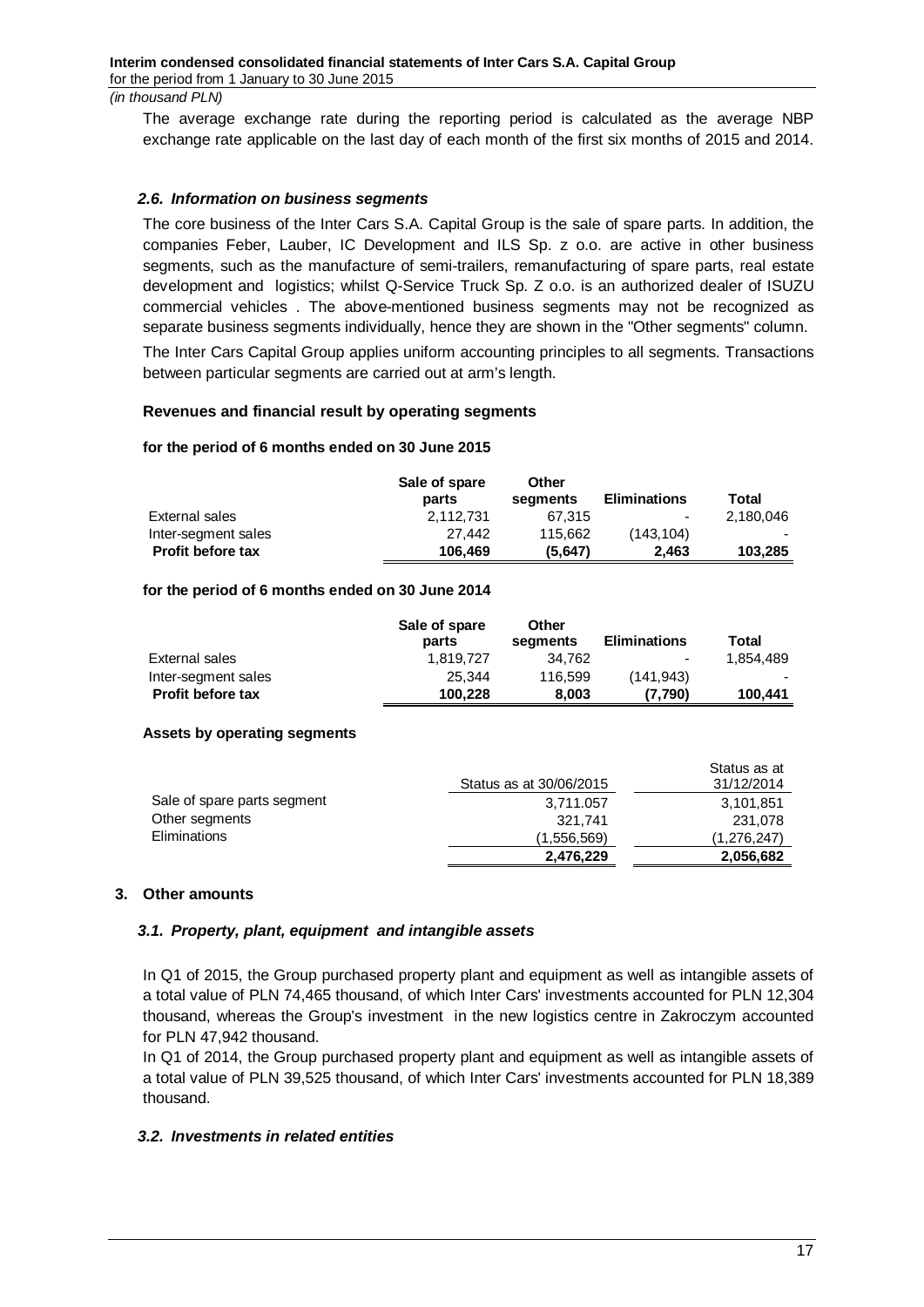The average exchange rate during the reporting period is calculated as the average NBP exchange rate applicable on the last day of each month of the first six months of 2015 and 2014.

## <span id="page-16-0"></span>*2.6. Information on business segments*

The core business of the Inter Cars S.A. Capital Group is the sale of spare parts. In addition, the companies Feber, Lauber, IC Development and ILS Sp. z o.o. are active in other business segments, such as the manufacture of semi-trailers, remanufacturing of spare parts, real estate development and logistics; whilst Q-Service Truck Sp. Z o.o. is an authorized dealer of ISUZU commercial vehicles . The above-mentioned business segments may not be recognized as separate business segments individually, hence they are shown in the "Other segments" column. The Inter Cars Capital Group applies uniform accounting principles to all segments. Transactions between particular segments are carried out at arm's length.

### **Revenues and financial result by operating segments**

### **for the period of 6 months ended on 30 June 2015**

|                          | Sale of spare<br>parts | Other<br>seaments | <b>Eliminations</b> | Total     |
|--------------------------|------------------------|-------------------|---------------------|-----------|
| External sales           | 2.112.731              | 67.315            | $\blacksquare$      | 2.180.046 |
| Inter-segment sales      | 27.442                 | 115.662           | (143.104)           |           |
| <b>Profit before tax</b> | 106.469                | (5.647)           | 2.463               | 103.285   |

### **for the period of 6 months ended on 30 June 2014**

|                          | Sale of spare<br>parts | Other<br>segments | <b>Eliminations</b>      | Total     |
|--------------------------|------------------------|-------------------|--------------------------|-----------|
| External sales           | 1.819.727              | 34.762            | $\overline{\phantom{0}}$ | 1.854.489 |
| Inter-segment sales      | 25.344                 | 116.599           | (141.943)                |           |
| <b>Profit before tax</b> | 100.228                | 8.003             | (7.790)                  | 100,441   |

## **Assets by operating segments**

|                             | Status as at 30/06/2015 | Status as at<br>31/12/2014 |
|-----------------------------|-------------------------|----------------------------|
| Sale of spare parts segment | 3,711.057               | 3,101,851                  |
| Other segments              | 321.741                 | 231,078                    |
| <b>Eliminations</b>         | (1,556,569)             | (1,276,247)                |
|                             | 2,476,229               | 2,056,682                  |

## <span id="page-16-1"></span>**3. Other amounts**

## <span id="page-16-2"></span>*3.1. Property, plant, equipment and intangible assets*

In Q1 of 2015, the Group purchased property plant and equipment as well as intangible assets of a total value of PLN 74,465 thousand, of which Inter Cars' investments accounted for PLN 12,304 thousand, whereas the Group's investment in the new logistics centre in Zakroczym accounted for PLN 47,942 thousand.

In Q1 of 2014, the Group purchased property plant and equipment as well as intangible assets of a total value of PLN 39,525 thousand, of which Inter Cars' investments accounted for PLN 18,389 thousand.

## <span id="page-16-3"></span>*3.2. Investments in related entities*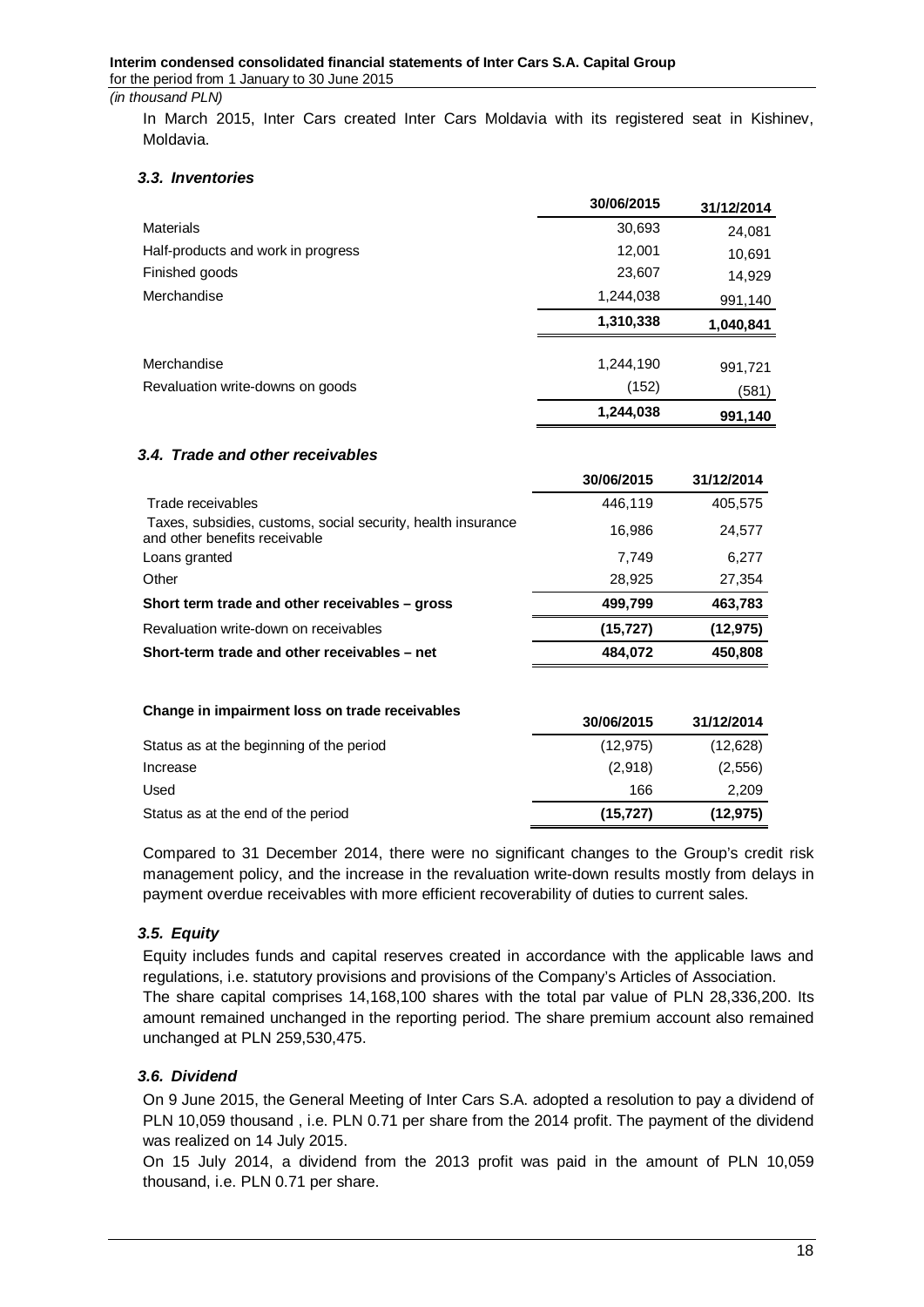In March 2015, Inter Cars created Inter Cars Moldavia with its registered seat in Kishinev, Moldavia.

## <span id="page-17-0"></span>*3.3. Inventories*

|                                    | 30/06/2015 | 31/12/2014 |
|------------------------------------|------------|------------|
| Materials                          | 30,693     | 24,081     |
| Half-products and work in progress | 12,001     | 10,691     |
| Finished goods                     | 23,607     | 14,929     |
| Merchandise                        | 1,244,038  | 991,140    |
|                                    | 1,310,338  | 1,040,841  |
| Merchandise                        | 1,244,190  | 991,721    |
| Revaluation write-downs on goods   | (152)      | (581)      |
|                                    | 1,244,038  | 991,140    |

## <span id="page-17-1"></span>*3.4. Trade and other receivables*

|                                                                                               | 30/06/2015 | 31/12/2014 |
|-----------------------------------------------------------------------------------------------|------------|------------|
| Trade receivables                                                                             | 446,119    | 405,575    |
| Taxes, subsidies, customs, social security, health insurance<br>and other benefits receivable | 16,986     | 24,577     |
| Loans granted                                                                                 | 7,749      | 6,277      |
| Other                                                                                         | 28,925     | 27,354     |
| Short term trade and other receivables - gross                                                | 499,799    | 463,783    |
| Revaluation write-down on receivables                                                         | (15, 727)  | (12, 975)  |
| Short-term trade and other receivables - net                                                  | 484,072    | 450,808    |
|                                                                                               |            |            |

| Change in impairment loss on trade receivables | 30/06/2015 | 31/12/2014 |
|------------------------------------------------|------------|------------|
| Status as at the beginning of the period       | (12, 975)  | (12,628)   |
| Increase                                       | (2,918)    | (2, 556)   |
| Used                                           | 166        | 2,209      |
| Status as at the end of the period             | (15, 727)  | (12, 975)  |

Compared to 31 December 2014, there were no significant changes to the Group's credit risk management policy, and the increase in the revaluation write-down results mostly from delays in payment overdue receivables with more efficient recoverability of duties to current sales.

## <span id="page-17-2"></span>*3.5. Equity*

Equity includes funds and capital reserves created in accordance with the applicable laws and regulations, i.e. statutory provisions and provisions of the Company's Articles of Association. The share capital comprises 14,168,100 shares with the total par value of PLN 28,336,200. Its amount remained unchanged in the reporting period. The share premium account also remained unchanged at PLN 259,530,475.

## <span id="page-17-3"></span>*3.6. Dividend*

On 9 June 2015, the General Meeting of Inter Cars S.A. adopted a resolution to pay a dividend of PLN 10,059 thousand , i.e. PLN 0.71 per share from the 2014 profit. The payment of the dividend was realized on 14 July 2015.

On 15 July 2014, a dividend from the 2013 profit was paid in the amount of PLN 10,059 thousand, i.e. PLN 0.71 per share.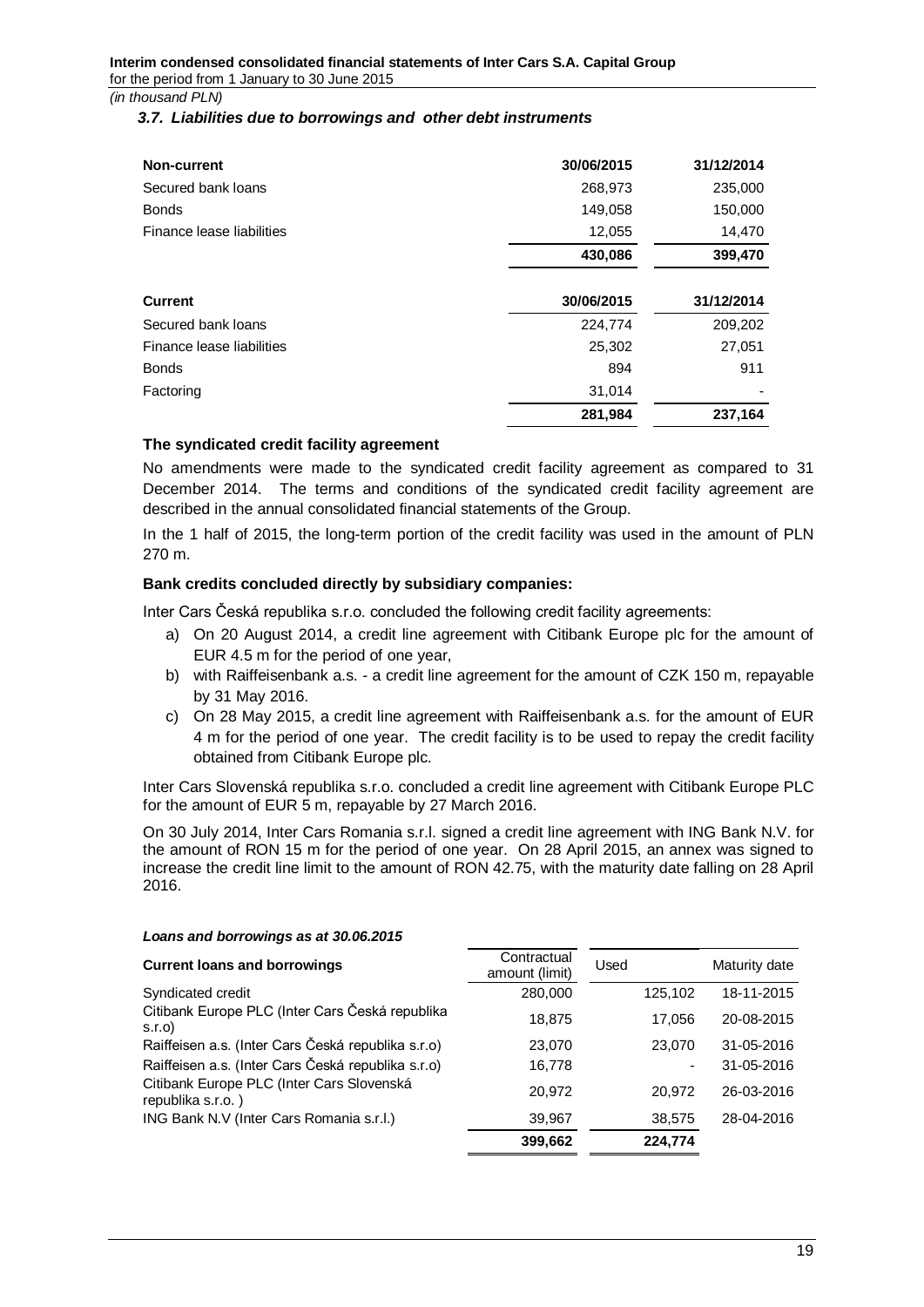### <span id="page-18-0"></span>*3.7. Liabilities due to borrowings and other debt instruments*

| Non-current               | 30/06/2015 | 31/12/2014 |
|---------------------------|------------|------------|
| Secured bank loans        | 268,973    | 235,000    |
| <b>Bonds</b>              | 149,058    | 150,000    |
| Finance lease liabilities | 12,055     | 14,470     |
|                           | 430,086    | 399,470    |
| <b>Current</b>            | 30/06/2015 | 31/12/2014 |
| Secured bank loans        | 224,774    | 209,202    |
| Finance lease liabilities | 25,302     | 27,051     |
| <b>Bonds</b>              | 894        | 911        |
| Factoring                 | 31,014     |            |
|                           | 281,984    | 237,164    |

## **The syndicated credit facility agreement**

No amendments were made to the syndicated credit facility agreement as compared to 31 December 2014. The terms and conditions of the syndicated credit facility agreement are described in the annual consolidated financial statements of the Group.

In the 1 half of 2015, the long-term portion of the credit facility was used in the amount of PLN 270 m.

# **Bank credits concluded directly by subsidiary companies:**

Inter Cars Česká republika s.r.o. concluded the following credit facility agreements:

- a) On 20 August 2014, a credit line agreement with Citibank Europe plc for the amount of EUR 4.5 m for the period of one year,
- b) with Raiffeisenbank a.s. a credit line agreement for the amount of CZK 150 m, repayable by 31 May 2016.
- c) On 28 May 2015, a credit line agreement with Raiffeisenbank a.s. for the amount of EUR 4 m for the period of one year. The credit facility is to be used to repay the credit facility obtained from Citibank Europe plc.

Inter Cars Slovenská republika s.r.o. concluded a credit line agreement with Citibank Europe PLC for the amount of EUR 5 m, repayable by 27 March 2016.

On 30 July 2014, Inter Cars Romania s.r.l. signed a credit line agreement with ING Bank N.V. for the amount of RON 15 m for the period of one year. On 28 April 2015, an annex was signed to increase the credit line limit to the amount of RON 42.75, with the maturity date falling on 28 April 2016.

#### *Loans and borrowings as at 30.06.2015*

| <b>Current loans and borrowings</b>                            | Contractual<br>amount (limit) | Used    | Maturity date |
|----------------------------------------------------------------|-------------------------------|---------|---------------|
| Syndicated credit                                              | 280,000                       | 125,102 | 18-11-2015    |
| Citibank Europe PLC (Inter Cars Česká republika<br>S.I.O       | 18,875                        | 17,056  | 20-08-2015    |
| Raiffeisen a.s. (Inter Cars Česká republika s.r.o)             | 23,070                        | 23,070  | 31-05-2016    |
| Raiffeisen a.s. (Inter Cars Česká republika s.r.o)             | 16,778                        |         | 31-05-2016    |
| Citibank Europe PLC (Inter Cars Slovenská<br>republika s.r.o.) | 20,972                        | 20,972  | 26-03-2016    |
| ING Bank N.V (Inter Cars Romania s.r.l.)                       | 39,967                        | 38,575  | 28-04-2016    |
|                                                                | 399,662                       | 224,774 |               |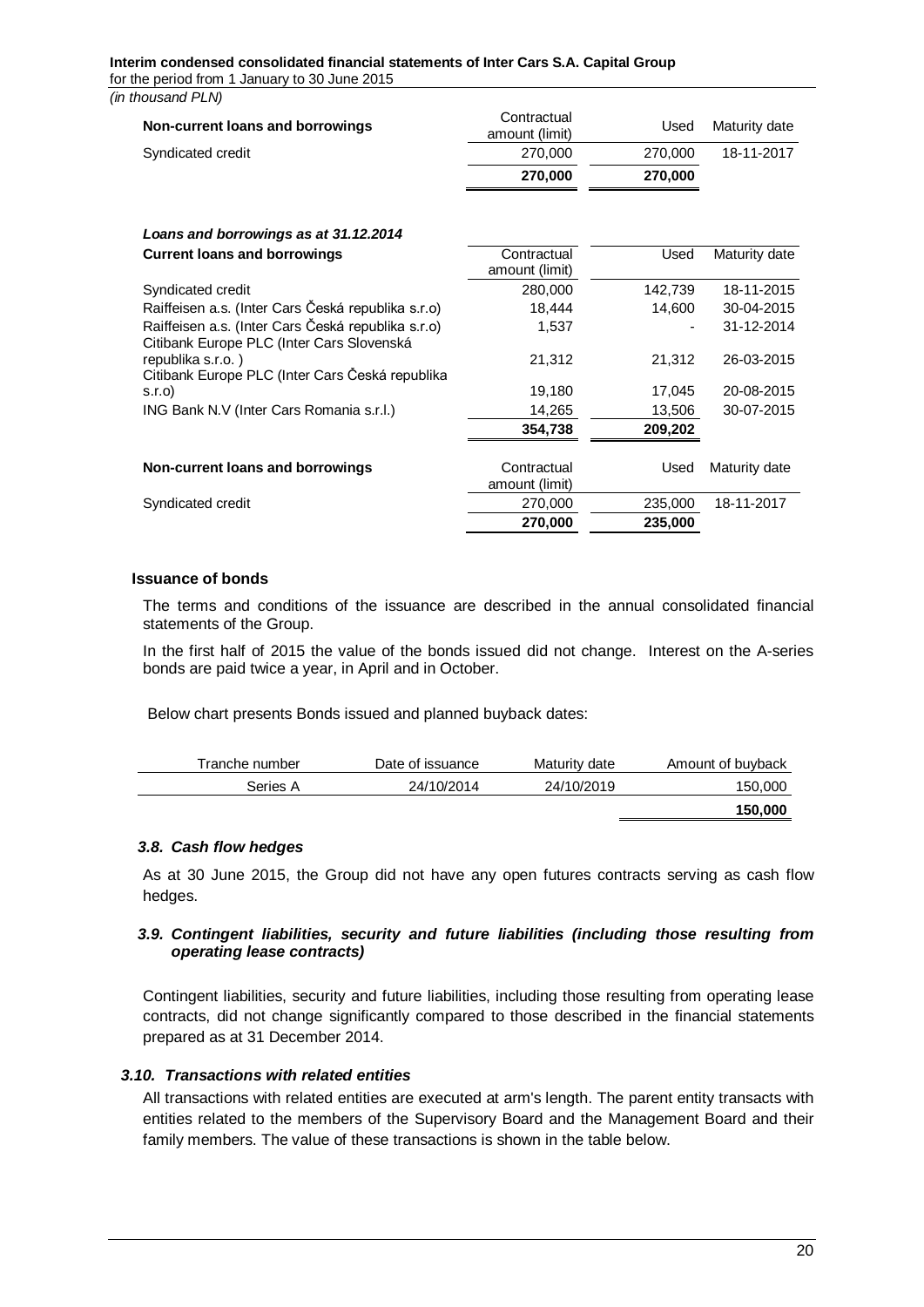#### **Interim condensed consolidated financial statements of Inter Cars S.A. Capital Group**  for the period from 1 January to 30 June 2015

*(in thousand PLN)*

| Contractual<br>amount (limit) | Used    | Maturity date |
|-------------------------------|---------|---------------|
| 270,000                       | 270,000 | 18-11-2017    |
| 270,000                       | 270,000 |               |
|                               |         |               |
|                               |         |               |
| Contractual<br>amount (limit) | Used    | Maturity date |
| 280,000                       | 142,739 | 18-11-2015    |
| 18,444                        | 14,600  | 30-04-2015    |
| 1,537                         |         | 31-12-2014    |
| 21,312                        | 21,312  | 26-03-2015    |
| 19,180                        | 17,045  | 20-08-2015    |
| 14,265                        | 13,506  | 30-07-2015    |
| 354,738                       | 209,202 |               |
| Contractual<br>amount (limit) | Used    | Maturity date |
| 270,000                       | 235,000 | 18-11-2017    |
| 270,000                       | 235,000 |               |
|                               |         |               |

#### **Issuance of bonds**

The terms and conditions of the issuance are described in the annual consolidated financial statements of the Group.

In the first half of 2015 the value of the bonds issued did not change. Interest on the A-series bonds are paid twice a year, in April and in October.

Below chart presents Bonds issued and planned buyback dates:

| Tranche number | Date of issuance | Maturity date | Amount of buyback |
|----------------|------------------|---------------|-------------------|
| Series A       | 24/10/2014       | 24/10/2019    | 150,000           |
|                |                  |               | 150,000           |

## <span id="page-19-0"></span>*3.8. Cash flow hedges*

As at 30 June 2015, the Group did not have any open futures contracts serving as cash flow hedges.

## <span id="page-19-1"></span>*3.9. Contingent liabilities, security and future liabilities (including those resulting from operating lease contracts)*

Contingent liabilities, security and future liabilities, including those resulting from operating lease contracts, did not change significantly compared to those described in the financial statements prepared as at 31 December 2014.

#### <span id="page-19-2"></span>*3.10. Transactions with related entities*

All transactions with related entities are executed at arm's length. The parent entity transacts with entities related to the members of the Supervisory Board and the Management Board and their family members. The value of these transactions is shown in the table below.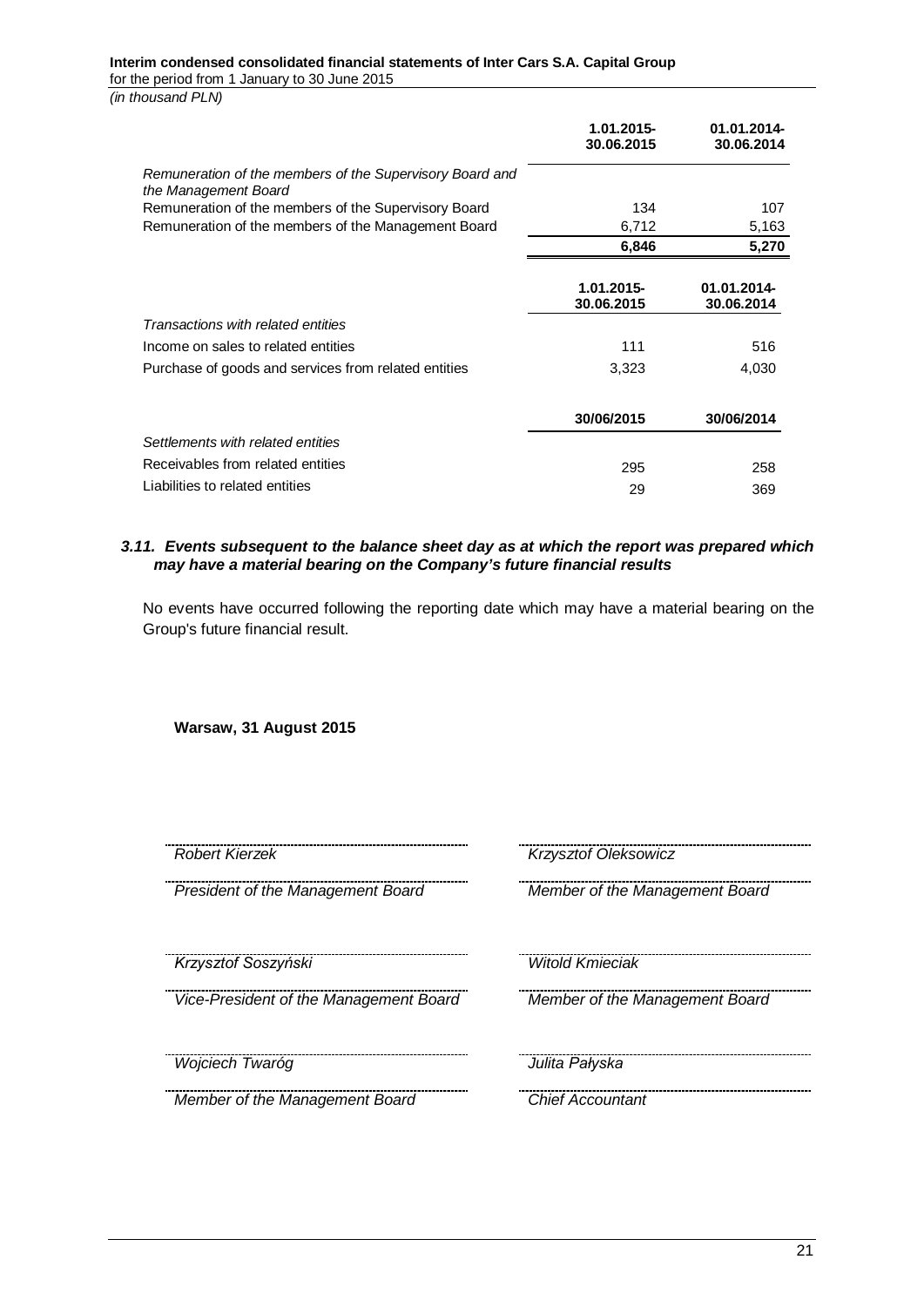### **Interim condensed consolidated financial statements of Inter Cars S.A. Capital Group**

for the period from 1 January to 30 June 2015

*(in thousand PLN)*

|                                                                                  | 1.01.2015-<br>30.06.2015 | 01.01.2014-<br>30.06.2014 |
|----------------------------------------------------------------------------------|--------------------------|---------------------------|
| Remuneration of the members of the Supervisory Board and<br>the Management Board |                          |                           |
| Remuneration of the members of the Supervisory Board                             | 134                      | 107                       |
| Remuneration of the members of the Management Board                              | 6,712                    | 5,163                     |
|                                                                                  | 6,846                    | 5,270                     |
|                                                                                  | 1.01.2015-<br>30.06.2015 | 01.01.2014-<br>30.06.2014 |
| Transactions with related entities                                               |                          |                           |
| Income on sales to related entities                                              | 111                      | 516                       |
| Purchase of goods and services from related entities                             | 3,323                    | 4,030                     |
|                                                                                  | 30/06/2015               | 30/06/2014                |
| Settlements with related entities                                                |                          |                           |
| Receivables from related entities                                                | 295                      | 258                       |
| Liabilities to related entities                                                  | 29                       | 369                       |

### <span id="page-20-0"></span>*3.11. Events subsequent to the balance sheet day as at which the report was prepared which may have a material bearing on the Company's future financial results*

No events have occurred following the reporting date which may have a material bearing on the Group's future financial result.

**Warsaw, 31 August 2015**

*President of the Management Board Member of the Management Board*

*Krzysztof Soszyński Witold Kmieciak*

*Vice-President of the Management Board Member of the Management Board*

*Wojciech Twaróg Julita Pałyska*

*Member of the Management Board Chief Accountant*

*Robert Kierzek Krzysztof Oleksowicz*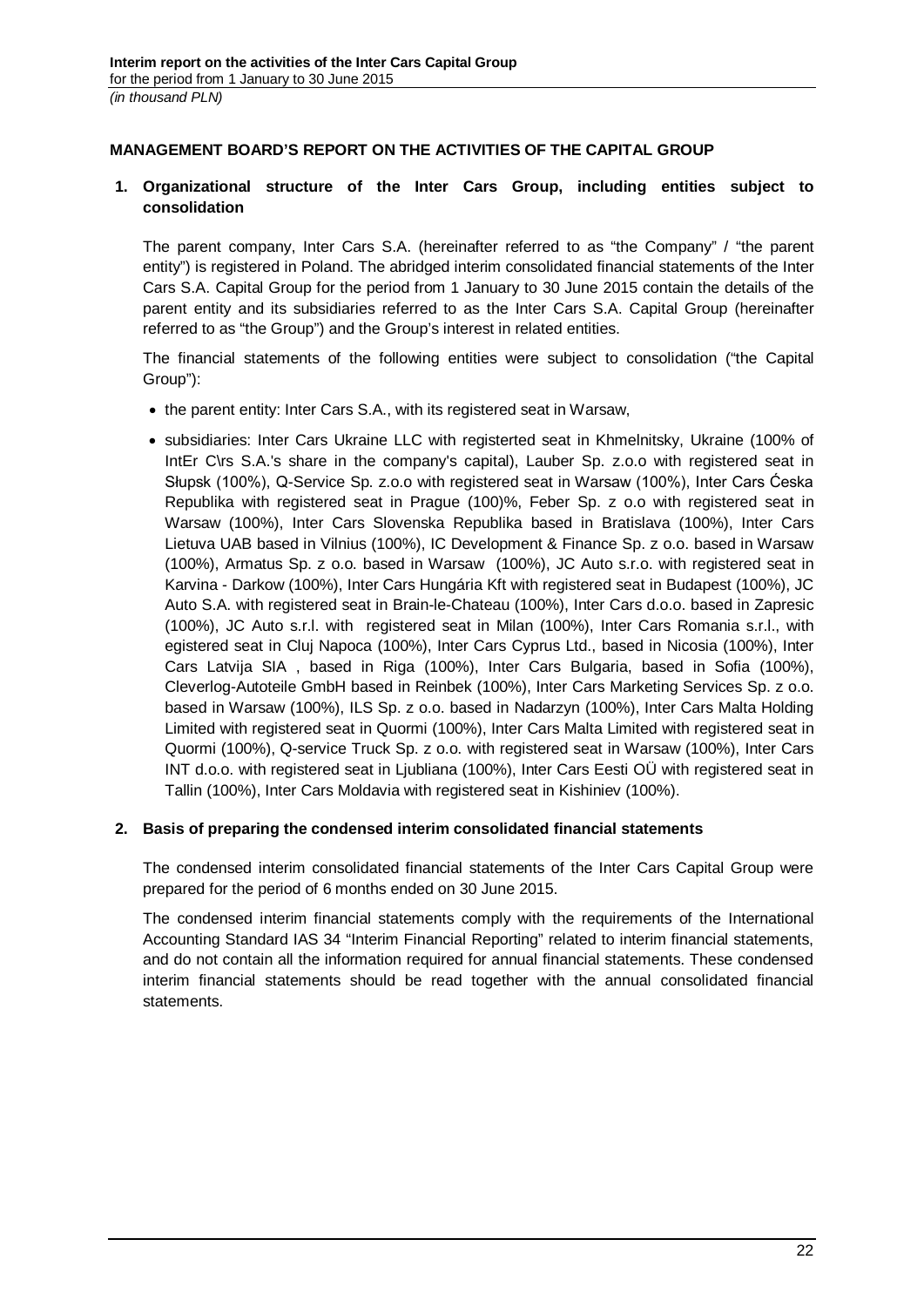# <span id="page-21-0"></span>**MANAGEMENT BOARD'S REPORT ON THE ACTIVITIES OF THE CAPITAL GROUP**

# <span id="page-21-1"></span>**1. Organizational structure of the Inter Cars Group, including entities subject to consolidation**

The parent company, Inter Cars S.A. (hereinafter referred to as "the Company" / "the parent entity") is registered in Poland. The abridged interim consolidated financial statements of the Inter Cars S.A. Capital Group for the period from 1 January to 30 June 2015 contain the details of the parent entity and its subsidiaries referred to as the Inter Cars S.A. Capital Group (hereinafter referred to as "the Group") and the Group's interest in related entities.

The financial statements of the following entities were subject to consolidation ("the Capital Group"):

- the parent entity: Inter Cars S.A., with its registered seat in Warsaw,
- subsidiaries: Inter Cars Ukraine LLC with registerted seat in Khmelnitsky, Ukraine (100% of IntEr C\rs S.A.'s share in the company's capital), Lauber Sp. z.o.o with registered seat in Słupsk (100%), Q-Service Sp. z.o.o with registered seat in Warsaw (100%), Inter Cars Ćeska Republika with registered seat in Prague (100)%, Feber Sp. z o.o with registered seat in Warsaw (100%), Inter Cars Slovenska Republika based in Bratislava (100%), Inter Cars Lietuva UAB based in Vilnius (100%), IC Development & Finance Sp. z o.o. based in Warsaw (100%), Armatus Sp. z o.o. based in Warsaw (100%), JC Auto s.r.o. with registered seat in Karvina - Darkow (100%), Inter Cars Hungária Kft with registered seat in Budapest (100%), JC Auto S.A. with registered seat in Brain-le-Chateau (100%), Inter Cars d.o.o. based in Zapresic (100%), JC Auto s.r.l. with registered seat in Milan (100%), Inter Cars Romania s.r.l., with egistered seat in Cluj Napoca (100%), Inter Cars Cyprus Ltd., based in Nicosia (100%), Inter Cars Latvija SIA , based in Riga (100%), Inter Cars Bulgaria, based in Sofia (100%), Cleverlog-Autoteile GmbH based in Reinbek (100%), Inter Cars Marketing Services Sp. z o.o. based in Warsaw (100%), ILS Sp. z o.o. based in Nadarzyn (100%), Inter Cars Malta Holding Limited with registered seat in Quormi (100%), Inter Cars Malta Limited with registered seat in Quormi (100%), Q-service Truck Sp. z o.o. with registered seat in Warsaw (100%), Inter Cars INT d.o.o. with registered seat in Ljubliana (100%), Inter Cars Eesti OÜ with registered seat in Tallin (100%), Inter Cars Moldavia with registered seat in Kishiniev (100%).

## <span id="page-21-2"></span>**2. Basis of preparing the condensed interim consolidated financial statements**

The condensed interim consolidated financial statements of the Inter Cars Capital Group were prepared for the period of 6 months ended on 30 June 2015.

The condensed interim financial statements comply with the requirements of the International Accounting Standard IAS 34 "Interim Financial Reporting" related to interim financial statements, and do not contain all the information required for annual financial statements. These condensed interim financial statements should be read together with the annual consolidated financial statements.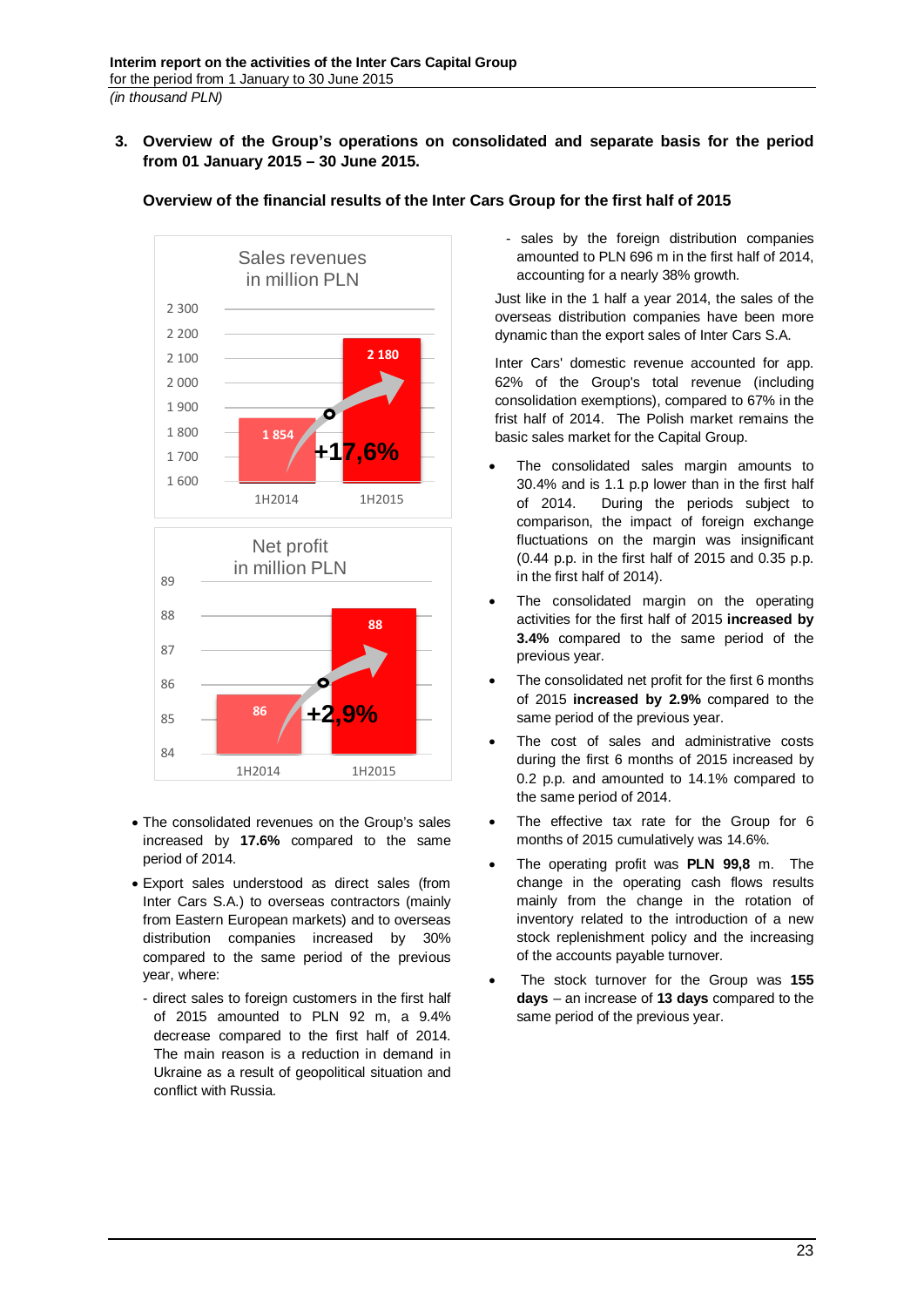<span id="page-22-0"></span>**3. Overview of the Group's operations on consolidated and separate basis for the period from 01 January 2015 – 30 June 2015.**



**Overview of the financial results of the Inter Cars Group for the first half of 2015**

- The consolidated revenues on the Group's sales increased by **17.6%** compared to the same period of 2014.
- Export sales understood as direct sales (from Inter Cars S.A.) to overseas contractors (mainly from Eastern European markets) and to overseas distribution companies increased by 30% compared to the same period of the previous year, where:
	- direct sales to foreign customers in the first half of 2015 amounted to PLN 92 m, a 9.4% decrease compared to the first half of 2014. The main reason is a reduction in demand in Ukraine as a result of geopolitical situation and conflict with Russia.

- sales by the foreign distribution companies amounted to PLN 696 m in the first half of 2014, accounting for a nearly 38% growth.

Just like in the 1 half a year 2014, the sales of the overseas distribution companies have been more dynamic than the export sales of Inter Cars S.A.

Inter Cars' domestic revenue accounted for app. 62% of the Group's total revenue (including consolidation exemptions), compared to 67% in the frist half of 2014. The Polish market remains the basic sales market for the Capital Group.

- The consolidated sales margin amounts to 30.4% and is 1.1 p.p lower than in the first half of 2014. During the periods subject to comparison, the impact of foreign exchange fluctuations on the margin was insignificant (0.44 p.p. in the first half of 2015 and 0.35 p.p. in the first half of 2014).
- The consolidated margin on the operating activities for the first half of 2015 **increased by 3.4%** compared to the same period of the previous year.
- The consolidated net profit for the first 6 months of 2015 **increased by 2.9%** compared to the same period of the previous year.
- The cost of sales and administrative costs during the first 6 months of 2015 increased by 0.2 p.p. and amounted to 14.1% compared to the same period of 2014.
- The effective tax rate for the Group for 6 months of 2015 cumulatively was 14.6%.
- The operating profit was **PLN 99,8** m. The change in the operating cash flows results mainly from the change in the rotation of inventory related to the introduction of a new stock replenishment policy and the increasing of the accounts payable turnover.
- The stock turnover for the Group was **155 days** – an increase of **13 days** compared to the same period of the previous year.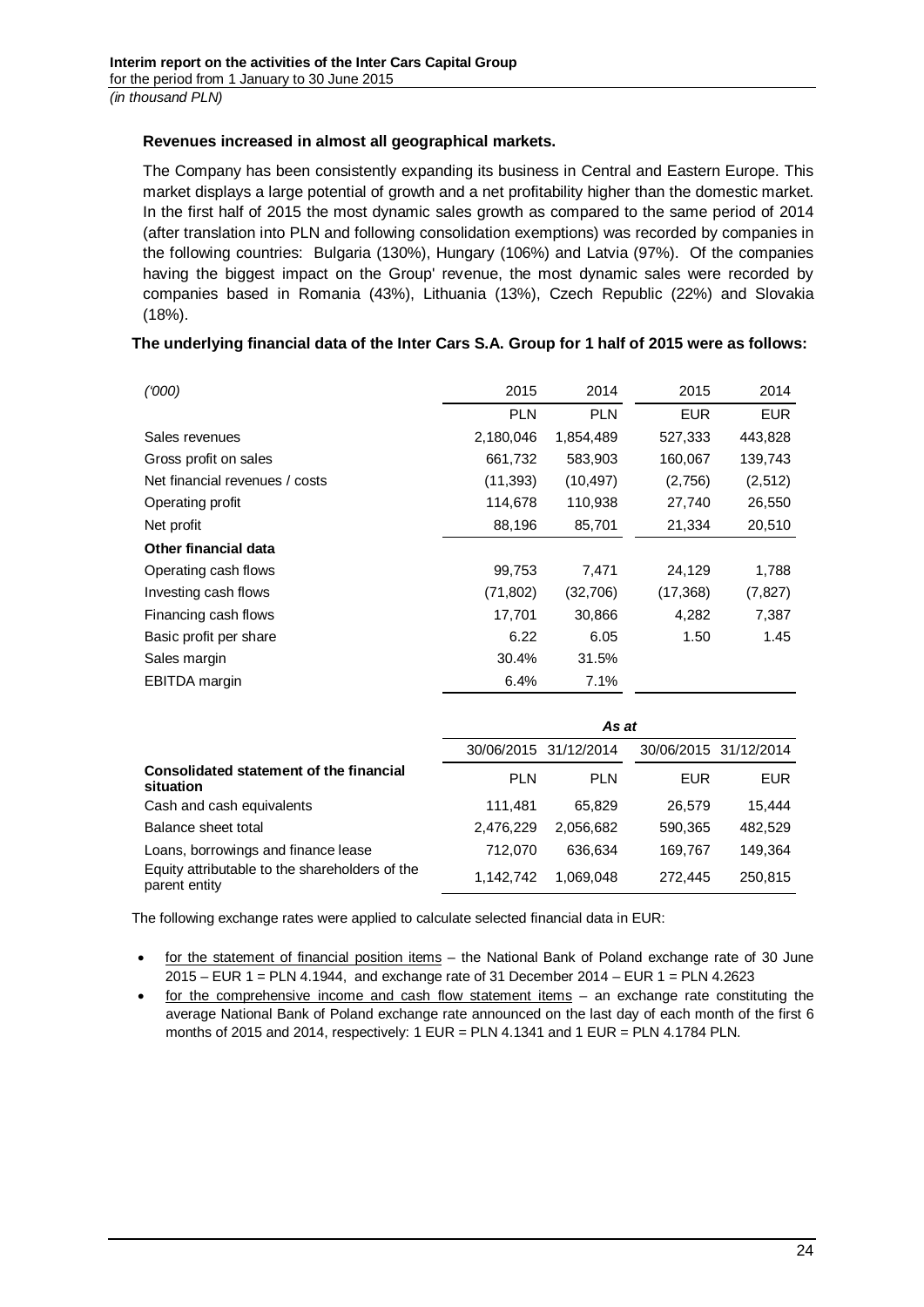# **Revenues increased in almost all geographical markets.**

The Company has been consistently expanding its business in Central and Eastern Europe. This market displays a large potential of growth and a net profitability higher than the domestic market. In the first half of 2015 the most dynamic sales growth as compared to the same period of 2014 (after translation into PLN and following consolidation exemptions) was recorded by companies in the following countries: Bulgaria (130%), Hungary (106%) and Latvia (97%). Of the companies having the biggest impact on the Group' revenue, the most dynamic sales were recorded by companies based in Romania (43%), Lithuania (13%), Czech Republic (22%) and Slovakia (18%).

# **The underlying financial data of the Inter Cars S.A. Group for 1 half of 2015 were as follows:**

| (000)                          | 2015       | 2014       | 2015       | 2014       |
|--------------------------------|------------|------------|------------|------------|
|                                | <b>PLN</b> | <b>PLN</b> | <b>EUR</b> | <b>EUR</b> |
| Sales revenues                 | 2,180,046  | 1,854,489  | 527,333    | 443,828    |
| Gross profit on sales          | 661,732    | 583,903    | 160,067    | 139,743    |
| Net financial revenues / costs | (11, 393)  | (10, 497)  | (2,756)    | (2,512)    |
| Operating profit               | 114,678    | 110,938    | 27,740     | 26,550     |
| Net profit                     | 88,196     | 85,701     | 21,334     | 20,510     |
| Other financial data           |            |            |            |            |
| Operating cash flows           | 99,753     | 7,471      | 24,129     | 1,788      |
| Investing cash flows           | (71, 802)  | (32,706)   | (17, 368)  | (7, 827)   |
| Financing cash flows           | 17,701     | 30,866     | 4,282      | 7,387      |
| Basic profit per share         | 6.22       | 6.05       | 1.50       | 1.45       |
| Sales margin                   | 30.4%      | 31.5%      |            |            |
| <b>EBITDA</b> margin           | 6.4%       | 7.1%       |            |            |

|                                                                 | As at      |                       |            |                       |
|-----------------------------------------------------------------|------------|-----------------------|------------|-----------------------|
|                                                                 |            | 30/06/2015 31/12/2014 |            | 30/06/2015 31/12/2014 |
| Consolidated statement of the financial<br>situation            | <b>PLN</b> | <b>PLN</b>            | <b>EUR</b> | <b>EUR</b>            |
| Cash and cash equivalents                                       | 111,481    | 65.829                | 26,579     | 15,444                |
| Balance sheet total                                             | 2,476,229  | 2,056,682             | 590,365    | 482,529               |
| Loans, borrowings and finance lease                             | 712.070    | 636.634               | 169,767    | 149,364               |
| Equity attributable to the shareholders of the<br>parent entity | 1,142,742  | 1,069,048             | 272.445    | 250,815               |

The following exchange rates were applied to calculate selected financial data in EUR:

- for the statement of financial position items the National Bank of Poland exchange rate of 30 June 2015 – EUR 1 = PLN 4.1944, and exchange rate of 31 December 2014 – EUR 1 = PLN 4.2623
- for the comprehensive income and cash flow statement items – an exchange rate constituting the average National Bank of Poland exchange rate announced on the last day of each month of the first 6 months of 2015 and 2014, respectively: 1 EUR = PLN 4.1341 and 1 EUR = PLN 4.1784 PLN.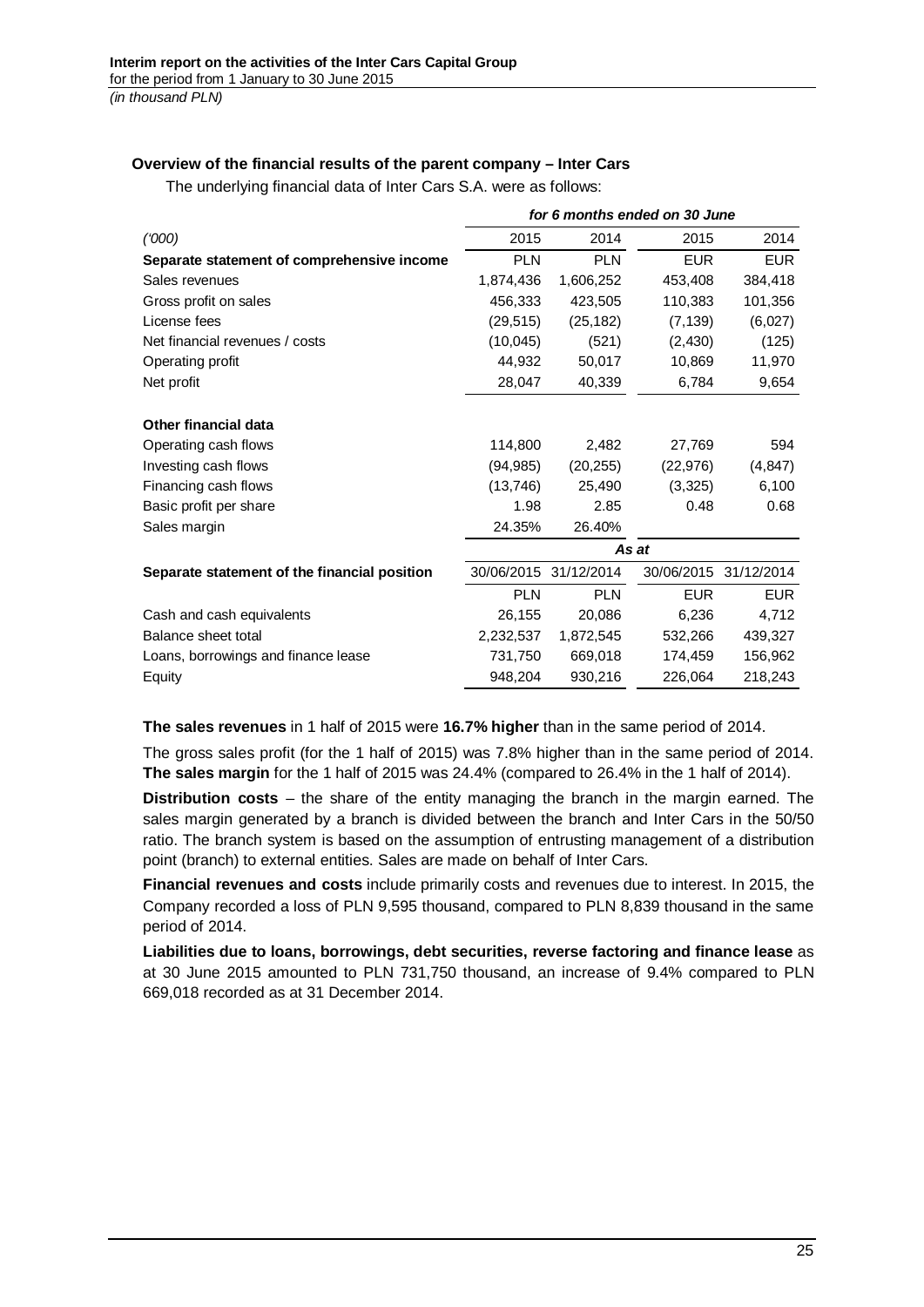# **Overview of the financial results of the parent company – Inter Cars**

The underlying financial data of Inter Cars S.A. were as follows:

|                                              | for 6 months ended on 30 June |            |            |                       |
|----------------------------------------------|-------------------------------|------------|------------|-----------------------|
| (000)                                        | 2015                          | 2014       | 2015       | 2014                  |
| Separate statement of comprehensive income   | <b>PLN</b>                    | <b>PLN</b> | <b>EUR</b> | <b>EUR</b>            |
| Sales revenues                               | 1,874,436                     | 1,606,252  | 453,408    | 384,418               |
| Gross profit on sales                        | 456,333                       | 423,505    | 110,383    | 101,356               |
| License fees                                 | (29, 515)                     | (25, 182)  | (7, 139)   | (6,027)               |
| Net financial revenues / costs               | (10,045)                      | (521)      | (2, 430)   | (125)                 |
| Operating profit                             | 44,932                        | 50,017     | 10,869     | 11,970                |
| Net profit                                   | 28,047                        | 40,339     | 6,784      | 9,654                 |
|                                              |                               |            |            |                       |
| <b>Other financial data</b>                  |                               |            |            |                       |
| Operating cash flows                         | 114,800                       | 2.482      | 27,769     | 594                   |
| Investing cash flows                         | (94, 985)                     | (20, 255)  | (22, 976)  | (4, 847)              |
| Financing cash flows                         | (13, 746)                     | 25,490     | (3,325)    | 6,100                 |
| Basic profit per share                       | 1.98                          | 2.85       | 0.48       | 0.68                  |
| Sales margin                                 | 24.35%                        | 26.40%     |            |                       |
|                                              |                               |            | As at      |                       |
| Separate statement of the financial position | 30/06/2015                    | 31/12/2014 |            | 30/06/2015 31/12/2014 |
|                                              | <b>PLN</b>                    | <b>PLN</b> | <b>EUR</b> | <b>EUR</b>            |
| Cash and cash equivalents                    | 26,155                        | 20,086     | 6,236      | 4,712                 |
| Balance sheet total                          | 2,232,537                     | 1,872,545  | 532,266    | 439,327               |
| Loans, borrowings and finance lease          | 731,750                       | 669,018    | 174,459    | 156,962               |
| Equity                                       | 948,204                       | 930,216    | 226,064    | 218,243               |

**The sales revenues** in 1 half of 2015 were **16.7% higher** than in the same period of 2014.

The gross sales profit (for the 1 half of 2015) was 7.8% higher than in the same period of 2014. **The sales margin** for the 1 half of 2015 was 24.4% (compared to 26.4% in the 1 half of 2014).

**Distribution costs** – the share of the entity managing the branch in the margin earned. The sales margin generated by a branch is divided between the branch and Inter Cars in the 50/50 ratio. The branch system is based on the assumption of entrusting management of a distribution point (branch) to external entities. Sales are made on behalf of Inter Cars.

**Financial revenues and costs** include primarily costs and revenues due to interest. In 2015, the Company recorded a loss of PLN 9,595 thousand, compared to PLN 8,839 thousand in the same period of 2014.

**Liabilities due to loans, borrowings, debt securities, reverse factoring and finance lease** as at 30 June 2015 amounted to PLN 731,750 thousand, an increase of 9.4% compared to PLN 669,018 recorded as at 31 December 2014.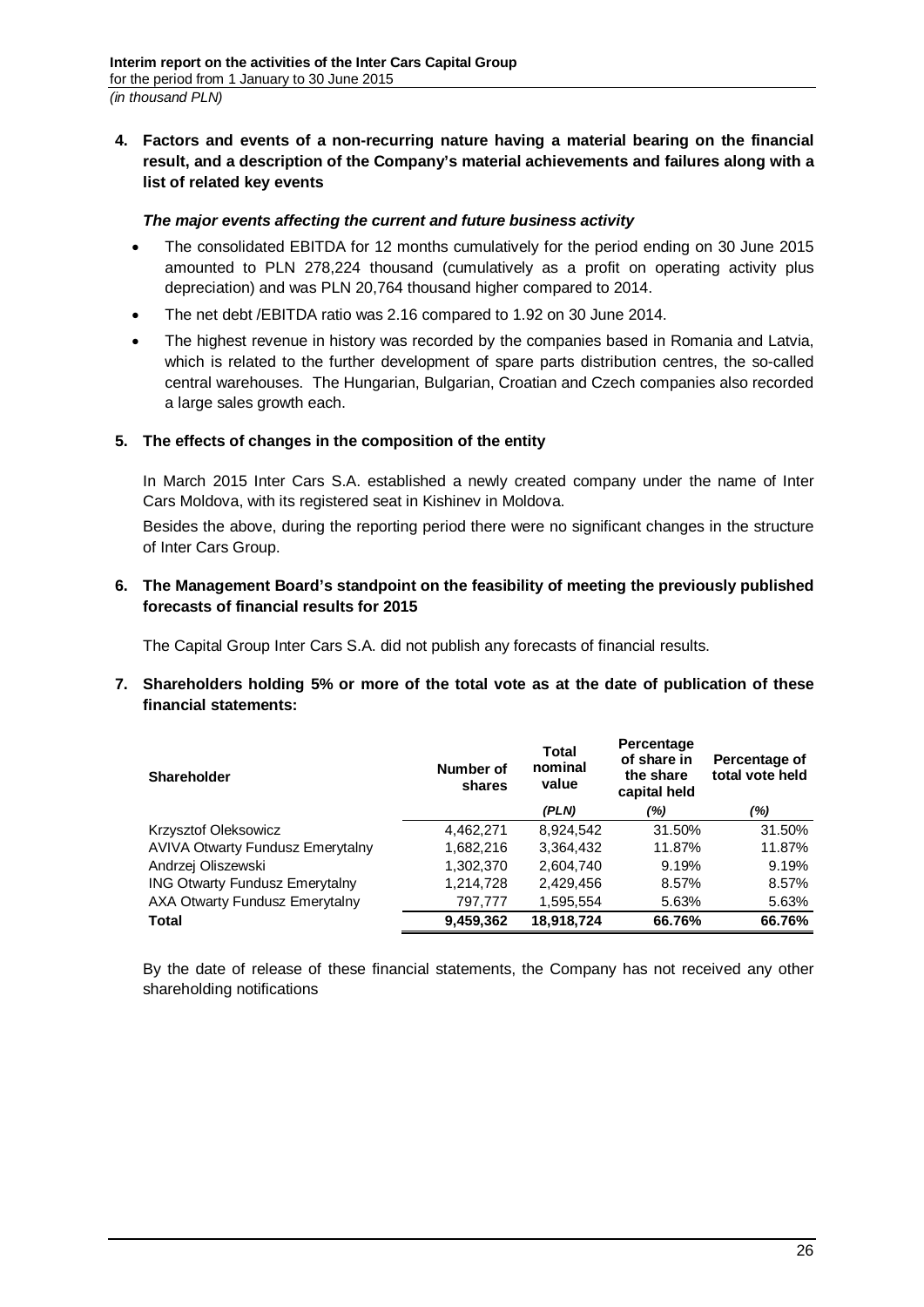<span id="page-25-0"></span>**4. Factors and events of a non-recurring nature having a material bearing on the financial result, and a description of the Company's material achievements and failures along with a list of related key events**

# *The major events affecting the current and future business activity*

- The consolidated EBITDA for 12 months cumulatively for the period ending on 30 June 2015 amounted to PLN 278,224 thousand (cumulatively as a profit on operating activity plus depreciation) and was PLN 20,764 thousand higher compared to 2014.
- The net debt /EBITDA ratio was 2.16 compared to 1.92 on 30 June 2014.
- The highest revenue in history was recorded by the companies based in Romania and Latvia, which is related to the further development of spare parts distribution centres, the so-called central warehouses. The Hungarian, Bulgarian, Croatian and Czech companies also recorded a large sales growth each.

# <span id="page-25-1"></span>**5. The effects of changes in the composition of the entity**

In March 2015 Inter Cars S.A. established a newly created company under the name of Inter Cars Moldova, with its registered seat in Kishinev in Moldova.

Besides the above, during the reporting period there were no significant changes in the structure of Inter Cars Group.

# <span id="page-25-2"></span>**6. The Management Board's standpoint on the feasibility of meeting the previously published forecasts of financial results for 2015**

The Capital Group Inter Cars S.A. did not publish any forecasts of financial results.

<span id="page-25-3"></span>**7. Shareholders holding 5% or more of the total vote as at the date of publication of these financial statements:**

| <b>Shareholder</b>                      | Number of<br>shares | Total<br>nominal<br>value | Percentage<br>of share in<br>the share<br>capital held | Percentage of<br>total vote held |
|-----------------------------------------|---------------------|---------------------------|--------------------------------------------------------|----------------------------------|
|                                         |                     | (PLN)                     | (%)                                                    | (%)                              |
| Krzysztof Oleksowicz                    | 4,462,271           | 8,924,542                 | 31.50%                                                 | 31.50%                           |
| <b>AVIVA Otwarty Fundusz Emerytalny</b> | 1,682,216           | 3,364,432                 | 11.87%                                                 | 11.87%                           |
| Andrzej Oliszewski                      | 1,302,370           | 2,604,740                 | 9.19%                                                  | 9.19%                            |
| <b>ING Otwarty Fundusz Emerytalny</b>   | 1,214,728           | 2,429,456                 | 8.57%                                                  | 8.57%                            |
| AXA Otwarty Fundusz Emerytalny          | 797.777             | 1.595.554                 | 5.63%                                                  | 5.63%                            |
| <b>Total</b>                            | 9,459,362           | 18,918,724                | 66.76%                                                 | 66.76%                           |

By the date of release of these financial statements, the Company has not received any other shareholding notifications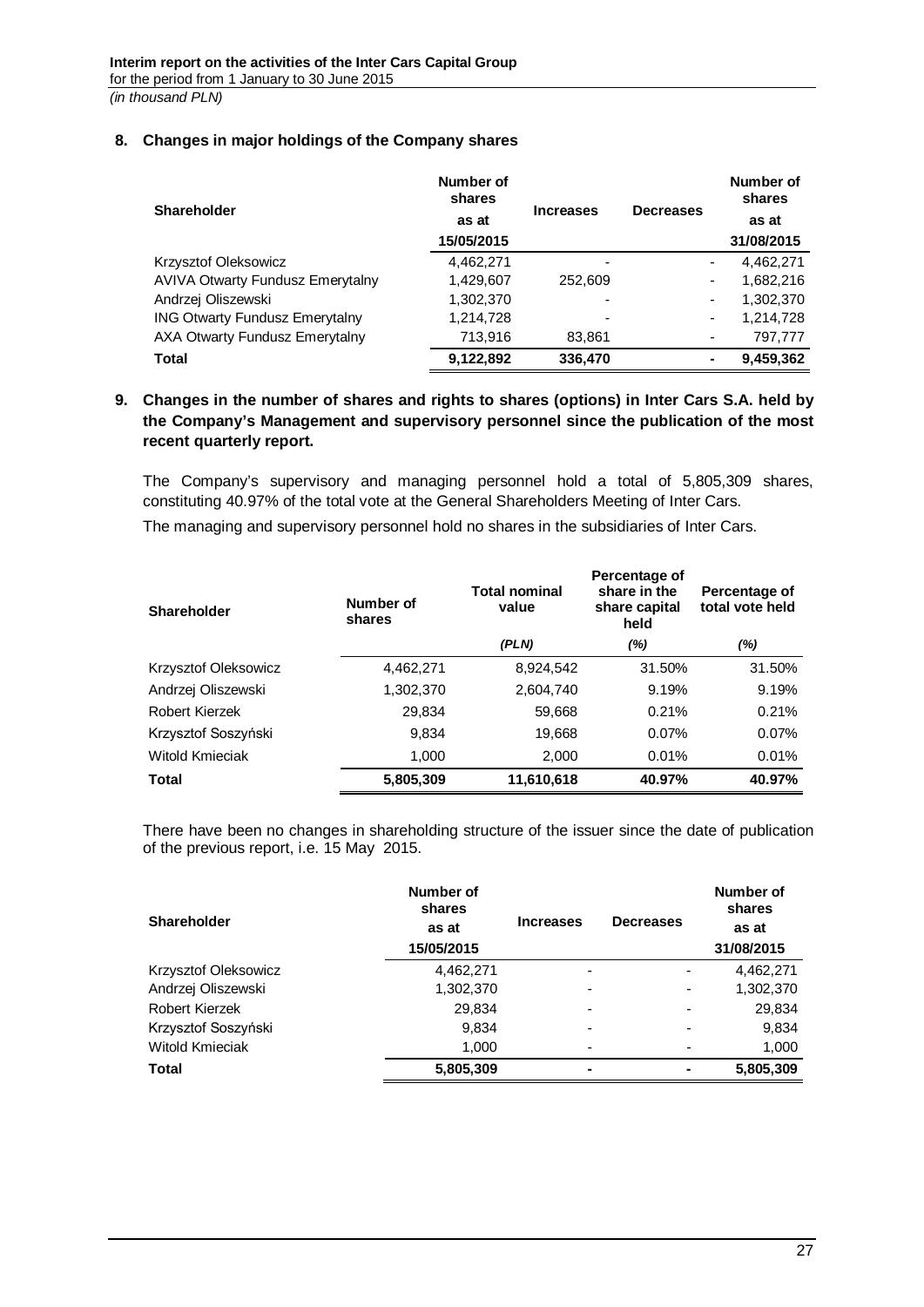# <span id="page-26-0"></span>**8. Changes in major holdings of the Company shares**

| <b>Shareholder</b>                      | Number of<br>shares | <b>Increases</b> |                  | Number of<br>shares |
|-----------------------------------------|---------------------|------------------|------------------|---------------------|
|                                         | as at               |                  | <b>Decreases</b> | as at               |
|                                         | 15/05/2015          |                  |                  | 31/08/2015          |
| <b>Krzysztof Oleksowicz</b>             | 4,462,271           | ۰                | ٠                | 4,462,271           |
| <b>AVIVA Otwarty Fundusz Emerytalny</b> | 1,429,607           | 252,609          | -                | 1,682,216           |
| Andrzej Oliszewski                      | 1,302,370           |                  | ۰                | 1,302,370           |
| <b>ING Otwarty Fundusz Emerytalny</b>   | 1,214,728           | ٠                | ۰                | 1,214,728           |
| AXA Otwarty Fundusz Emerytalny          | 713,916             | 83,861           |                  | 797,777             |
| <b>Total</b>                            | 9,122,892           | 336,470          | ۰                | 9,459,362           |

# <span id="page-26-1"></span>**9. Changes in the number of shares and rights to shares (options) in Inter Cars S.A. held by the Company's Management and supervisory personnel since the publication of the most recent quarterly report.**

The Company's supervisory and managing personnel hold a total of 5,805,309 shares, constituting 40.97% of the total vote at the General Shareholders Meeting of Inter Cars.

The managing and supervisory personnel hold no shares in the subsidiaries of Inter Cars.

| Shareholder          | Number of<br>shares | <b>Total nominal</b><br>value |          | Percentage of<br>total vote held |
|----------------------|---------------------|-------------------------------|----------|----------------------------------|
|                      |                     | (PLN)                         | (%)      | (%)                              |
| Krzysztof Oleksowicz | 4,462,271           | 8,924,542                     | 31.50%   | 31.50%                           |
| Andrzej Oliszewski   | 1,302,370           | 2,604,740                     | 9.19%    | 9.19%                            |
| Robert Kierzek       | 29,834              | 59,668                        | 0.21%    | 0.21%                            |
| Krzysztof Soszyński  | 9,834               | 19,668                        | $0.07\%$ | 0.07%                            |
| Witold Kmieciak      | 1,000               | 2,000                         | 0.01%    | 0.01%                            |
| <b>Total</b>         | 5,805,309           | 11,610,618                    | 40.97%   | 40.97%                           |

There have been no changes in shareholding structure of the issuer since the date of publication of the previous report, i.e. 15 May 2015.

| <b>Shareholder</b>   | Number of<br>shares<br>as at<br>15/05/2015 | <b>Increases</b>         | <b>Decreases</b> | Number of<br>shares<br>as at<br>31/08/2015 |
|----------------------|--------------------------------------------|--------------------------|------------------|--------------------------------------------|
| Krzysztof Oleksowicz | 4,462,271                                  | $\overline{\phantom{a}}$ |                  | 4,462,271                                  |
| Andrzej Oliszewski   | 1,302,370                                  | $\overline{\phantom{a}}$ |                  | 1,302,370                                  |
| Robert Kierzek       | 29,834                                     | $\overline{\phantom{0}}$ |                  | 29,834                                     |
| Krzysztof Soszyński  | 9,834                                      | $\overline{\phantom{a}}$ |                  | 9,834                                      |
| Witold Kmieciak      | 1,000                                      | ٠                        |                  | 1,000                                      |
| <b>Total</b>         | 5,805,309                                  | ۰                        |                  | 5,805,309                                  |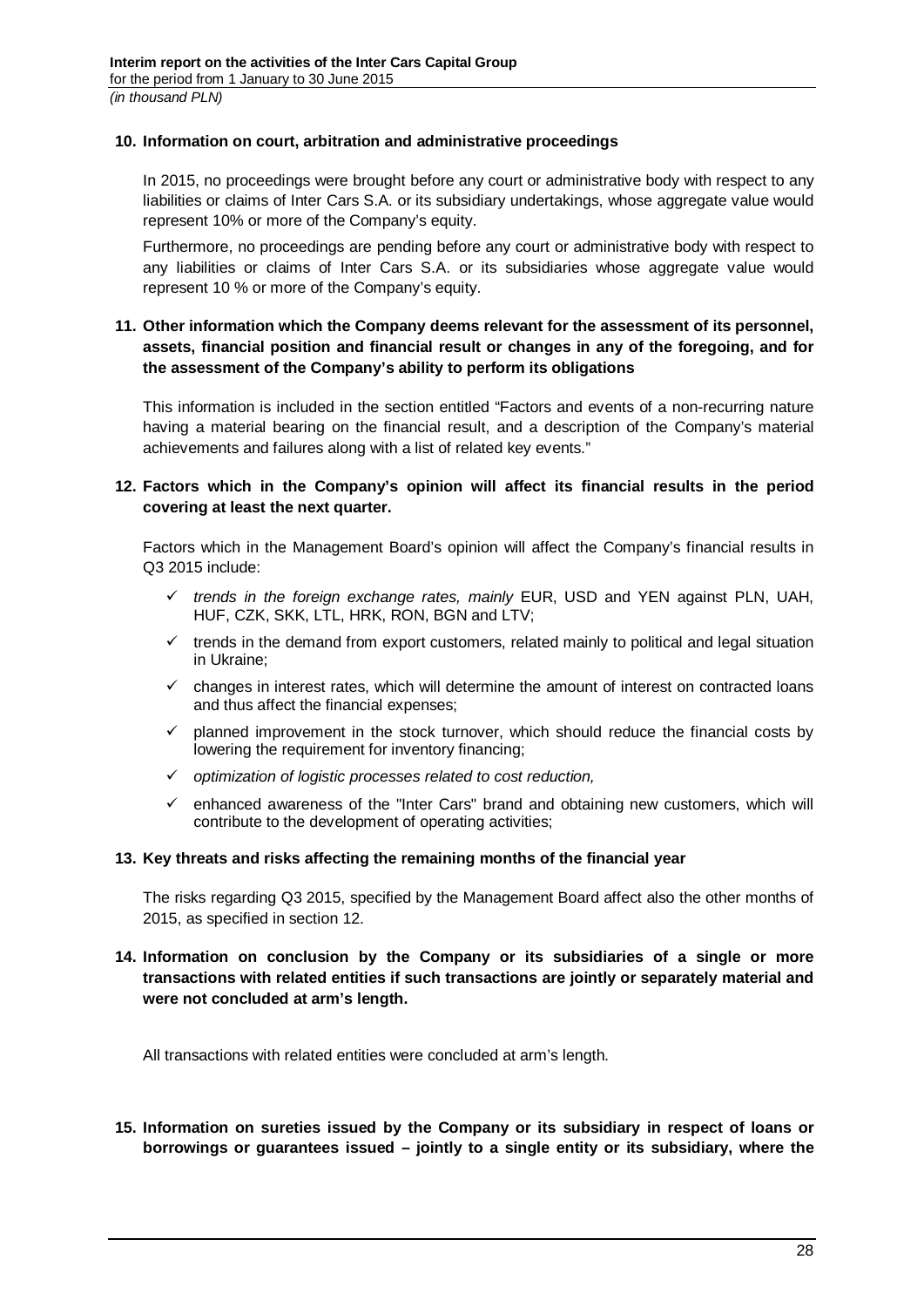## <span id="page-27-0"></span>**10. Information on court, arbitration and administrative proceedings**

In 2015, no proceedings were brought before any court or administrative body with respect to any liabilities or claims of Inter Cars S.A. or its subsidiary undertakings, whose aggregate value would represent 10% or more of the Company's equity.

Furthermore, no proceedings are pending before any court or administrative body with respect to any liabilities or claims of Inter Cars S.A. or its subsidiaries whose aggregate value would represent 10 % or more of the Company's equity.

# <span id="page-27-1"></span>**11. Other information which the Company deems relevant for the assessment of its personnel, assets, financial position and financial result or changes in any of the foregoing, and for the assessment of the Company's ability to perform its obligations**

This information is included in the section entitled "Factors and events of a non-recurring nature having a material bearing on the financial result, and a description of the Company's material achievements and failures along with a list of related key events."

# <span id="page-27-2"></span>**12. Factors which in the Company's opinion will affect its financial results in the period covering at least the next quarter.**

Factors which in the Management Board's opinion will affect the Company's financial results in Q3 2015 include:

- *trends in the foreign exchange rates, mainly* EUR, USD and YEN against PLN, UAH, HUF, CZK, SKK, LTL, HRK, RON, BGN and LTV;
- $\checkmark$  trends in the demand from export customers, related mainly to political and legal situation in Ukraine;
- $\checkmark$  changes in interest rates, which will determine the amount of interest on contracted loans and thus affect the financial expenses;
- $\checkmark$  planned improvement in the stock turnover, which should reduce the financial costs by lowering the requirement for inventory financing;
- *optimization of logistic processes related to cost reduction,*
- $\checkmark$  enhanced awareness of the "Inter Cars" brand and obtaining new customers, which will contribute to the development of operating activities;

## <span id="page-27-3"></span>**13. Key threats and risks affecting the remaining months of the financial year**

The risks regarding Q3 2015, specified by the Management Board affect also the other months of 2015, as specified in section 12.

# <span id="page-27-4"></span>**14. Information on conclusion by the Company or its subsidiaries of a single or more transactions with related entities if such transactions are jointly or separately material and were not concluded at arm's length.**

All transactions with related entities were concluded at arm's length.

<span id="page-27-5"></span>**15. Information on sureties issued by the Company or its subsidiary in respect of loans or borrowings or guarantees issued – jointly to a single entity or its subsidiary, where the**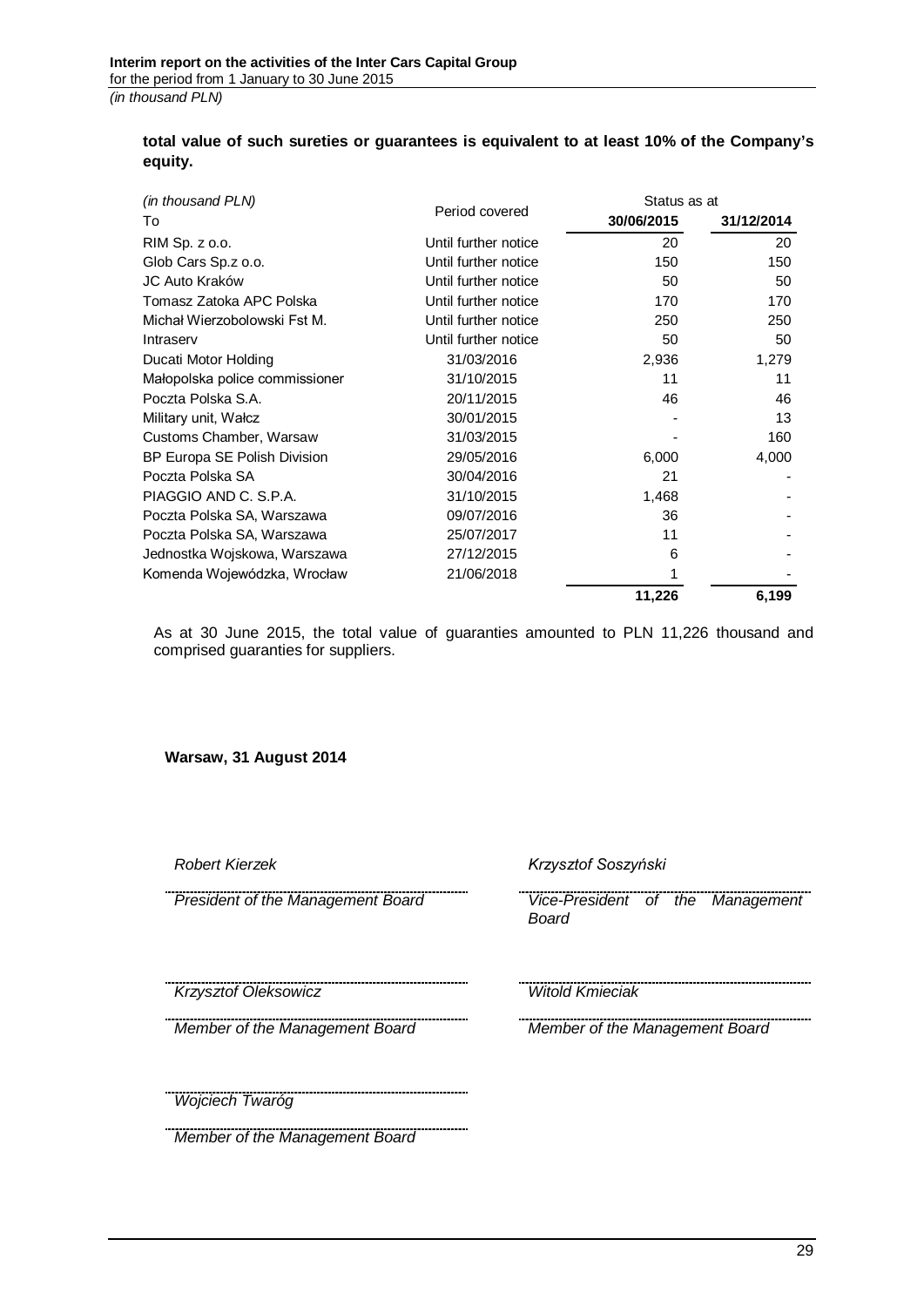# **total value of such sureties or guarantees is equivalent to at least 10% of the Company's equity.**

| (in thousand PLN)              |                      |            | Status as at |  |  |
|--------------------------------|----------------------|------------|--------------|--|--|
| To                             | Period covered       | 30/06/2015 | 31/12/2014   |  |  |
| RIM Sp. z o.o.                 | Until further notice | 20         | 20           |  |  |
| Glob Cars Sp.z o.o.            | Until further notice | 150        | 150          |  |  |
| JC Auto Kraków                 | Until further notice | 50         | 50           |  |  |
| Tomasz Zatoka APC Polska       | Until further notice | 170        | 170          |  |  |
| Michał Wierzobolowski Fst M.   | Until further notice | 250        | 250          |  |  |
| Intraserv                      | Until further notice | 50         | 50           |  |  |
| Ducati Motor Holding           | 31/03/2016           | 2,936      | 1,279        |  |  |
| Małopolska police commissioner | 31/10/2015           | 11         | 11           |  |  |
| Poczta Polska S.A.             | 20/11/2015           | 46         | 46           |  |  |
| Military unit, Wałcz           | 30/01/2015           |            | 13           |  |  |
| Customs Chamber, Warsaw        | 31/03/2015           |            | 160          |  |  |
| BP Europa SE Polish Division   | 29/05/2016           | 6,000      | 4,000        |  |  |
| Poczta Polska SA               | 30/04/2016           | 21         |              |  |  |
| PIAGGIO AND C. S.P.A.          | 31/10/2015           | 1,468      |              |  |  |
| Poczta Polska SA, Warszawa     | 09/07/2016           | 36         |              |  |  |
| Poczta Polska SA, Warszawa     | 25/07/2017           | 11         |              |  |  |
| Jednostka Wojskowa, Warszawa   | 27/12/2015           | 6          |              |  |  |
| Komenda Wojewódzka, Wrocław    | 21/06/2018           |            |              |  |  |
|                                |                      | 11,226     | 6,199        |  |  |

As at 30 June 2015, the total value of guaranties amounted to PLN 11,226 thousand and comprised guaranties for suppliers.

**Warsaw, 31 August 2014**

*Robert Kierzek Krzysztof Soszyński*

*President of the Management Board Vice-President of the Management Board*

*Krzysztof Oleksowicz Witold Kmieciak*

*Member of the Management Board Member of the Management Board*

*Wojciech Twaróg*

*Member of the Management Board*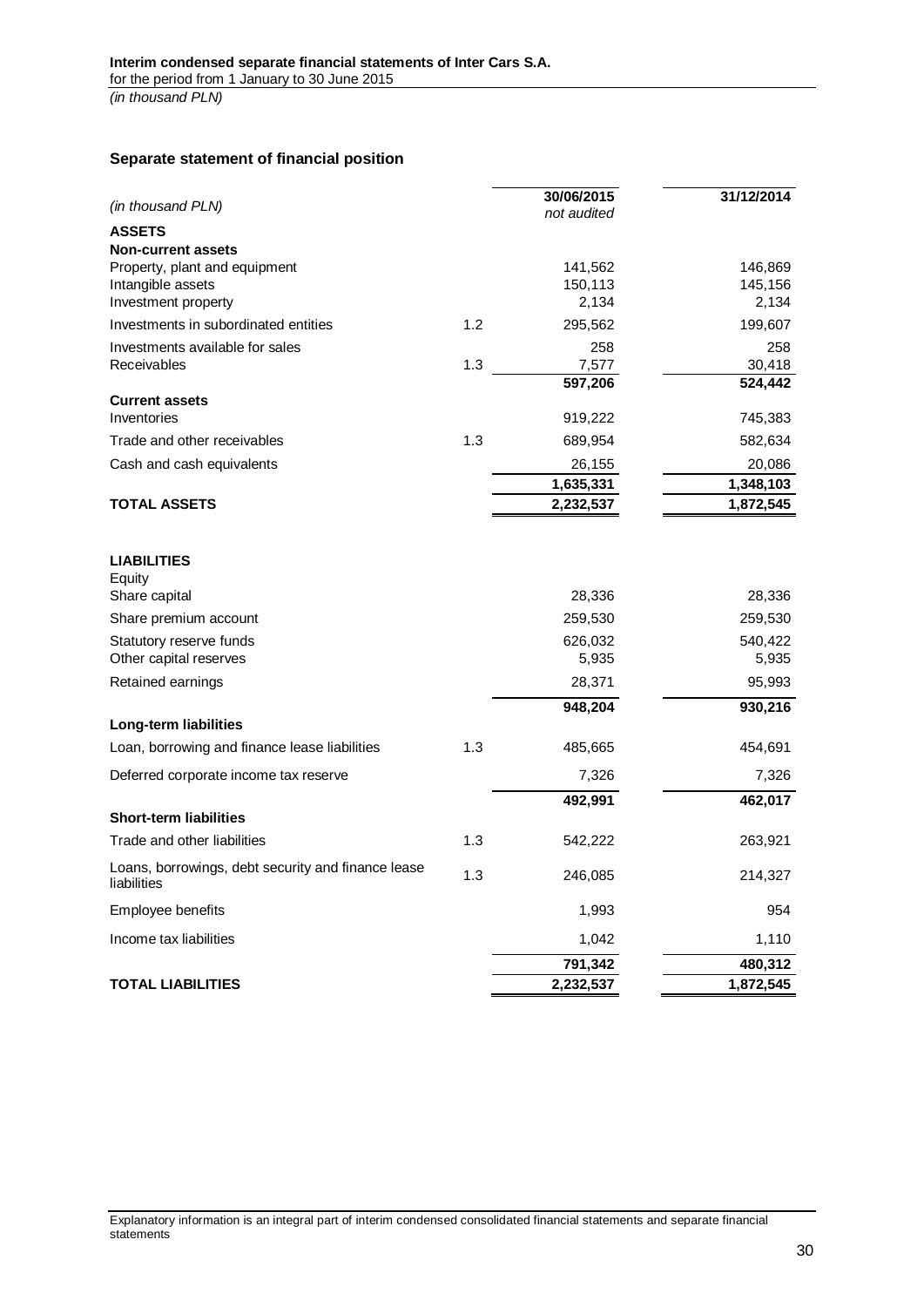### <span id="page-29-0"></span>**Separate statement of financial position**

| (in thousand PLN)                                                 |     | 30/06/2015<br>not audited | 31/12/2014       |
|-------------------------------------------------------------------|-----|---------------------------|------------------|
| <b>ASSETS</b>                                                     |     |                           |                  |
| <b>Non-current assets</b>                                         |     |                           |                  |
| Property, plant and equipment                                     |     | 141,562                   | 146,869          |
| Intangible assets<br>Investment property                          |     | 150,113<br>2,134          | 145,156<br>2,134 |
| Investments in subordinated entities                              | 1.2 |                           |                  |
|                                                                   |     | 295,562                   | 199,607          |
| Investments available for sales<br>Receivables                    | 1.3 | 258<br>7,577              | 258<br>30,418    |
|                                                                   |     | 597,206                   | 524,442          |
| <b>Current assets</b>                                             |     |                           |                  |
| Inventories                                                       |     | 919,222                   | 745,383          |
| Trade and other receivables                                       | 1.3 | 689,954                   | 582,634          |
| Cash and cash equivalents                                         |     | 26,155                    | 20,086           |
|                                                                   |     | 1,635,331                 | 1,348,103        |
| <b>TOTAL ASSETS</b>                                               |     | 2,232,537                 | 1,872,545        |
|                                                                   |     |                           |                  |
| <b>LIABILITIES</b><br>Equity                                      |     |                           |                  |
| Share capital                                                     |     | 28,336                    | 28,336           |
| Share premium account                                             |     | 259,530                   | 259,530          |
| Statutory reserve funds                                           |     | 626,032                   | 540,422          |
| Other capital reserves                                            |     | 5,935                     | 5,935            |
| Retained earnings                                                 |     | 28,371                    | 95,993           |
|                                                                   |     | 948,204                   | 930,216          |
| Long-term liabilities                                             |     |                           |                  |
| Loan, borrowing and finance lease liabilities                     | 1.3 | 485,665                   | 454,691          |
| Deferred corporate income tax reserve                             |     | 7,326                     | 7,326            |
|                                                                   |     | 492,991                   | 462,017          |
| <b>Short-term liabilities</b>                                     |     |                           |                  |
| Trade and other liabilities                                       | 1.3 | 542,222                   | 263,921          |
| Loans, borrowings, debt security and finance lease<br>liabilities | 1.3 | 246,085                   | 214,327          |
| Employee benefits                                                 |     | 1,993                     | 954              |
| Income tax liabilities                                            |     | 1,042                     | 1,110            |
|                                                                   |     | 791,342                   | 480,312          |
| <b>TOTAL LIABILITIES</b>                                          |     | 2,232,537                 | 1,872,545        |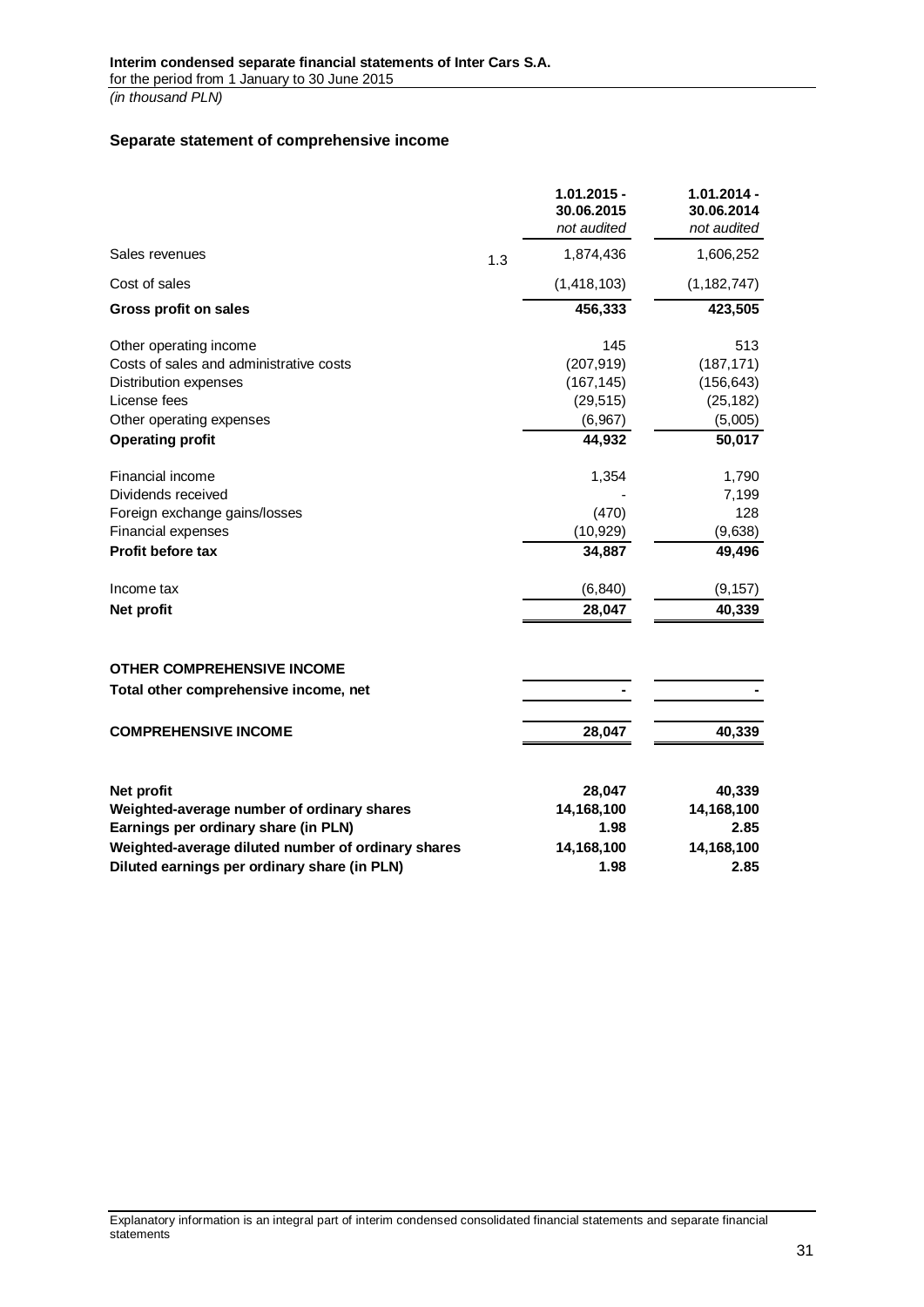# <span id="page-30-0"></span>**Separate statement of comprehensive income**

|                                                    |     | $1.01.2015 -$<br>30.06.2015 | $1.01.2014 -$<br>30.06.2014 |
|----------------------------------------------------|-----|-----------------------------|-----------------------------|
|                                                    |     | not audited                 | not audited                 |
| Sales revenues                                     | 1.3 | 1,874,436                   | 1,606,252                   |
| Cost of sales                                      |     | (1, 418, 103)               | (1, 182, 747)               |
| <b>Gross profit on sales</b>                       |     | 456,333                     | 423,505                     |
| Other operating income                             |     | 145                         | 513                         |
| Costs of sales and administrative costs            |     | (207, 919)                  | (187, 171)                  |
| Distribution expenses                              |     | (167, 145)                  | (156, 643)                  |
| License fees                                       |     | (29, 515)                   | (25, 182)                   |
| Other operating expenses                           |     | (6,967)                     | (5,005)                     |
| <b>Operating profit</b>                            |     | 44,932                      | 50,017                      |
| Financial income                                   |     | 1,354                       | 1,790                       |
| Dividends received                                 |     |                             | 7,199                       |
| Foreign exchange gains/losses                      |     | (470)                       | 128                         |
| Financial expenses                                 |     | (10, 929)                   | (9,638)                     |
| <b>Profit before tax</b>                           |     | 34,887                      | 49,496                      |
| Income tax                                         |     | (6, 840)                    | (9, 157)                    |
| Net profit                                         |     | 28,047                      | 40,339                      |
|                                                    |     |                             |                             |
| <b>OTHER COMPREHENSIVE INCOME</b>                  |     |                             |                             |
| Total other comprehensive income, net              |     |                             |                             |
| <b>COMPREHENSIVE INCOME</b>                        |     | 28,047                      | 40,339                      |
| Net profit                                         |     | 28,047                      | 40,339                      |
| Weighted-average number of ordinary shares         |     | 14,168,100                  | 14,168,100                  |
| Earnings per ordinary share (in PLN)               |     | 1.98                        | 2.85                        |
| Weighted-average diluted number of ordinary shares |     |                             | 14,168,100                  |
| Diluted earnings per ordinary share (in PLN)       |     | 14,168,100<br>1.98          | 2.85                        |
|                                                    |     |                             |                             |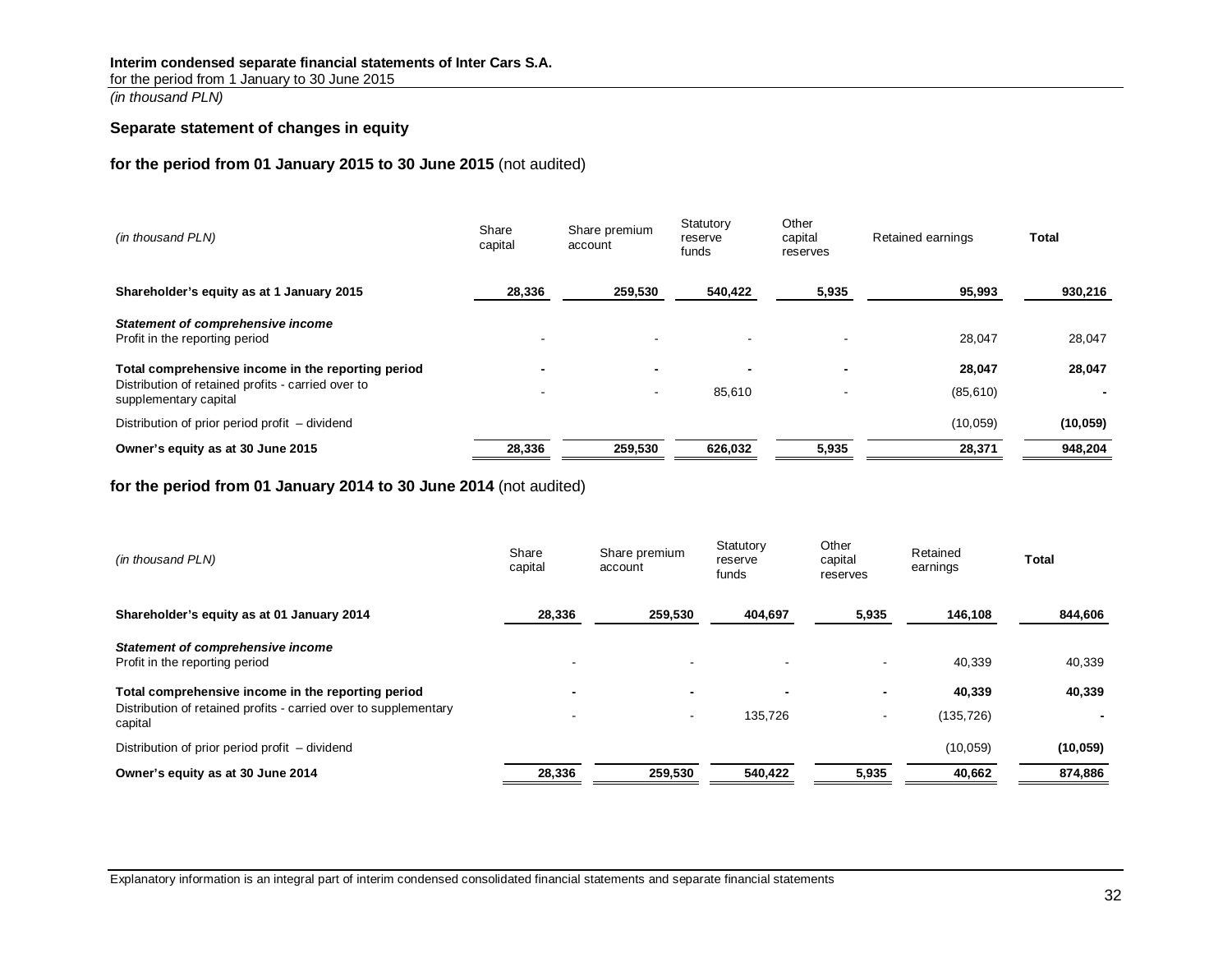### **Interim condensed separate financial statements of Inter Cars S.A.**

for the period from 1 January to 30 June 2015

*(in thousand PLN)*

### **Separate statement of changes in equity**

### **for the period from 01 January 2015 to 30 June 2015** (not audited)

| (in thousand PLN)                                                           | Share<br>capital | Share premium<br>account | Statutory<br>reserve<br>funds | Other<br>capital<br>reserves | Retained earnings | Total     |
|-----------------------------------------------------------------------------|------------------|--------------------------|-------------------------------|------------------------------|-------------------|-----------|
| Shareholder's equity as at 1 January 2015                                   | 28,336           | 259,530                  | 540,422                       | 5,935                        | 95,993            | 930,216   |
| Statement of comprehensive income<br>Profit in the reporting period         |                  |                          |                               |                              | 28,047            | 28,047    |
| Total comprehensive income in the reporting period                          |                  | $\overline{\phantom{0}}$ | -                             |                              | 28,047            | 28,047    |
| Distribution of retained profits - carried over to<br>supplementary capital |                  |                          | 85,610                        |                              | (85, 610)         |           |
| Distribution of prior period profit – dividend                              |                  |                          |                               |                              | (10, 059)         | (10, 059) |
| Owner's equity as at 30 June 2015                                           | 28,336           | 259,530                  | 626,032                       | 5,935                        | 28,371            | 948,204   |

### <span id="page-31-0"></span>**for the period from 01 January 2014 to 30 June 2014** (not audited)

| (in thousand PLN)                                                           | Share<br>capital         | Share premium<br>account | Statutory<br>reserve<br>funds | Other<br>capital<br>reserves | Retained<br>earnings | Total     |
|-----------------------------------------------------------------------------|--------------------------|--------------------------|-------------------------------|------------------------------|----------------------|-----------|
| Shareholder's equity as at 01 January 2014                                  | 28,336                   | 259,530                  | 404,697                       | 5,935                        | 146,108              | 844,606   |
| Statement of comprehensive income<br>Profit in the reporting period         | $\blacksquare$           |                          |                               |                              | 40.339               | 40,339    |
| Total comprehensive income in the reporting period                          | $\overline{\phantom{0}}$ |                          | $\blacksquare$                | $\overline{\phantom{0}}$     | 40,339               | 40,339    |
| Distribution of retained profits - carried over to supplementary<br>capital | $\blacksquare$           | $\sim$                   | 135,726                       | $\overline{\phantom{a}}$     | (135, 726)           |           |
| Distribution of prior period profit – dividend                              |                          |                          |                               |                              | (10, 059)            | (10, 059) |
| Owner's equity as at 30 June 2014                                           | 28,336                   | 259,530                  | 540,422                       | 5,935                        | 40,662               | 874,886   |

Explanatory information is an integral part of interim condensed consolidated financial statements and separate financial statements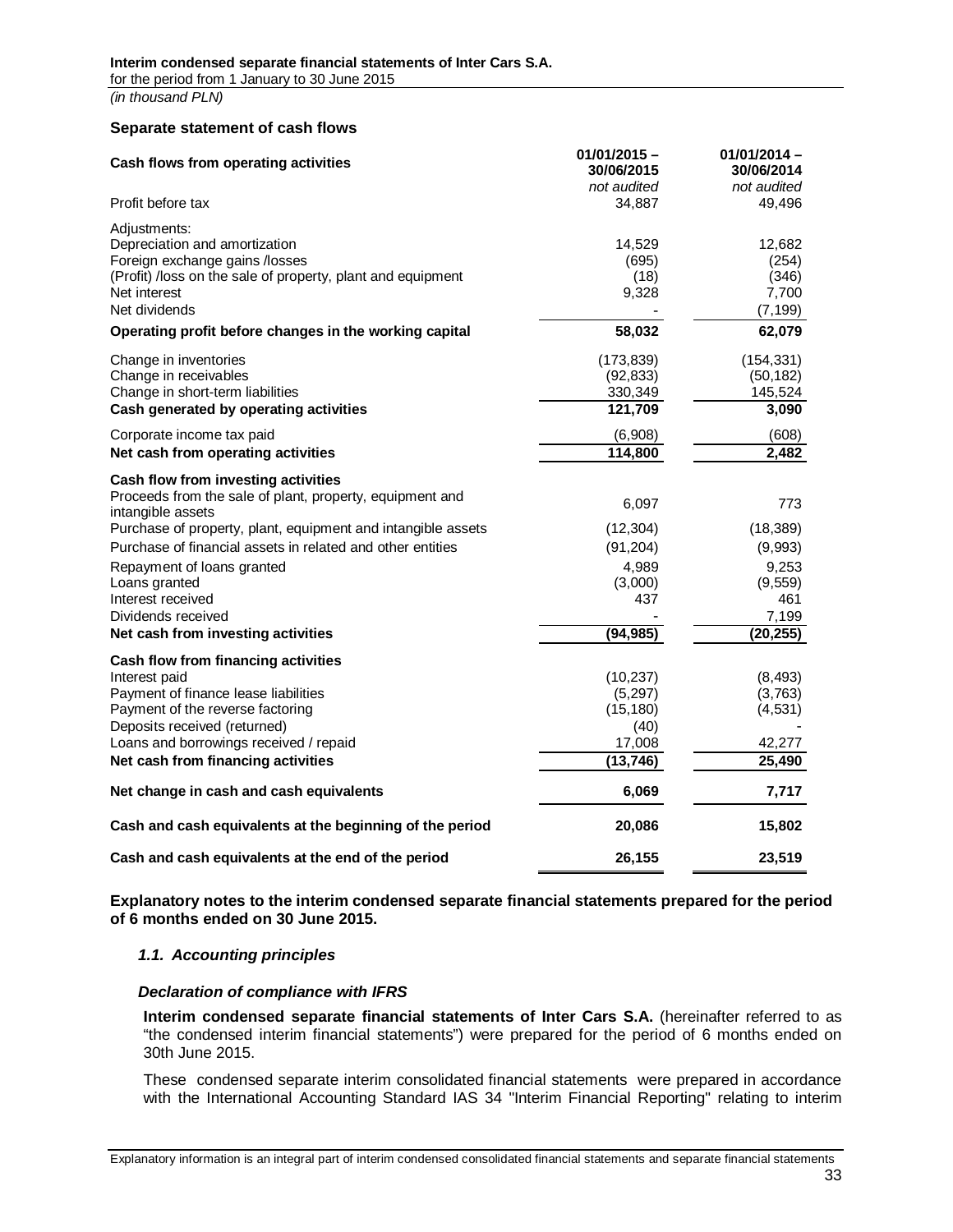#### **Separate statement of cash flows**

<span id="page-32-0"></span>

| Cash flows from operating activities                                                                                                                                                                                                                       | $01/01/2015 -$<br>30/06/2015<br>not audited                      | $01/01/2014 -$<br>30/06/2014<br>not audited                            |
|------------------------------------------------------------------------------------------------------------------------------------------------------------------------------------------------------------------------------------------------------------|------------------------------------------------------------------|------------------------------------------------------------------------|
| Profit before tax                                                                                                                                                                                                                                          | 34,887                                                           | 49,496                                                                 |
| Adjustments:<br>Depreciation and amortization<br>Foreign exchange gains /losses<br>(Profit) /loss on the sale of property, plant and equipment<br>Net interest<br>Net dividends                                                                            | 14,529<br>(695)<br>(18)<br>9,328                                 | 12,682<br>(254)<br>(346)<br>7,700<br>(7, 199)                          |
| Operating profit before changes in the working capital                                                                                                                                                                                                     | 58,032                                                           | 62,079                                                                 |
| Change in inventories<br>Change in receivables<br>Change in short-term liabilities<br>Cash generated by operating activities                                                                                                                               | (173, 839)<br>(92, 833)<br>330,349<br>121,709                    | (154, 331)<br>(50, 182)<br>145,524<br>3,090                            |
| Corporate income tax paid<br>Net cash from operating activities                                                                                                                                                                                            | (6,908)<br>114,800                                               | (608)<br>2,482                                                         |
| Cash flow from investing activities<br>Proceeds from the sale of plant, property, equipment and<br>intangible assets                                                                                                                                       | 6,097                                                            | 773                                                                    |
| Purchase of property, plant, equipment and intangible assets<br>Purchase of financial assets in related and other entities<br>Repayment of loans granted<br>Loans granted<br>Interest received<br>Dividends received<br>Net cash from investing activities | (12, 304)<br>(91, 204)<br>4,989<br>(3,000)<br>437<br>(94, 985)   | (18, 389)<br>(9,993)<br>9,253<br>(9, 559)<br>461<br>7,199<br>(20, 255) |
| Cash flow from financing activities<br>Interest paid<br>Payment of finance lease liabilities<br>Payment of the reverse factoring<br>Deposits received (returned)<br>Loans and borrowings received / repaid<br>Net cash from financing activities           | (10, 237)<br>(5,297)<br>(15, 180)<br>(40)<br>17,008<br>(13, 746) | (8, 493)<br>(3,763)<br>(4, 531)<br>42,277<br>25,490                    |
| Net change in cash and cash equivalents                                                                                                                                                                                                                    | 6,069                                                            | 7,717                                                                  |
| Cash and cash equivalents at the beginning of the period                                                                                                                                                                                                   | 20,086                                                           | 15,802                                                                 |
| Cash and cash equivalents at the end of the period                                                                                                                                                                                                         | 26,155                                                           | 23,519                                                                 |

**Explanatory notes to the interim condensed separate financial statements prepared for the period of 6 months ended on 30 June 2015.** 

### <span id="page-32-1"></span>*1.1. Accounting principles*

### *Declaration of compliance with IFRS*

<span id="page-32-2"></span>**Interim condensed separate financial statements of Inter Cars S.A.** (hereinafter referred to as "the condensed interim financial statements") were prepared for the period of 6 months ended on 30th June 2015.

<span id="page-32-3"></span>These condensed separate interim consolidated financial statements were prepared in accordance with the International Accounting Standard IAS 34 "Interim Financial Reporting" relating to interim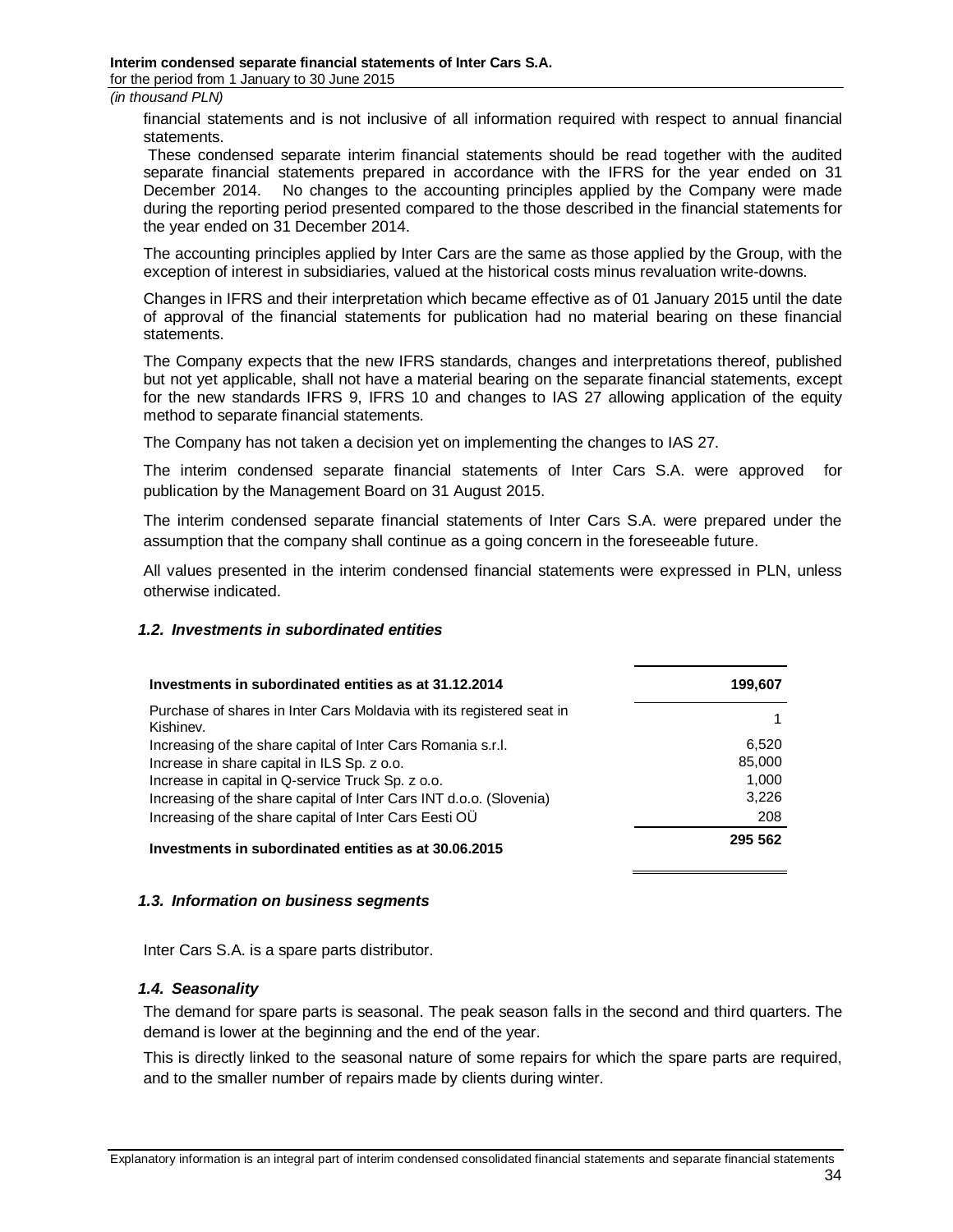financial statements and is not inclusive of all information required with respect to annual financial statements.

These condensed separate interim financial statements should be read together with the audited separate financial statements prepared in accordance with the IFRS for the year ended on 31 December 2014. No changes to the accounting principles applied by the Company were made during the reporting period presented compared to the those described in the financial statements for the year ended on 31 December 2014.

The accounting principles applied by Inter Cars are the same as those applied by the Group, with the exception of interest in subsidiaries, valued at the historical costs minus revaluation write-downs.

Changes in IFRS and their interpretation which became effective as of 01 January 2015 until the date of approval of the financial statements for publication had no material bearing on these financial statements.

The Company expects that the new IFRS standards, changes and interpretations thereof, published but not yet applicable, shall not have a material bearing on the separate financial statements, except for the new standards IFRS 9, IFRS 10 and changes to IAS 27 allowing application of the equity method to separate financial statements.

The Company has not taken a decision yet on implementing the changes to IAS 27.

The interim condensed separate financial statements of Inter Cars S.A. were approved for publication by the Management Board on 31 August 2015.

The interim condensed separate financial statements of Inter Cars S.A. were prepared under the assumption that the company shall continue as a going concern in the foreseeable future.

All values presented in the interim condensed financial statements were expressed in PLN, unless otherwise indicated.

### *1.2. Investments in subordinated entities*

<span id="page-33-0"></span>

| Investments in subordinated entities as at 31.12.2014                              | 199.607 |
|------------------------------------------------------------------------------------|---------|
| Purchase of shares in Inter Cars Moldavia with its registered seat in<br>Kishinev. |         |
| Increasing of the share capital of Inter Cars Romania s.r.l.                       | 6,520   |
| Increase in share capital in ILS Sp. z o.o.                                        | 85,000  |
| Increase in capital in Q-service Truck Sp. z o.o.                                  | 1.000   |
| Increasing of the share capital of Inter Cars INT d.o.o. (Slovenia)                | 3.226   |
| Increasing of the share capital of Inter Cars Eesti OU                             | 208     |
| Investments in subordinated entities as at 30.06.2015                              | 295 562 |

### *1.3. Information on business segments*

<span id="page-33-1"></span>Inter Cars S.A. is a spare parts distributor.

### *1.4. Seasonality*

The demand for spare parts is seasonal. The peak season falls in the second and third quarters. The demand is lower at the beginning and the end of the year.

<span id="page-33-2"></span>This is directly linked to the seasonal nature of some repairs for which the spare parts are required, and to the smaller number of repairs made by clients during winter.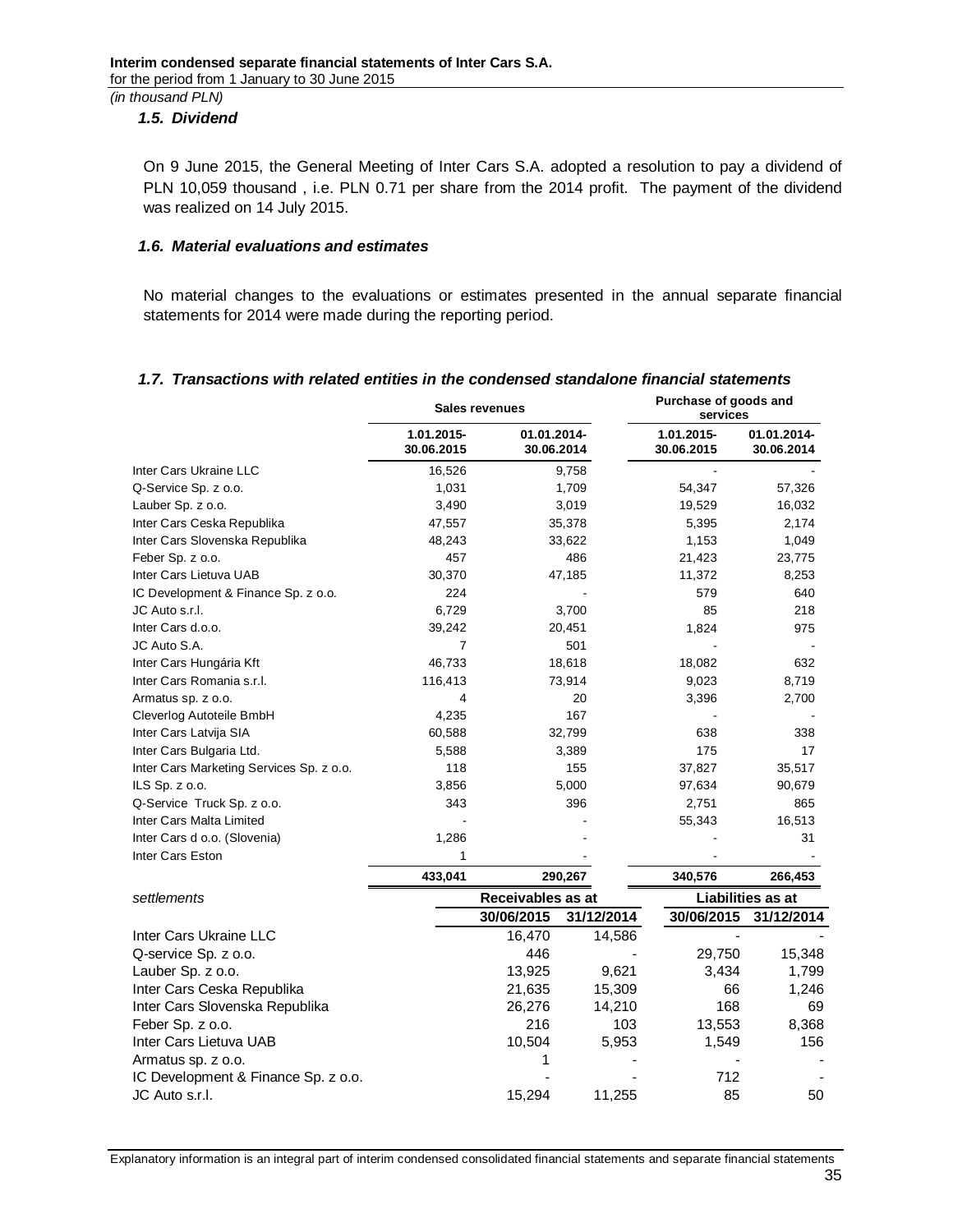### *1.5. Dividend*

<span id="page-34-0"></span>On 9 June 2015, the General Meeting of Inter Cars S.A. adopted a resolution to pay a dividend of PLN 10,059 thousand , i.e. PLN 0.71 per share from the 2014 profit. The payment of the dividend was realized on 14 July 2015.

#### *1.6. Material evaluations and estimates*

<span id="page-34-1"></span>No material changes to the evaluations or estimates presented in the annual separate financial statements for 2014 were made during the reporting period.

### *1.7. Transactions with related entities in the condensed standalone financial statements*

<span id="page-34-2"></span>

|                                          | Sales revenues           |                           |            | Purchase of goods and<br>services |                           |  |
|------------------------------------------|--------------------------|---------------------------|------------|-----------------------------------|---------------------------|--|
|                                          | 1.01.2015-<br>30.06.2015 | 01.01.2014-<br>30.06.2014 |            | 1.01.2015-<br>30.06.2015          | 01.01.2014-<br>30.06.2014 |  |
| Inter Cars Ukraine LLC                   | 16,526                   |                           | 9,758      |                                   |                           |  |
| Q-Service Sp. z o.o.                     | 1,031                    |                           | 1,709      | 54,347                            | 57,326                    |  |
| Lauber Sp. z o.o.                        | 3,490                    |                           | 3,019      | 19,529                            | 16,032                    |  |
| Inter Cars Ceska Republika               | 47,557                   |                           | 35,378     | 5,395                             | 2,174                     |  |
| Inter Cars Slovenska Republika           | 48,243                   |                           | 33,622     | 1,153                             | 1,049                     |  |
| Feber Sp. z o.o.                         | 457                      |                           | 486        | 21,423                            | 23,775                    |  |
| Inter Cars Lietuva UAB                   | 30,370                   |                           | 47,185     | 11,372                            | 8,253                     |  |
| IC Development & Finance Sp. z o.o.      | 224                      |                           |            | 579                               | 640                       |  |
| JC Auto s.r.l.                           | 6,729                    |                           | 3,700      | 85                                | 218                       |  |
| Inter Cars d.o.o.                        | 39,242                   |                           | 20,451     | 1,824                             | 975                       |  |
| JC Auto S.A.                             | $\overline{7}$           |                           | 501        |                                   |                           |  |
| Inter Cars Hungária Kft                  | 46,733                   |                           | 18,618     | 18,082                            | 632                       |  |
| Inter Cars Romania s.r.l.                | 116,413                  |                           | 73,914     | 9,023                             | 8,719                     |  |
| Armatus sp. z o.o.                       | 4                        |                           | 20         | 3,396                             | 2,700                     |  |
| Cleverlog Autoteile BmbH                 | 4,235                    |                           | 167        |                                   |                           |  |
| Inter Cars Latvija SIA                   | 60,588                   |                           | 32,799     | 638                               | 338                       |  |
| Inter Cars Bulgaria Ltd.                 | 5,588                    |                           | 3,389      | 175                               | 17                        |  |
| Inter Cars Marketing Services Sp. z o.o. | 118                      |                           | 155        | 37,827                            | 35,517                    |  |
| ILS Sp. z o.o.                           | 3,856                    |                           | 5,000      | 97,634                            | 90,679                    |  |
| Q-Service Truck Sp. z o.o.               | 343                      |                           | 396        | 2,751                             | 865                       |  |
| Inter Cars Malta Limited                 |                          |                           |            | 55,343                            | 16,513                    |  |
| Inter Cars d o.o. (Slovenia)             | 1,286                    |                           |            |                                   | 31                        |  |
| Inter Cars Eston                         | 1                        |                           |            |                                   |                           |  |
|                                          | 433,041                  | 290,267                   |            | 340,576                           | 266,453                   |  |
| settlements                              |                          | Receivables as at         |            |                                   | Liabilities as at         |  |
|                                          |                          | 30/06/2015                | 31/12/2014 | 30/06/2015                        | 31/12/2014                |  |
| Inter Cars Ukraine LLC                   |                          | 16,470                    | 14,586     | L.                                |                           |  |
| Q-service Sp. z o.o.                     |                          | 446                       |            | 29,750                            | 15,348                    |  |
| Lauber Sp. z o.o.                        |                          | 13,925                    | 9,621      | 3,434                             | 1,799                     |  |
| Inter Cars Ceska Republika               |                          | 21,635                    | 15,309     | 66                                | 1,246                     |  |
| Inter Cars Slovenska Republika           |                          | 26,276                    | 14,210     | 168                               | 69                        |  |
| Feber Sp. z o.o.                         |                          | 216                       | 103        | 13,553                            | 8,368                     |  |
| Inter Cars Lietuva UAB                   |                          | 10,504                    | 5,953      | 1,549                             | 156                       |  |
| Armatus sp. z o.o.                       |                          | 1                         |            |                                   |                           |  |
| IC Development & Finance Sp. z o.o.      |                          |                           |            | 712                               |                           |  |
| JC Auto s.r.l.                           |                          | 15,294                    | 11,255     | 85                                | 50                        |  |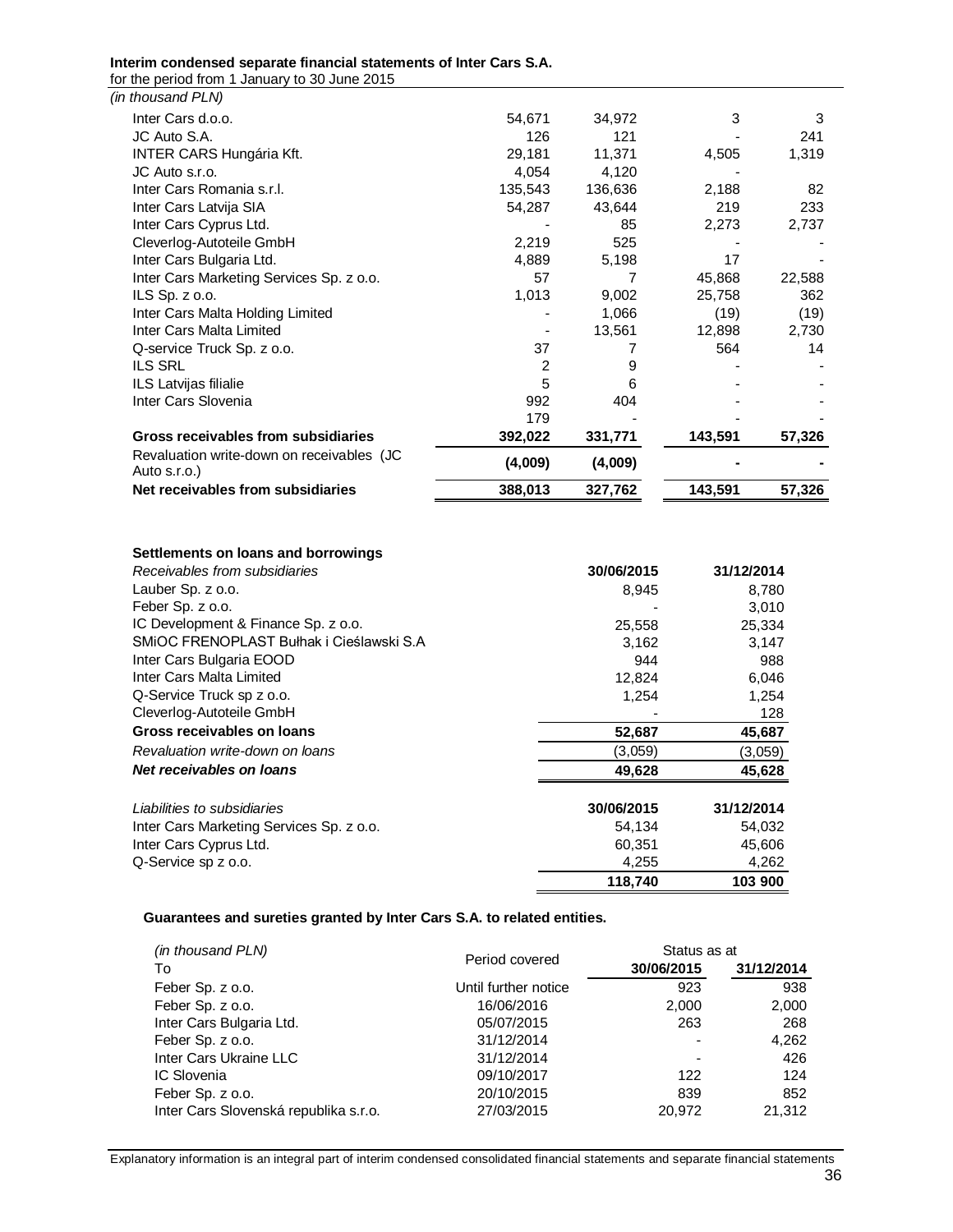#### **Interim condensed separate financial statements of Inter Cars S.A.**

for the period from 1 January to 30 June 2015

| Net receivables from subsidiaries                         | 388,013 | 327,762 | 143,591 | 57,326 |
|-----------------------------------------------------------|---------|---------|---------|--------|
| Revaluation write-down on receivables (JC<br>Auto s.r.o.) | (4,009) | (4,009) |         |        |
| Gross receivables from subsidiaries                       | 392,022 | 331,771 | 143,591 | 57,326 |
|                                                           | 179     |         |         |        |
| Inter Cars Slovenia                                       | 992     | 404     |         |        |
| ILS Latvijas filialie                                     | 5       | 6       |         |        |
| <b>ILS SRL</b>                                            | 2       | 9       |         |        |
| Q-service Truck Sp. z o.o.                                | 37      |         | 564     | 14     |
| Inter Cars Malta Limited                                  |         | 13,561  | 12,898  | 2,730  |
| Inter Cars Malta Holding Limited                          |         | 1,066   | (19)    | (19)   |
| ILS Sp. $z$ o.o.                                          | 1,013   | 9,002   | 25,758  | 362    |
| Inter Cars Marketing Services Sp. z o.o.                  | 57      | 7       | 45,868  | 22,588 |
| Inter Cars Bulgaria Ltd.                                  | 4,889   | 5,198   | 17      |        |
| Cleverlog-Autoteile GmbH                                  | 2,219   | 525     |         |        |
| Inter Cars Cyprus Ltd.                                    |         | 85      | 2,273   | 2,737  |
| Inter Cars Latvija SIA                                    | 54,287  | 43,644  | 219     | 233    |
| Inter Cars Romania s.r.l.                                 | 135,543 | 136,636 | 2,188   | 82     |
| JC Auto s.r.o.                                            | 4,054   | 4,120   |         |        |
| <b>INTER CARS Hungária Kft.</b>                           | 29,181  | 11,371  | 4,505   | 1,319  |
| JC Auto S.A.                                              | 126     | 121     |         | 241    |
| Inter Cars d.o.o.                                         | 54,671  | 34,972  | 3       | 3      |
| (in thousand PLN)                                         |         |         |         |        |

#### **Settlements on loans and borrowings**

| Receivables from subsidiaries            | 30/06/2015 | 31/12/2014 |
|------------------------------------------|------------|------------|
| Lauber Sp. z o.o.                        | 8,945      | 8,780      |
| Feber Sp. z o.o.                         |            | 3,010      |
| IC Development & Finance Sp. z o.o.      | 25,558     | 25,334     |
| SMIOC FRENOPLAST Bułhak i Cieślawski S.A | 3,162      | 3,147      |
| Inter Cars Bulgaria EOOD                 | 944        | 988        |
| Inter Cars Malta Limited                 | 12,824     | 6,046      |
| Q-Service Truck sp z o.o.                | 1,254      | 1,254      |
| Cleverlog-Autoteile GmbH                 |            | 128        |
| Gross receivables on loans               | 52,687     | 45,687     |
| Revaluation write-down on loans          | (3,059)    | (3,059)    |
| Net receivables on loans                 | 49,628     | 45,628     |
| Liabilities to subsidiaries              | 30/06/2015 | 31/12/2014 |
| Inter Cars Marketing Services Sp. z o.o. | 54,134     | 54,032     |
| Inter Cars Cyprus Ltd.                   | 60,351     | 45,606     |
| Q-Service sp z o.o.                      | 4,255      | 4,262      |
|                                          | 118,740    | 103 900    |

#### **Guarantees and sureties granted by Inter Cars S.A. to related entities.**

| (in thousand PLN)                     |                      | Status as at |            |
|---------------------------------------|----------------------|--------------|------------|
| To                                    | Period covered       | 30/06/2015   | 31/12/2014 |
| Feber Sp. z o.o.                      | Until further notice | 923          | 938        |
| Feber Sp. z o.o.                      | 16/06/2016           | 2,000        | 2,000      |
| Inter Cars Bulgaria Ltd.              | 05/07/2015           | 263          | 268        |
| Feber Sp. z o.o.                      | 31/12/2014           |              | 4,262      |
| Inter Cars Ukraine LLC                | 31/12/2014           | ٠            | 426        |
| IC Slovenia                           | 09/10/2017           | 122          | 124        |
| Feber Sp. z o.o.                      | 20/10/2015           | 839          | 852        |
| Inter Cars Slovenská republika s.r.o. | 27/03/2015           | 20.972       | 21.312     |

Explanatory information is an integral part of interim condensed consolidated financial statements and separate financial statements